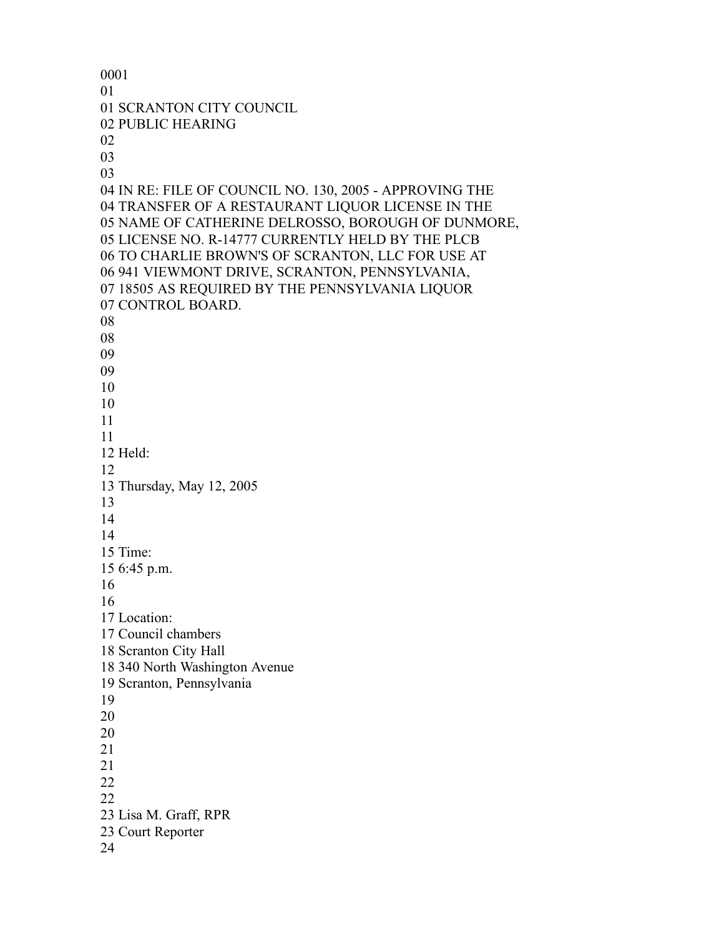SCRANTON CITY COUNCIL PUBLIC HEARING IN RE: FILE OF COUNCIL NO. 130, 2005 - APPROVING THE TRANSFER OF A RESTAURANT LIQUOR LICENSE IN THE NAME OF CATHERINE DELROSSO, BOROUGH OF DUNMORE, LICENSE NO. R-14777 CURRENTLY HELD BY THE PLCB TO CHARLIE BROWN'S OF SCRANTON, LLC FOR USE AT 941 VIEWMONT DRIVE, SCRANTON, PENNSYLVANIA, 18505 AS REQUIRED BY THE PENNSYLVANIA LIQUOR CONTROL BOARD. Held: Thursday, May 12, 2005 Time: 6:45 p.m. Location: Council chambers Scranton City Hall 340 North Washington Avenue Scranton, Pennsylvania Lisa M. Graff, RPR Court Reporter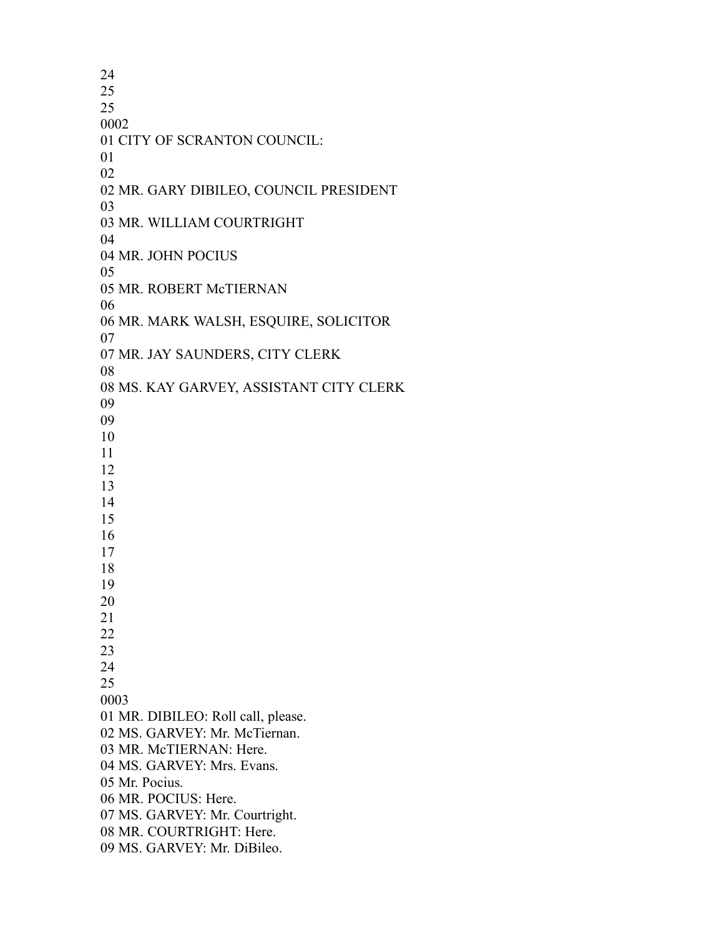CITY OF SCRANTON COUNCIL: MR. GARY DIBILEO, COUNCIL PRESIDENT MR. WILLIAM COURTRIGHT MR. JOHN POCIUS MR. ROBERT McTIERNAN MR. MARK WALSH, ESQUIRE, SOLICITOR MR. JAY SAUNDERS, CITY CLERK MS. KAY GARVEY, ASSISTANT CITY CLERK MR. DIBILEO: Roll call, please. MS. GARVEY: Mr. McTiernan. MR. McTIERNAN: Here. MS. GARVEY: Mrs. Evans. Mr. Pocius. MR. POCIUS: Here. MS. GARVEY: Mr. Courtright. MR. COURTRIGHT: Here. MS. GARVEY: Mr. DiBileo.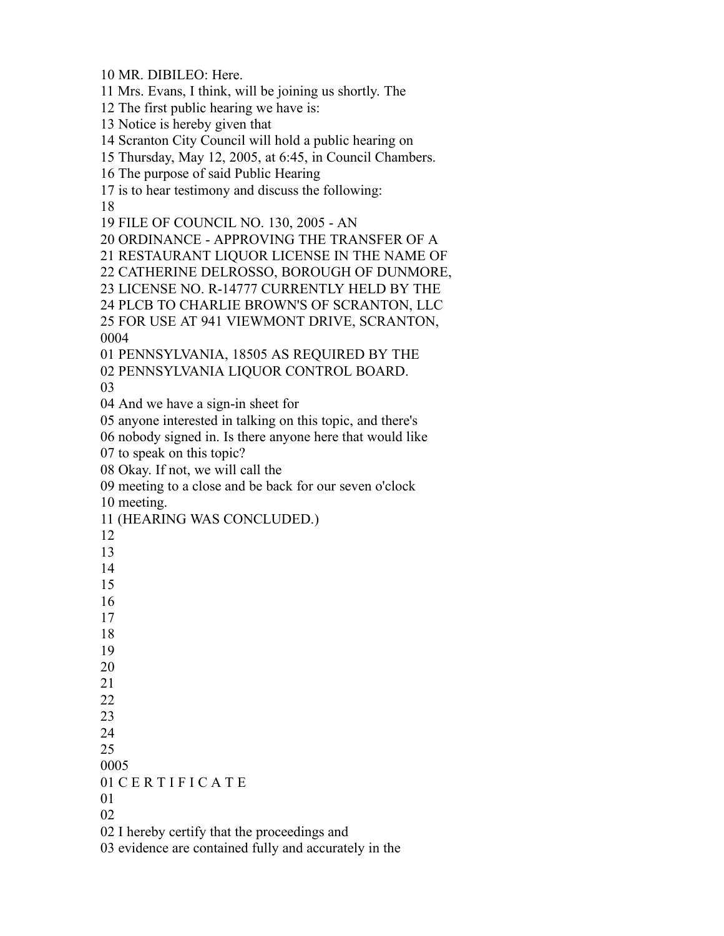MR. DIBILEO: Here.

Mrs. Evans, I think, will be joining us shortly. The

The first public hearing we have is:

Notice is hereby given that

Scranton City Council will hold a public hearing on

Thursday, May 12, 2005, at 6:45, in Council Chambers.

The purpose of said Public Hearing

is to hear testimony and discuss the following:

FILE OF COUNCIL NO. 130, 2005 - AN

ORDINANCE - APPROVING THE TRANSFER OF A

RESTAURANT LIQUOR LICENSE IN THE NAME OF

CATHERINE DELROSSO, BOROUGH OF DUNMORE,

LICENSE NO. R-14777 CURRENTLY HELD BY THE

PLCB TO CHARLIE BROWN'S OF SCRANTON, LLC

 FOR USE AT 941 VIEWMONT DRIVE, SCRANTON, 

PENNSYLVANIA, 18505 AS REQUIRED BY THE

PENNSYLVANIA LIQUOR CONTROL BOARD.

And we have a sign-in sheet for

anyone interested in talking on this topic, and there's

nobody signed in. Is there anyone here that would like

to speak on this topic?

Okay. If not, we will call the

meeting to a close and be back for our seven o'clock

meeting.

(HEARING WAS CONCLUDED.)

| 13                                           |
|----------------------------------------------|
| 14                                           |
| 15                                           |
| 16                                           |
| 17                                           |
| 18                                           |
| 19                                           |
| 20                                           |
| 21                                           |
| 22                                           |
| 23                                           |
| 24                                           |
| 25                                           |
| 0005                                         |
| 01 CERTIFICATE                               |
| 01                                           |
| 02                                           |
| 02 I hereby certify that the proceedings and |

 I hereby certify that the proceedings and evidence are contained fully and accurately in the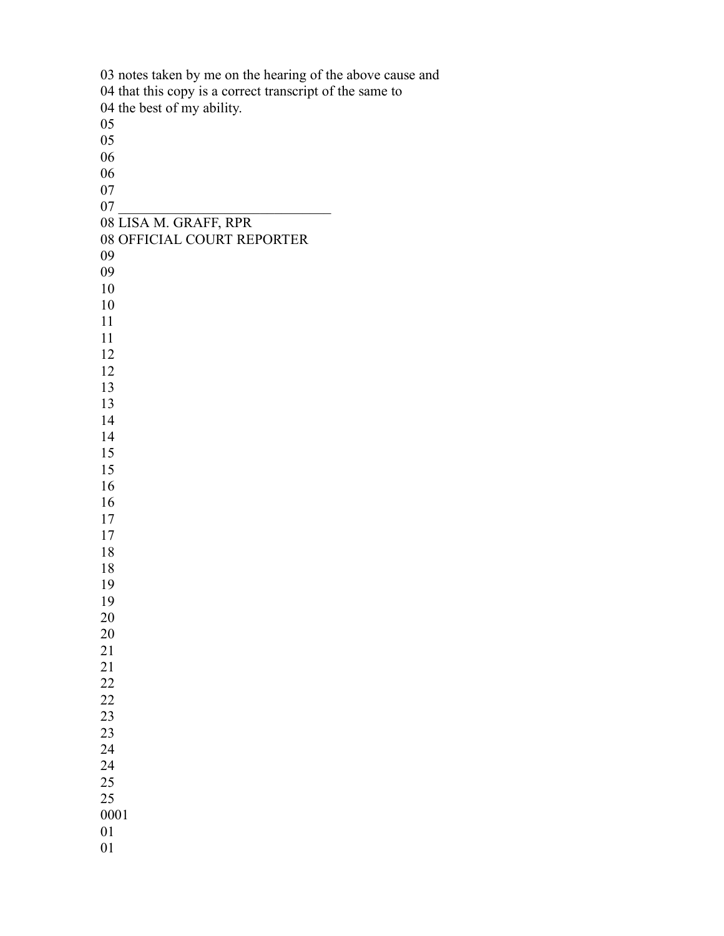notes taken by me on the hearing of the above cause and that this copy is a correct transcript of the same to the best of my ability.  $\begin{array}{c} 07 \\ 07 \end{array}$  LISA M. GRAFF, RPR OFFICIAL COURT REPORTER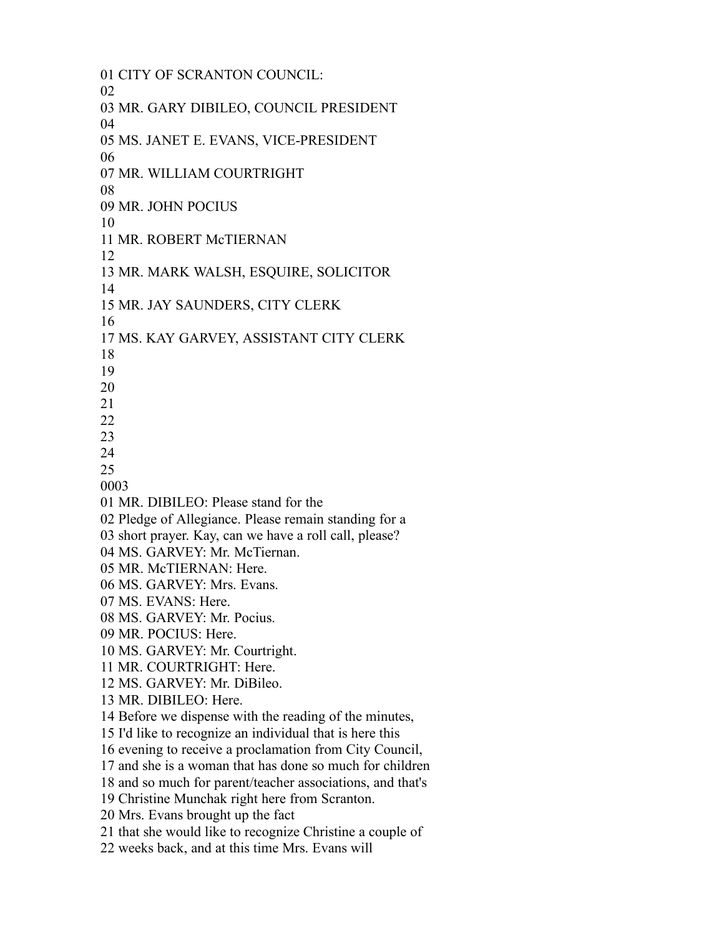CITY OF SCRANTON COUNCIL: MR. GARY DIBILEO, COUNCIL PRESIDENT MS. JANET E. EVANS, VICE-PRESIDENT MR. WILLIAM COURTRIGHT MR. JOHN POCIUS MR. ROBERT McTIERNAN MR. MARK WALSH, ESQUIRE, SOLICITOR MR. JAY SAUNDERS, CITY CLERK MS. KAY GARVEY, ASSISTANT CITY CLERK MR. DIBILEO: Please stand for the Pledge of Allegiance. Please remain standing for a short prayer. Kay, can we have a roll call, please? MS. GARVEY: Mr. McTiernan. MR. McTIERNAN: Here. MS. GARVEY: Mrs. Evans. MS. EVANS: Here. MS. GARVEY: Mr. Pocius. MR. POCIUS: Here. MS. GARVEY: Mr. Courtright. MR. COURTRIGHT: Here. MS. GARVEY: Mr. DiBileo. MR. DIBILEO: Here. Before we dispense with the reading of the minutes, I'd like to recognize an individual that is here this evening to receive a proclamation from City Council, and she is a woman that has done so much for children and so much for parent/teacher associations, and that's Christine Munchak right here from Scranton. Mrs. Evans brought up the fact that she would like to recognize Christine a couple of weeks back, and at this time Mrs. Evans will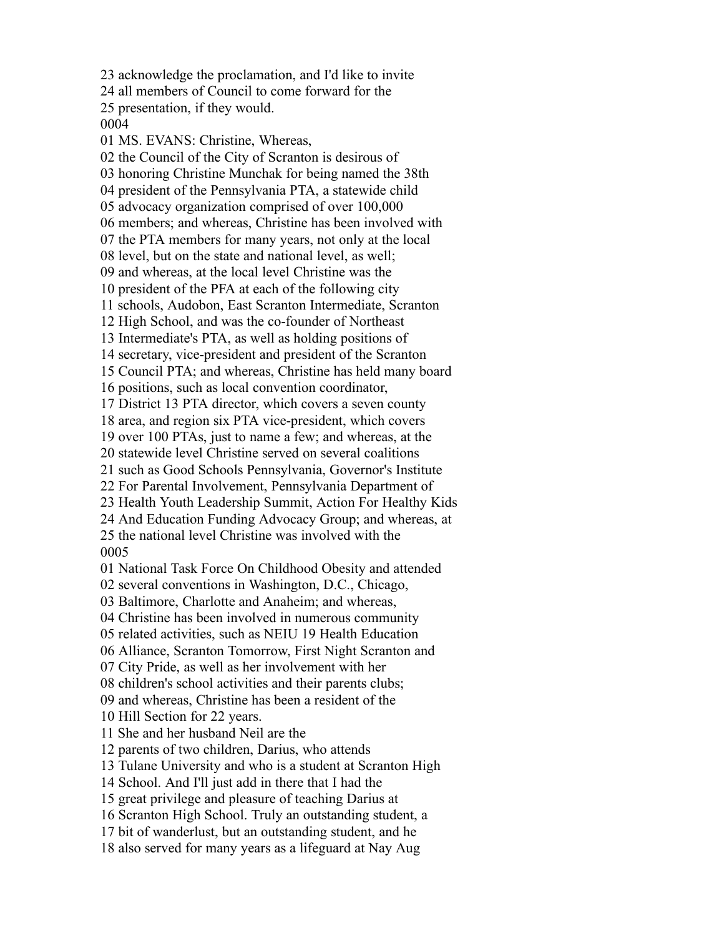acknowledge the proclamation, and I'd like to invite all members of Council to come forward for the presentation, if they would. MS. EVANS: Christine, Whereas, the Council of the City of Scranton is desirous of honoring Christine Munchak for being named the 38th president of the Pennsylvania PTA, a statewide child advocacy organization comprised of over 100,000 members; and whereas, Christine has been involved with the PTA members for many years, not only at the local level, but on the state and national level, as well; and whereas, at the local level Christine was the president of the PFA at each of the following city schools, Audobon, East Scranton Intermediate, Scranton High School, and was the co-founder of Northeast Intermediate's PTA, as well as holding positions of secretary, vice-president and president of the Scranton Council PTA; and whereas, Christine has held many board positions, such as local convention coordinator, District 13 PTA director, which covers a seven county area, and region six PTA vice-president, which covers over 100 PTAs, just to name a few; and whereas, at the statewide level Christine served on several coalitions such as Good Schools Pennsylvania, Governor's Institute For Parental Involvement, Pennsylvania Department of Health Youth Leadership Summit, Action For Healthy Kids And Education Funding Advocacy Group; and whereas, at the national level Christine was involved with the National Task Force On Childhood Obesity and attended several conventions in Washington, D.C., Chicago, Baltimore, Charlotte and Anaheim; and whereas, Christine has been involved in numerous community related activities, such as NEIU 19 Health Education Alliance, Scranton Tomorrow, First Night Scranton and City Pride, as well as her involvement with her children's school activities and their parents clubs; and whereas, Christine has been a resident of the Hill Section for 22 years. She and her husband Neil are the parents of two children, Darius, who attends Tulane University and who is a student at Scranton High School. And I'll just add in there that I had the great privilege and pleasure of teaching Darius at Scranton High School. Truly an outstanding student, a bit of wanderlust, but an outstanding student, and he also served for many years as a lifeguard at Nay Aug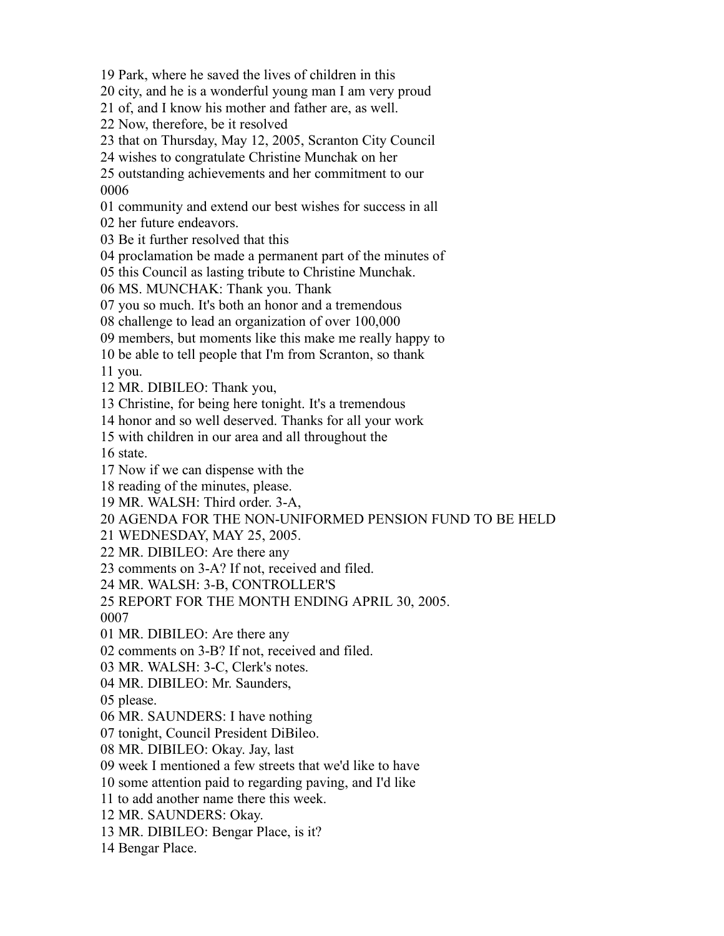Park, where he saved the lives of children in this

city, and he is a wonderful young man I am very proud

of, and I know his mother and father are, as well.

Now, therefore, be it resolved

that on Thursday, May 12, 2005, Scranton City Council

wishes to congratulate Christine Munchak on her

 outstanding achievements and her commitment to our 

community and extend our best wishes for success in all

her future endeavors.

Be it further resolved that this

proclamation be made a permanent part of the minutes of

this Council as lasting tribute to Christine Munchak.

MS. MUNCHAK: Thank you. Thank

you so much. It's both an honor and a tremendous

challenge to lead an organization of over 100,000

members, but moments like this make me really happy to

be able to tell people that I'm from Scranton, so thank

you.

MR. DIBILEO: Thank you,

Christine, for being here tonight. It's a tremendous

honor and so well deserved. Thanks for all your work

with children in our area and all throughout the

state.

Now if we can dispense with the

reading of the minutes, please.

MR. WALSH: Third order. 3-A,

AGENDA FOR THE NON-UNIFORMED PENSION FUND TO BE HELD

WEDNESDAY, MAY 25, 2005.

MR. DIBILEO: Are there any

comments on 3-A? If not, received and filed.

MR. WALSH: 3-B, CONTROLLER'S

REPORT FOR THE MONTH ENDING APRIL 30, 2005.

MR. DIBILEO: Are there any

comments on 3-B? If not, received and filed.

MR. WALSH: 3-C, Clerk's notes.

MR. DIBILEO: Mr. Saunders,

please.

MR. SAUNDERS: I have nothing

tonight, Council President DiBileo.

MR. DIBILEO: Okay. Jay, last

week I mentioned a few streets that we'd like to have

some attention paid to regarding paving, and I'd like

to add another name there this week.

MR. SAUNDERS: Okay.

MR. DIBILEO: Bengar Place, is it?

Bengar Place.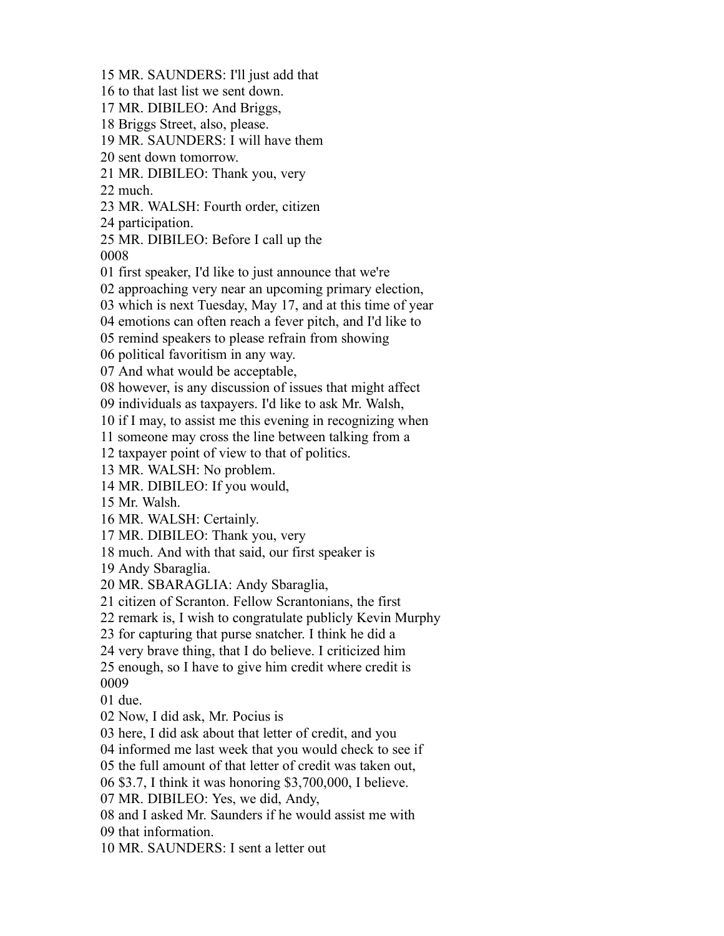MR. SAUNDERS: I'll just add that to that last list we sent down. MR. DIBILEO: And Briggs, Briggs Street, also, please. MR. SAUNDERS: I will have them sent down tomorrow. MR. DIBILEO: Thank you, very much. MR. WALSH: Fourth order, citizen participation. MR. DIBILEO: Before I call up the first speaker, I'd like to just announce that we're approaching very near an upcoming primary election, which is next Tuesday, May 17, and at this time of year emotions can often reach a fever pitch, and I'd like to remind speakers to please refrain from showing political favoritism in any way. And what would be acceptable, however, is any discussion of issues that might affect individuals as taxpayers. I'd like to ask Mr. Walsh, if I may, to assist me this evening in recognizing when someone may cross the line between talking from a taxpayer point of view to that of politics. MR. WALSH: No problem. MR. DIBILEO: If you would, Mr. Walsh. MR. WALSH: Certainly. MR. DIBILEO: Thank you, very much. And with that said, our first speaker is Andy Sbaraglia. MR. SBARAGLIA: Andy Sbaraglia, citizen of Scranton. Fellow Scrantonians, the first remark is, I wish to congratulate publicly Kevin Murphy for capturing that purse snatcher. I think he did a very brave thing, that I do believe. I criticized him enough, so I have to give him credit where credit is due. Now, I did ask, Mr. Pocius is here, I did ask about that letter of credit, and you informed me last week that you would check to see if the full amount of that letter of credit was taken out, \$3.7, I think it was honoring \$3,700,000, I believe. MR. DIBILEO: Yes, we did, Andy, and I asked Mr. Saunders if he would assist me with that information. MR. SAUNDERS: I sent a letter out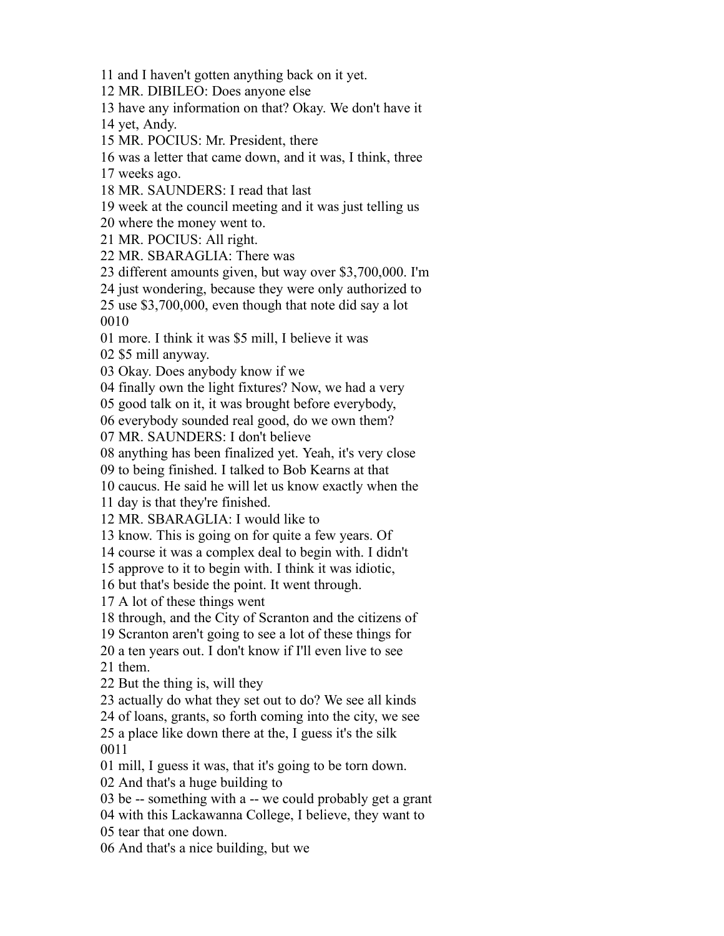and I haven't gotten anything back on it yet.

MR. DIBILEO: Does anyone else

have any information on that? Okay. We don't have it

yet, Andy.

MR. POCIUS: Mr. President, there

was a letter that came down, and it was, I think, three

weeks ago.

MR. SAUNDERS: I read that last

week at the council meeting and it was just telling us

where the money went to.

MR. POCIUS: All right.

MR. SBARAGLIA: There was

different amounts given, but way over \$3,700,000. I'm

 just wondering, because they were only authorized to use \$3,700,000, even though that note did say a lot

more. I think it was \$5 mill, I believe it was

\$5 mill anyway.

Okay. Does anybody know if we

finally own the light fixtures? Now, we had a very

good talk on it, it was brought before everybody,

everybody sounded real good, do we own them?

MR. SAUNDERS: I don't believe

anything has been finalized yet. Yeah, it's very close

to being finished. I talked to Bob Kearns at that

caucus. He said he will let us know exactly when the

day is that they're finished.

MR. SBARAGLIA: I would like to

know. This is going on for quite a few years. Of

course it was a complex deal to begin with. I didn't

approve to it to begin with. I think it was idiotic,

but that's beside the point. It went through.

A lot of these things went

through, and the City of Scranton and the citizens of

Scranton aren't going to see a lot of these things for

a ten years out. I don't know if I'll even live to see

them.

But the thing is, will they

actually do what they set out to do? We see all kinds

of loans, grants, so forth coming into the city, we see

 a place like down there at the, I guess it's the silk 

mill, I guess it was, that it's going to be torn down.

And that's a huge building to

be -- something with a -- we could probably get a grant

with this Lackawanna College, I believe, they want to

tear that one down.

And that's a nice building, but we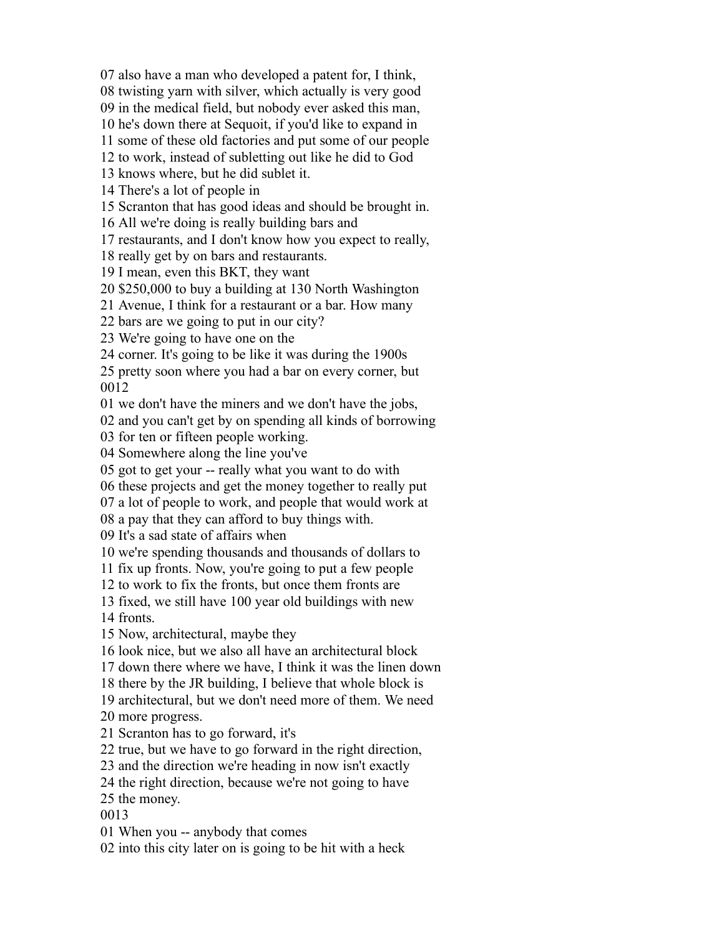also have a man who developed a patent for, I think,

twisting yarn with silver, which actually is very good

in the medical field, but nobody ever asked this man,

he's down there at Sequoit, if you'd like to expand in

some of these old factories and put some of our people

to work, instead of subletting out like he did to God

knows where, but he did sublet it.

There's a lot of people in

Scranton that has good ideas and should be brought in.

All we're doing is really building bars and

restaurants, and I don't know how you expect to really,

really get by on bars and restaurants.

I mean, even this BKT, they want

\$250,000 to buy a building at 130 North Washington

Avenue, I think for a restaurant or a bar. How many

bars are we going to put in our city?

We're going to have one on the

corner. It's going to be like it was during the 1900s

 pretty soon where you had a bar on every corner, but 

we don't have the miners and we don't have the jobs,

and you can't get by on spending all kinds of borrowing

for ten or fifteen people working.

Somewhere along the line you've

got to get your -- really what you want to do with

these projects and get the money together to really put

a lot of people to work, and people that would work at

a pay that they can afford to buy things with.

It's a sad state of affairs when

we're spending thousands and thousands of dollars to

fix up fronts. Now, you're going to put a few people

to work to fix the fronts, but once them fronts are

 fixed, we still have 100 year old buildings with new fronts.

Now, architectural, maybe they

look nice, but we also all have an architectural block

down there where we have, I think it was the linen down

there by the JR building, I believe that whole block is

architectural, but we don't need more of them. We need

more progress.

Scranton has to go forward, it's

true, but we have to go forward in the right direction,

and the direction we're heading in now isn't exactly

the right direction, because we're not going to have

the money.

When you -- anybody that comes

into this city later on is going to be hit with a heck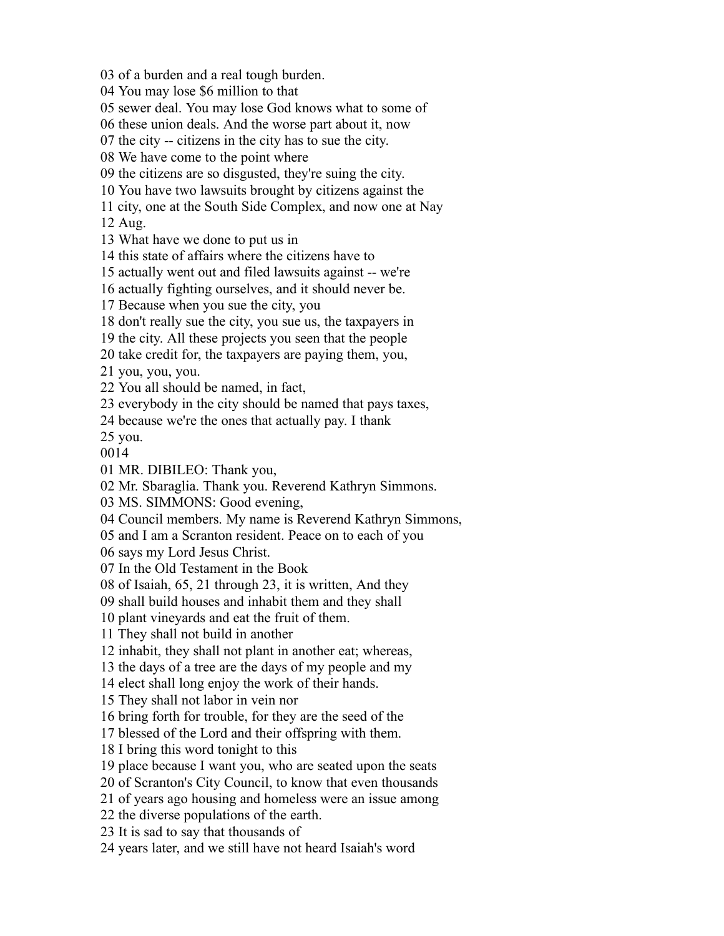of a burden and a real tough burden.

You may lose \$6 million to that

sewer deal. You may lose God knows what to some of

these union deals. And the worse part about it, now

the city -- citizens in the city has to sue the city.

We have come to the point where

the citizens are so disgusted, they're suing the city.

You have two lawsuits brought by citizens against the

city, one at the South Side Complex, and now one at Nay

Aug.

What have we done to put us in

this state of affairs where the citizens have to

actually went out and filed lawsuits against -- we're

actually fighting ourselves, and it should never be.

Because when you sue the city, you

don't really sue the city, you sue us, the taxpayers in

the city. All these projects you seen that the people

take credit for, the taxpayers are paying them, you,

you, you, you.

You all should be named, in fact,

everybody in the city should be named that pays taxes,

because we're the ones that actually pay. I thank

you.

MR. DIBILEO: Thank you,

Mr. Sbaraglia. Thank you. Reverend Kathryn Simmons.

MS. SIMMONS: Good evening,

Council members. My name is Reverend Kathryn Simmons,

and I am a Scranton resident. Peace on to each of you

says my Lord Jesus Christ.

In the Old Testament in the Book

of Isaiah, 65, 21 through 23, it is written, And they

shall build houses and inhabit them and they shall

plant vineyards and eat the fruit of them.

They shall not build in another

inhabit, they shall not plant in another eat; whereas,

the days of a tree are the days of my people and my

elect shall long enjoy the work of their hands.

They shall not labor in vein nor

bring forth for trouble, for they are the seed of the

blessed of the Lord and their offspring with them.

I bring this word tonight to this

place because I want you, who are seated upon the seats

of Scranton's City Council, to know that even thousands

of years ago housing and homeless were an issue among

the diverse populations of the earth.

It is sad to say that thousands of

years later, and we still have not heard Isaiah's word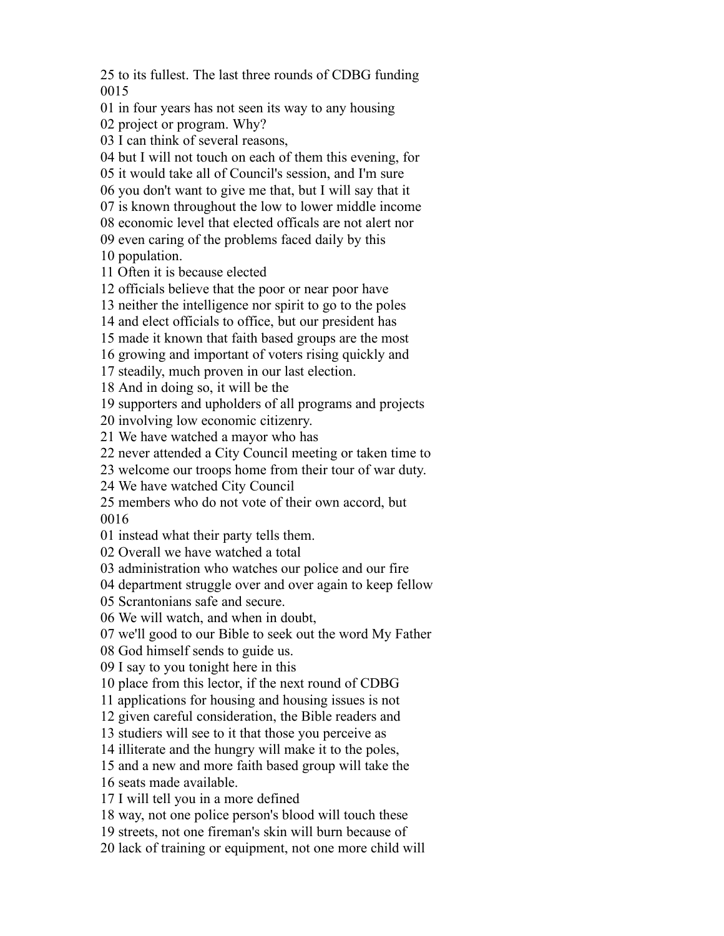to its fullest. The last three rounds of CDBG funding 

in four years has not seen its way to any housing

project or program. Why?

I can think of several reasons,

but I will not touch on each of them this evening, for

it would take all of Council's session, and I'm sure

you don't want to give me that, but I will say that it

is known throughout the low to lower middle income

economic level that elected officals are not alert nor

even caring of the problems faced daily by this

population.

Often it is because elected

officials believe that the poor or near poor have

neither the intelligence nor spirit to go to the poles

and elect officials to office, but our president has

made it known that faith based groups are the most

growing and important of voters rising quickly and

steadily, much proven in our last election.

And in doing so, it will be the

supporters and upholders of all programs and projects

involving low economic citizenry.

We have watched a mayor who has

never attended a City Council meeting or taken time to

welcome our troops home from their tour of war duty.

We have watched City Council

members who do not vote of their own accord, but

instead what their party tells them.

Overall we have watched a total

administration who watches our police and our fire

department struggle over and over again to keep fellow

Scrantonians safe and secure.

We will watch, and when in doubt,

we'll good to our Bible to seek out the word My Father

God himself sends to guide us.

I say to you tonight here in this

place from this lector, if the next round of CDBG

applications for housing and housing issues is not

given careful consideration, the Bible readers and

studiers will see to it that those you perceive as

illiterate and the hungry will make it to the poles,

and a new and more faith based group will take the

seats made available.

I will tell you in a more defined

way, not one police person's blood will touch these

streets, not one fireman's skin will burn because of

lack of training or equipment, not one more child will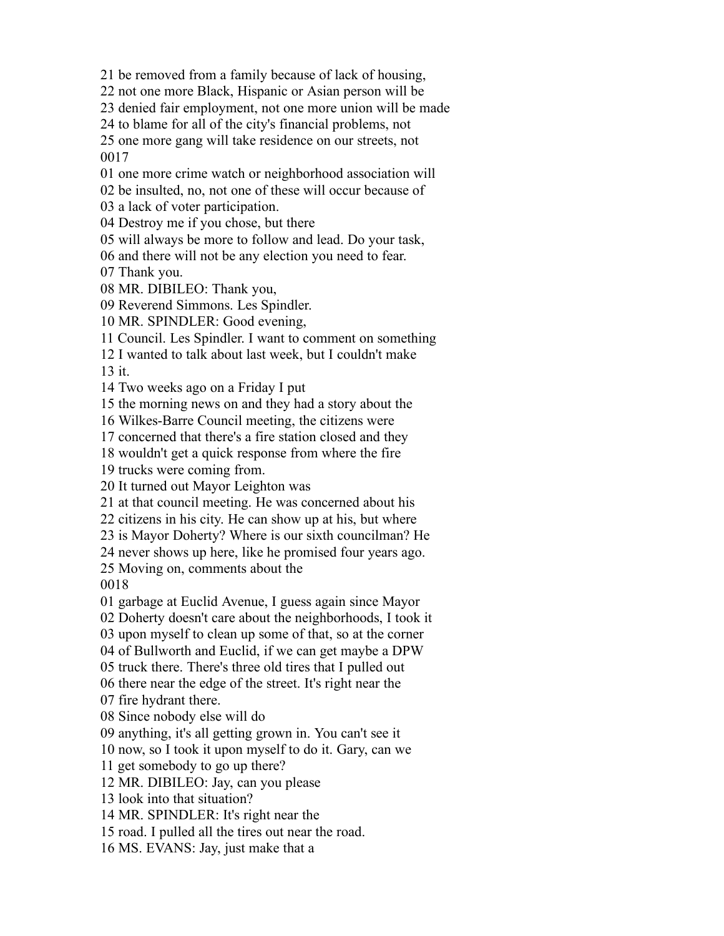be removed from a family because of lack of housing,

not one more Black, Hispanic or Asian person will be

denied fair employment, not one more union will be made

to blame for all of the city's financial problems, not

 one more gang will take residence on our streets, not 

one more crime watch or neighborhood association will

be insulted, no, not one of these will occur because of

a lack of voter participation.

Destroy me if you chose, but there

will always be more to follow and lead. Do your task,

and there will not be any election you need to fear.

Thank you.

MR. DIBILEO: Thank you,

Reverend Simmons. Les Spindler.

MR. SPINDLER: Good evening,

Council. Les Spindler. I want to comment on something

I wanted to talk about last week, but I couldn't make

it.

Two weeks ago on a Friday I put

the morning news on and they had a story about the

Wilkes-Barre Council meeting, the citizens were

concerned that there's a fire station closed and they

wouldn't get a quick response from where the fire

trucks were coming from.

It turned out Mayor Leighton was

at that council meeting. He was concerned about his

citizens in his city. He can show up at his, but where

is Mayor Doherty? Where is our sixth councilman? He

never shows up here, like he promised four years ago.

Moving on, comments about the

garbage at Euclid Avenue, I guess again since Mayor

Doherty doesn't care about the neighborhoods, I took it

upon myself to clean up some of that, so at the corner

of Bullworth and Euclid, if we can get maybe a DPW

truck there. There's three old tires that I pulled out

there near the edge of the street. It's right near the

fire hydrant there.

Since nobody else will do

anything, it's all getting grown in. You can't see it

now, so I took it upon myself to do it. Gary, can we

get somebody to go up there?

MR. DIBILEO: Jay, can you please

look into that situation?

MR. SPINDLER: It's right near the

road. I pulled all the tires out near the road.

MS. EVANS: Jay, just make that a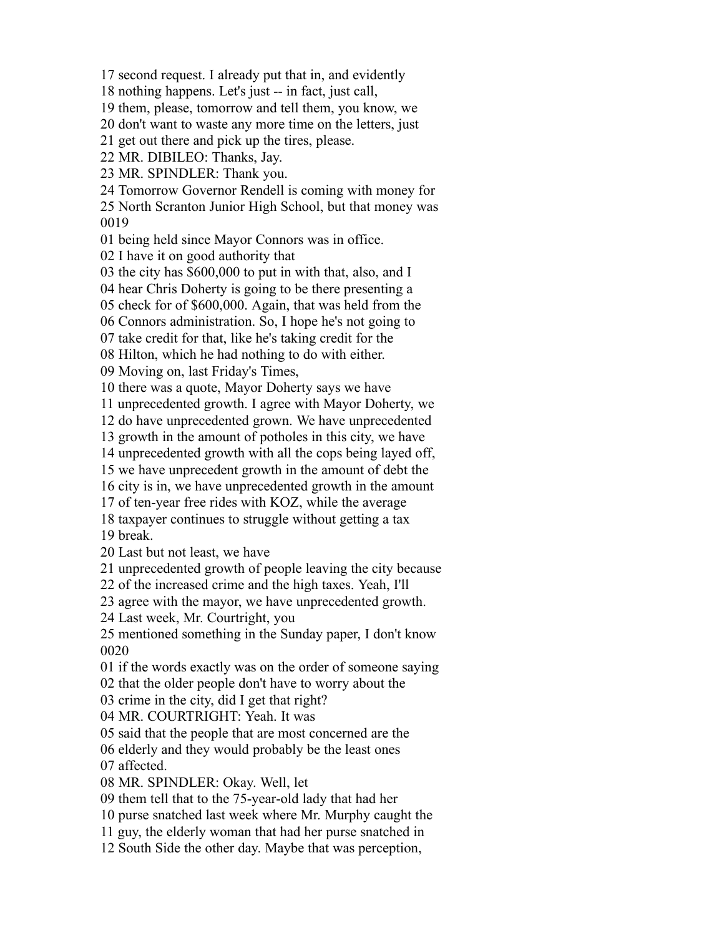second request. I already put that in, and evidently

nothing happens. Let's just -- in fact, just call,

them, please, tomorrow and tell them, you know, we

don't want to waste any more time on the letters, just

get out there and pick up the tires, please.

MR. DIBILEO: Thanks, Jay.

MR. SPINDLER: Thank you.

Tomorrow Governor Rendell is coming with money for

 North Scranton Junior High School, but that money was 

being held since Mayor Connors was in office.

I have it on good authority that

the city has \$600,000 to put in with that, also, and I

hear Chris Doherty is going to be there presenting a

check for of \$600,000. Again, that was held from the

Connors administration. So, I hope he's not going to

take credit for that, like he's taking credit for the

Hilton, which he had nothing to do with either.

Moving on, last Friday's Times,

there was a quote, Mayor Doherty says we have

unprecedented growth. I agree with Mayor Doherty, we

do have unprecedented grown. We have unprecedented

growth in the amount of potholes in this city, we have

unprecedented growth with all the cops being layed off,

we have unprecedent growth in the amount of debt the

city is in, we have unprecedented growth in the amount

of ten-year free rides with KOZ, while the average

taxpayer continues to struggle without getting a tax

break.

Last but not least, we have

unprecedented growth of people leaving the city because

of the increased crime and the high taxes. Yeah, I'll

agree with the mayor, we have unprecedented growth.

Last week, Mr. Courtright, you

 mentioned something in the Sunday paper, I don't know 

if the words exactly was on the order of someone saying

that the older people don't have to worry about the

crime in the city, did I get that right?

MR. COURTRIGHT: Yeah. It was

said that the people that are most concerned are the

elderly and they would probably be the least ones

affected.

MR. SPINDLER: Okay. Well, let

them tell that to the 75-year-old lady that had her

purse snatched last week where Mr. Murphy caught the

guy, the elderly woman that had her purse snatched in

South Side the other day. Maybe that was perception,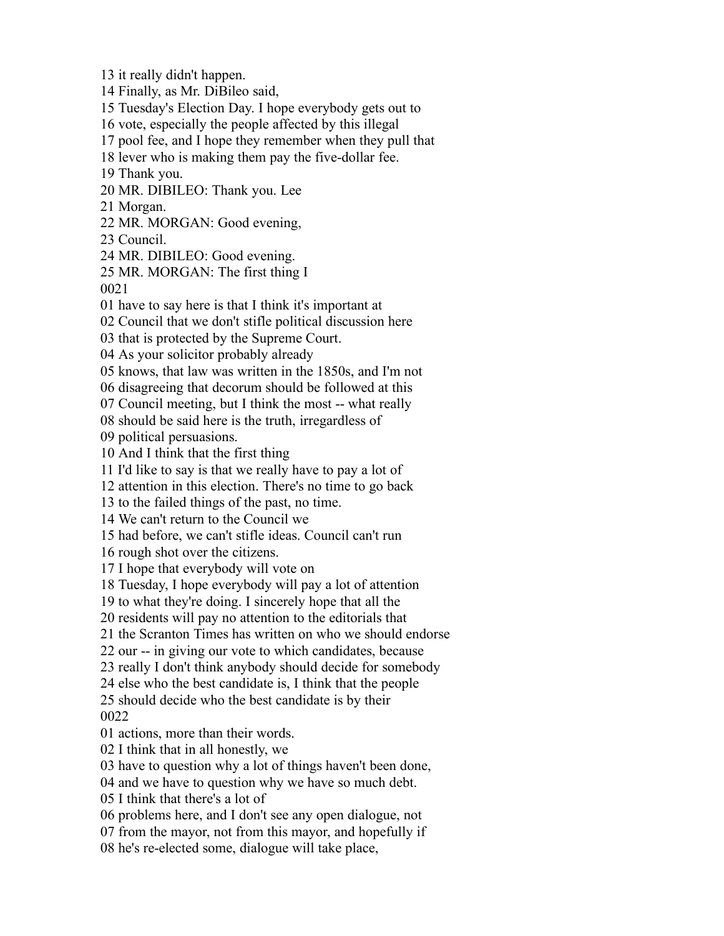it really didn't happen.

Finally, as Mr. DiBileo said,

Tuesday's Election Day. I hope everybody gets out to

vote, especially the people affected by this illegal

pool fee, and I hope they remember when they pull that

lever who is making them pay the five-dollar fee.

Thank you.

MR. DIBILEO: Thank you. Lee

Morgan.

MR. MORGAN: Good evening,

Council.

MR. DIBILEO: Good evening.

MR. MORGAN: The first thing I

have to say here is that I think it's important at

Council that we don't stifle political discussion here

that is protected by the Supreme Court.

As your solicitor probably already

knows, that law was written in the 1850s, and I'm not

disagreeing that decorum should be followed at this

Council meeting, but I think the most -- what really

should be said here is the truth, irregardless of

political persuasions.

And I think that the first thing

I'd like to say is that we really have to pay a lot of

attention in this election. There's no time to go back

to the failed things of the past, no time.

We can't return to the Council we

had before, we can't stifle ideas. Council can't run

rough shot over the citizens.

I hope that everybody will vote on

Tuesday, I hope everybody will pay a lot of attention

to what they're doing. I sincerely hope that all the

residents will pay no attention to the editorials that

the Scranton Times has written on who we should endorse

our -- in giving our vote to which candidates, because

really I don't think anybody should decide for somebody

else who the best candidate is, I think that the people

 should decide who the best candidate is by their 

actions, more than their words.

I think that in all honestly, we

have to question why a lot of things haven't been done,

and we have to question why we have so much debt.

I think that there's a lot of

problems here, and I don't see any open dialogue, not

from the mayor, not from this mayor, and hopefully if

he's re-elected some, dialogue will take place,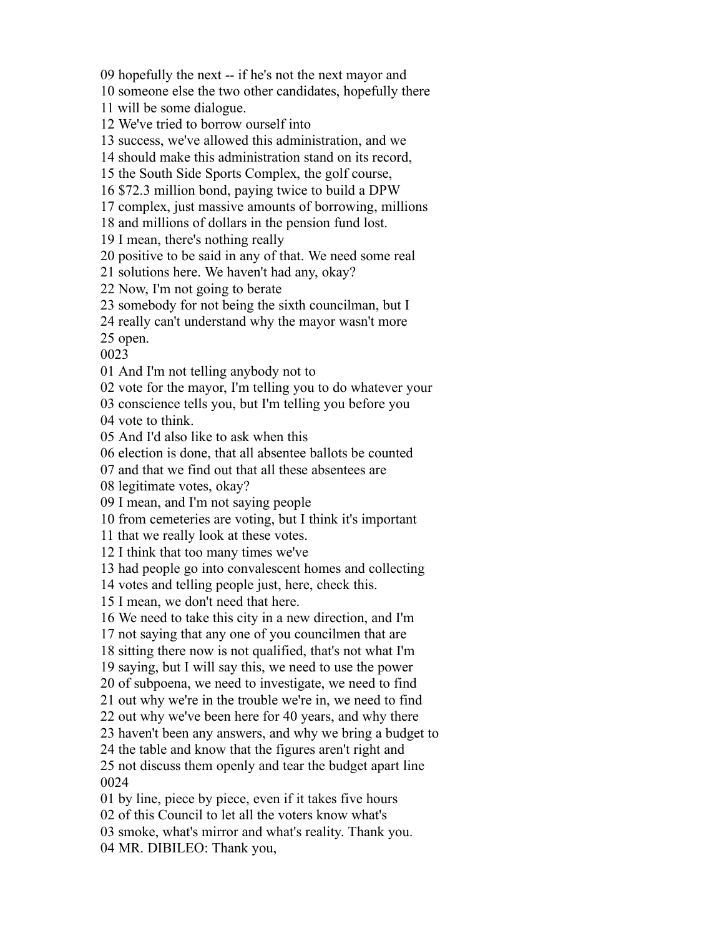hopefully the next -- if he's not the next mayor and

someone else the two other candidates, hopefully there

will be some dialogue.

We've tried to borrow ourself into

success, we've allowed this administration, and we

should make this administration stand on its record,

the South Side Sports Complex, the golf course,

\$72.3 million bond, paying twice to build a DPW

complex, just massive amounts of borrowing, millions

and millions of dollars in the pension fund lost.

I mean, there's nothing really

positive to be said in any of that. We need some real

solutions here. We haven't had any, okay?

Now, I'm not going to berate

somebody for not being the sixth councilman, but I

really can't understand why the mayor wasn't more

open.

And I'm not telling anybody not to

vote for the mayor, I'm telling you to do whatever your

conscience tells you, but I'm telling you before you

vote to think.

And I'd also like to ask when this

election is done, that all absentee ballots be counted

and that we find out that all these absentees are

legitimate votes, okay?

I mean, and I'm not saying people

from cemeteries are voting, but I think it's important

that we really look at these votes.

I think that too many times we've

had people go into convalescent homes and collecting

votes and telling people just, here, check this.

I mean, we don't need that here.

We need to take this city in a new direction, and I'm

not saying that any one of you councilmen that are

sitting there now is not qualified, that's not what I'm

saying, but I will say this, we need to use the power

of subpoena, we need to investigate, we need to find

out why we're in the trouble we're in, we need to find

out why we've been here for 40 years, and why there

haven't been any answers, and why we bring a budget to

the table and know that the figures aren't right and

 not discuss them openly and tear the budget apart line 

by line, piece by piece, even if it takes five hours

of this Council to let all the voters know what's

smoke, what's mirror and what's reality. Thank you.

MR. DIBILEO: Thank you,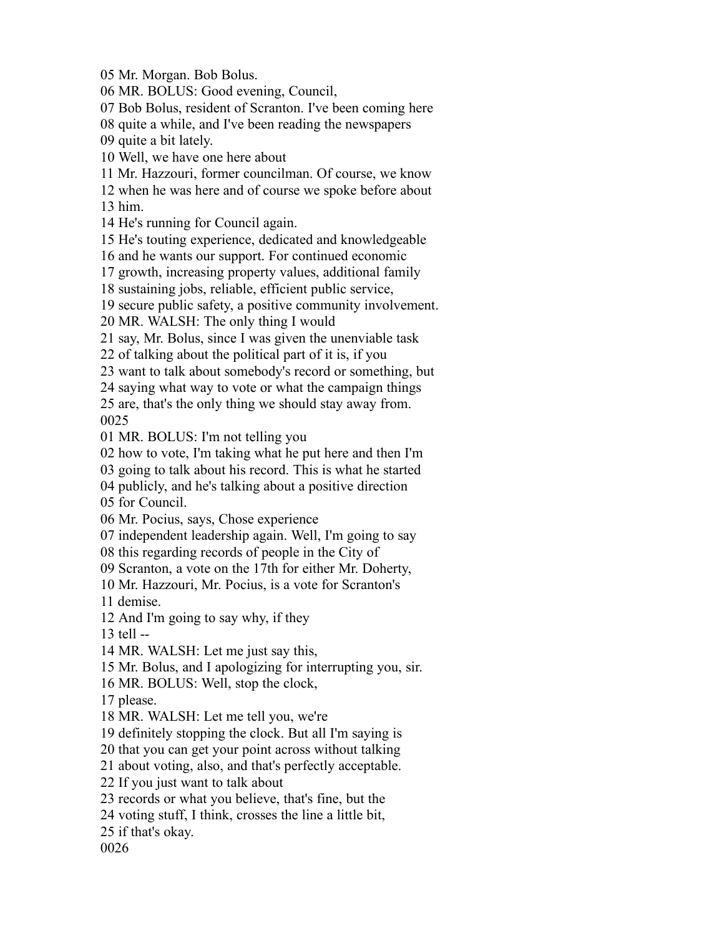Mr. Morgan. Bob Bolus.

MR. BOLUS: Good evening, Council,

Bob Bolus, resident of Scranton. I've been coming here

quite a while, and I've been reading the newspapers

quite a bit lately.

Well, we have one here about

Mr. Hazzouri, former councilman. Of course, we know

when he was here and of course we spoke before about

him.

He's running for Council again.

He's touting experience, dedicated and knowledgeable

and he wants our support. For continued economic

growth, increasing property values, additional family

sustaining jobs, reliable, efficient public service,

secure public safety, a positive community involvement.

MR. WALSH: The only thing I would

say, Mr. Bolus, since I was given the unenviable task

of talking about the political part of it is, if you

want to talk about somebody's record or something, but

saying what way to vote or what the campaign things

 are, that's the only thing we should stay away from. 

MR. BOLUS: I'm not telling you

how to vote, I'm taking what he put here and then I'm

going to talk about his record. This is what he started

publicly, and he's talking about a positive direction

for Council.

Mr. Pocius, says, Chose experience

independent leadership again. Well, I'm going to say

this regarding records of people in the City of

Scranton, a vote on the 17th for either Mr. Doherty,

Mr. Hazzouri, Mr. Pocius, is a vote for Scranton's

demise.

And I'm going to say why, if they

tell --

MR. WALSH: Let me just say this,

Mr. Bolus, and I apologizing for interrupting you, sir.

MR. BOLUS: Well, stop the clock,

please.

MR. WALSH: Let me tell you, we're

definitely stopping the clock. But all I'm saying is

that you can get your point across without talking

about voting, also, and that's perfectly acceptable.

If you just want to talk about

records or what you believe, that's fine, but the

voting stuff, I think, crosses the line a little bit,

if that's okay.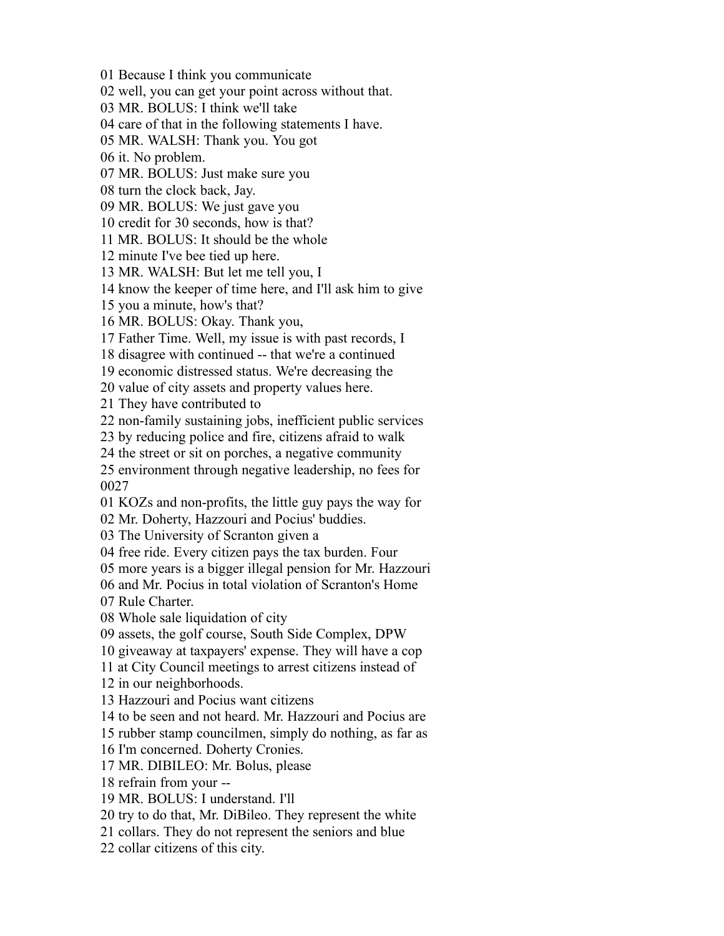Because I think you communicate well, you can get your point across without that. MR. BOLUS: I think we'll take care of that in the following statements I have. MR. WALSH: Thank you. You got it. No problem. MR. BOLUS: Just make sure you turn the clock back, Jay. MR. BOLUS: We just gave you credit for 30 seconds, how is that? MR. BOLUS: It should be the whole minute I've bee tied up here. MR. WALSH: But let me tell you, I know the keeper of time here, and I'll ask him to give you a minute, how's that? MR. BOLUS: Okay. Thank you, Father Time. Well, my issue is with past records, I disagree with continued -- that we're a continued economic distressed status. We're decreasing the value of city assets and property values here. They have contributed to non-family sustaining jobs, inefficient public services by reducing police and fire, citizens afraid to walk the street or sit on porches, a negative community environment through negative leadership, no fees for KOZs and non-profits, the little guy pays the way for Mr. Doherty, Hazzouri and Pocius' buddies. The University of Scranton given a free ride. Every citizen pays the tax burden. Four more years is a bigger illegal pension for Mr. Hazzouri and Mr. Pocius in total violation of Scranton's Home Rule Charter. Whole sale liquidation of city assets, the golf course, South Side Complex, DPW giveaway at taxpayers' expense. They will have a cop at City Council meetings to arrest citizens instead of in our neighborhoods. Hazzouri and Pocius want citizens to be seen and not heard. Mr. Hazzouri and Pocius are rubber stamp councilmen, simply do nothing, as far as I'm concerned. Doherty Cronies. MR. DIBILEO: Mr. Bolus, please refrain from your -- MR. BOLUS: I understand. I'll try to do that, Mr. DiBileo. They represent the white collars. They do not represent the seniors and blue collar citizens of this city.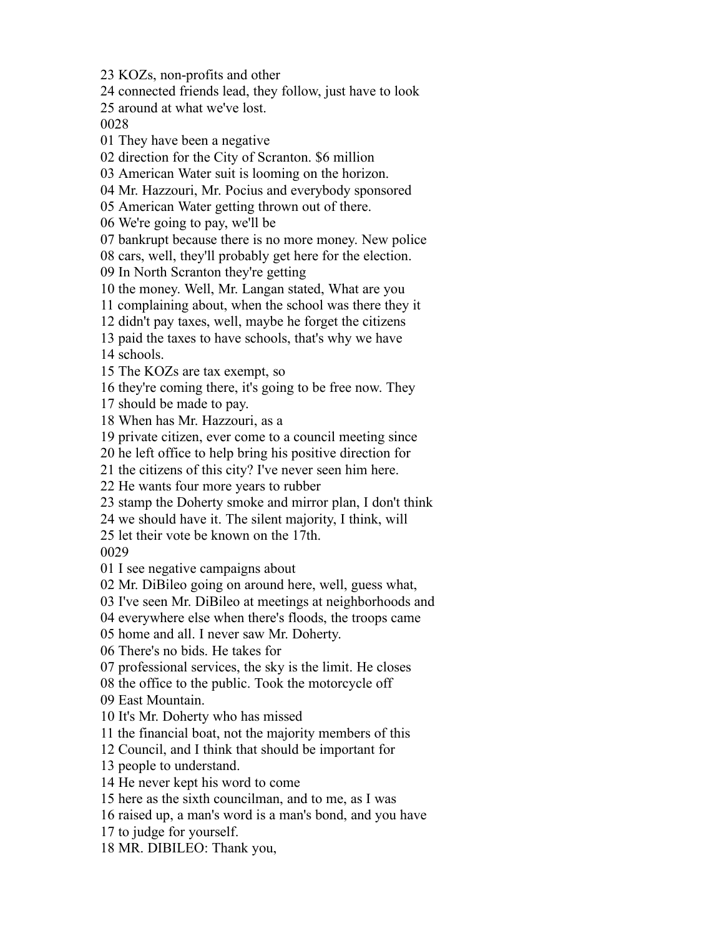KOZs, non-profits and other

connected friends lead, they follow, just have to look

around at what we've lost.

They have been a negative

direction for the City of Scranton. \$6 million

American Water suit is looming on the horizon.

Mr. Hazzouri, Mr. Pocius and everybody sponsored

American Water getting thrown out of there.

We're going to pay, we'll be

bankrupt because there is no more money. New police

cars, well, they'll probably get here for the election.

In North Scranton they're getting

the money. Well, Mr. Langan stated, What are you

complaining about, when the school was there they it

didn't pay taxes, well, maybe he forget the citizens

paid the taxes to have schools, that's why we have

schools.

The KOZs are tax exempt, so

they're coming there, it's going to be free now. They

should be made to pay.

When has Mr. Hazzouri, as a

private citizen, ever come to a council meeting since

he left office to help bring his positive direction for

the citizens of this city? I've never seen him here.

He wants four more years to rubber

stamp the Doherty smoke and mirror plan, I don't think

we should have it. The silent majority, I think, will

let their vote be known on the 17th.

I see negative campaigns about

Mr. DiBileo going on around here, well, guess what,

I've seen Mr. DiBileo at meetings at neighborhoods and

everywhere else when there's floods, the troops came

home and all. I never saw Mr. Doherty.

There's no bids. He takes for

professional services, the sky is the limit. He closes

the office to the public. Took the motorcycle off

East Mountain.

It's Mr. Doherty who has missed

the financial boat, not the majority members of this

Council, and I think that should be important for

people to understand.

He never kept his word to come

here as the sixth councilman, and to me, as I was

raised up, a man's word is a man's bond, and you have

to judge for yourself.

MR. DIBILEO: Thank you,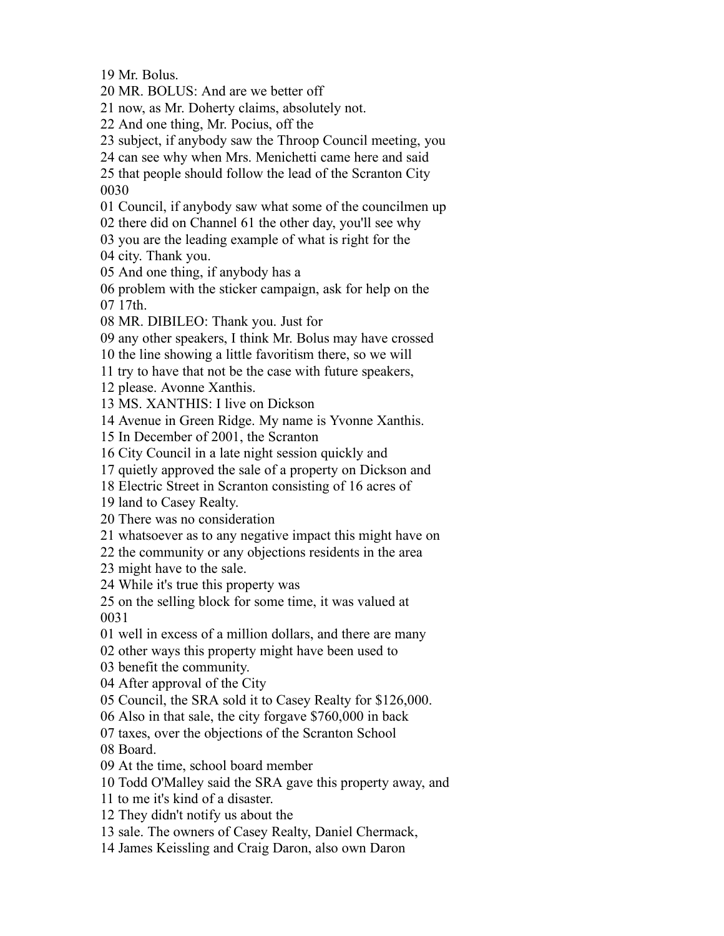Mr. Bolus.

MR. BOLUS: And are we better off

now, as Mr. Doherty claims, absolutely not.

And one thing, Mr. Pocius, off the

subject, if anybody saw the Throop Council meeting, you

can see why when Mrs. Menichetti came here and said

 that people should follow the lead of the Scranton City 

Council, if anybody saw what some of the councilmen up

there did on Channel 61 the other day, you'll see why

you are the leading example of what is right for the

city. Thank you.

And one thing, if anybody has a

 problem with the sticker campaign, ask for help on the 17th.

MR. DIBILEO: Thank you. Just for

any other speakers, I think Mr. Bolus may have crossed

the line showing a little favoritism there, so we will

try to have that not be the case with future speakers,

please. Avonne Xanthis.

MS. XANTHIS: I live on Dickson

Avenue in Green Ridge. My name is Yvonne Xanthis.

In December of 2001, the Scranton

City Council in a late night session quickly and

quietly approved the sale of a property on Dickson and

Electric Street in Scranton consisting of 16 acres of

land to Casey Realty.

There was no consideration

whatsoever as to any negative impact this might have on

the community or any objections residents in the area

might have to the sale.

While it's true this property was

 on the selling block for some time, it was valued at 

well in excess of a million dollars, and there are many

other ways this property might have been used to

benefit the community.

After approval of the City

Council, the SRA sold it to Casey Realty for \$126,000.

Also in that sale, the city forgave \$760,000 in back

taxes, over the objections of the Scranton School

Board.

At the time, school board member

Todd O'Malley said the SRA gave this property away, and

to me it's kind of a disaster.

They didn't notify us about the

sale. The owners of Casey Realty, Daniel Chermack,

James Keissling and Craig Daron, also own Daron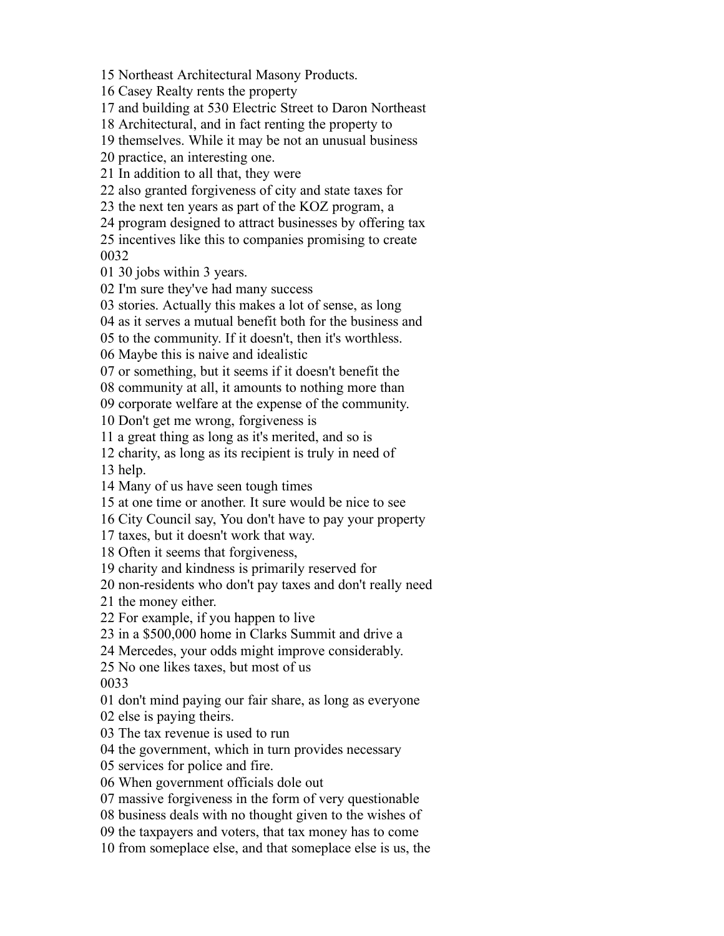Northeast Architectural Masony Products.

Casey Realty rents the property

and building at 530 Electric Street to Daron Northeast

Architectural, and in fact renting the property to

themselves. While it may be not an unusual business

practice, an interesting one.

In addition to all that, they were

also granted forgiveness of city and state taxes for

the next ten years as part of the KOZ program, a

program designed to attract businesses by offering tax

 incentives like this to companies promising to create 

30 jobs within 3 years.

I'm sure they've had many success

stories. Actually this makes a lot of sense, as long

as it serves a mutual benefit both for the business and

to the community. If it doesn't, then it's worthless.

Maybe this is naive and idealistic

or something, but it seems if it doesn't benefit the

community at all, it amounts to nothing more than

corporate welfare at the expense of the community.

Don't get me wrong, forgiveness is

a great thing as long as it's merited, and so is

charity, as long as its recipient is truly in need of

help.

Many of us have seen tough times

at one time or another. It sure would be nice to see

City Council say, You don't have to pay your property

taxes, but it doesn't work that way.

Often it seems that forgiveness,

charity and kindness is primarily reserved for

non-residents who don't pay taxes and don't really need

the money either.

For example, if you happen to live

in a \$500,000 home in Clarks Summit and drive a

Mercedes, your odds might improve considerably.

No one likes taxes, but most of us

don't mind paying our fair share, as long as everyone

else is paying theirs.

The tax revenue is used to run

the government, which in turn provides necessary

services for police and fire.

When government officials dole out

massive forgiveness in the form of very questionable

business deals with no thought given to the wishes of

the taxpayers and voters, that tax money has to come

from someplace else, and that someplace else is us, the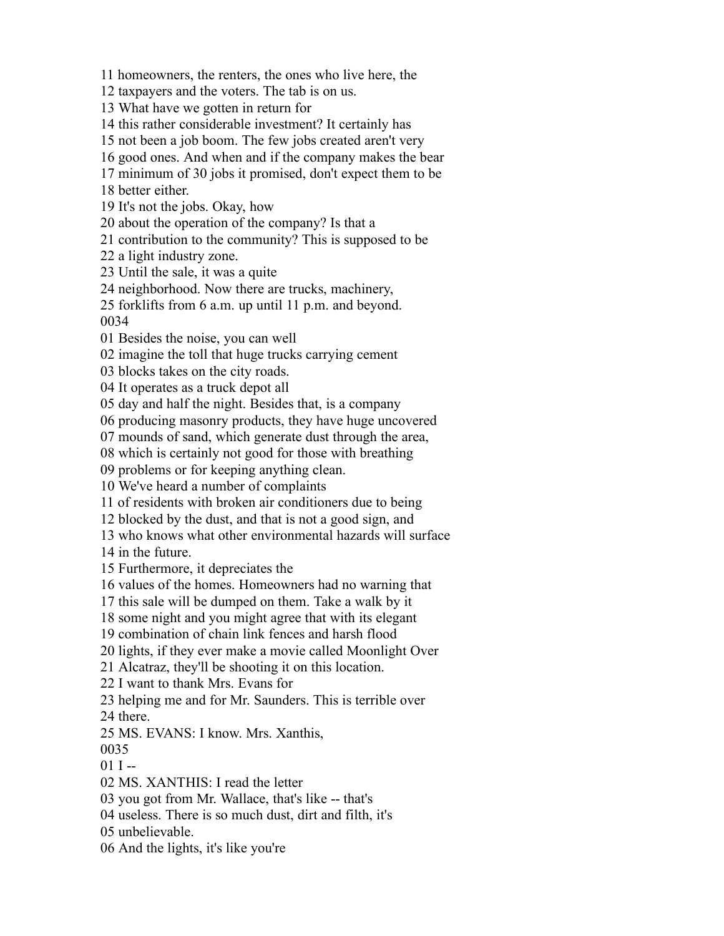homeowners, the renters, the ones who live here, the

taxpayers and the voters. The tab is on us.

What have we gotten in return for

this rather considerable investment? It certainly has

not been a job boom. The few jobs created aren't very

good ones. And when and if the company makes the bear

minimum of 30 jobs it promised, don't expect them to be

better either.

It's not the jobs. Okay, how

about the operation of the company? Is that a

contribution to the community? This is supposed to be

a light industry zone.

Until the sale, it was a quite

neighborhood. Now there are trucks, machinery,

 forklifts from 6 a.m. up until 11 p.m. and beyond. 

Besides the noise, you can well

imagine the toll that huge trucks carrying cement

blocks takes on the city roads.

It operates as a truck depot all

day and half the night. Besides that, is a company

producing masonry products, they have huge uncovered

mounds of sand, which generate dust through the area,

which is certainly not good for those with breathing

problems or for keeping anything clean.

We've heard a number of complaints

of residents with broken air conditioners due to being

blocked by the dust, and that is not a good sign, and

who knows what other environmental hazards will surface

in the future.

Furthermore, it depreciates the

values of the homes. Homeowners had no warning that

this sale will be dumped on them. Take a walk by it

some night and you might agree that with its elegant

combination of chain link fences and harsh flood

lights, if they ever make a movie called Moonlight Over

Alcatraz, they'll be shooting it on this location.

I want to thank Mrs. Evans for

helping me and for Mr. Saunders. This is terrible over

there.

MS. EVANS: I know. Mrs. Xanthis,

 $01 I -$ 

MS. XANTHIS: I read the letter

you got from Mr. Wallace, that's like -- that's

useless. There is so much dust, dirt and filth, it's

unbelievable.

And the lights, it's like you're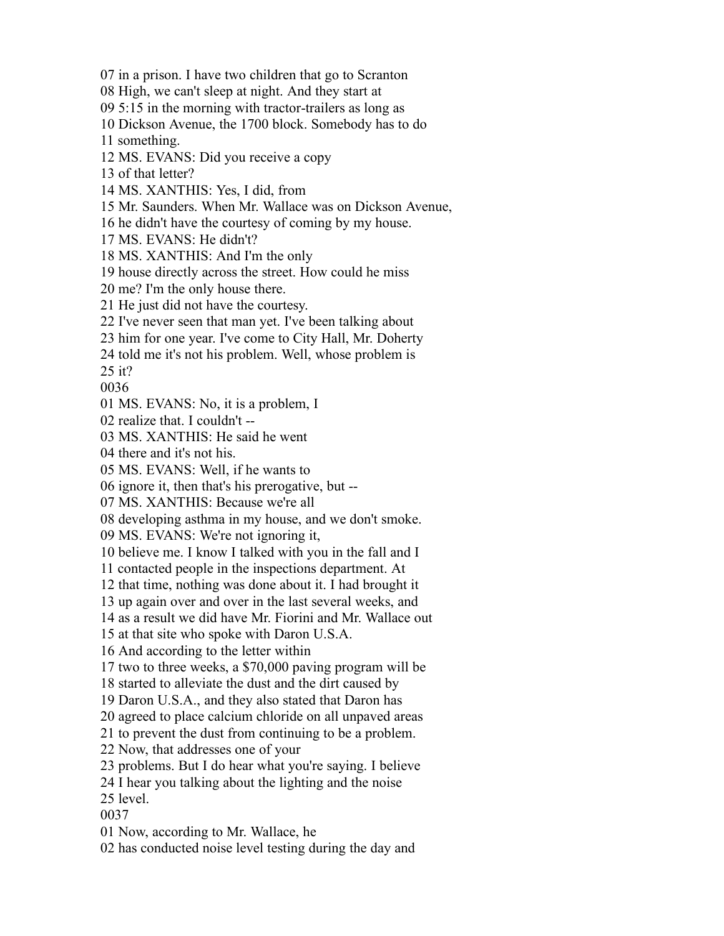in a prison. I have two children that go to Scranton

High, we can't sleep at night. And they start at

5:15 in the morning with tractor-trailers as long as

Dickson Avenue, the 1700 block. Somebody has to do

something.

MS. EVANS: Did you receive a copy

of that letter?

MS. XANTHIS: Yes, I did, from

Mr. Saunders. When Mr. Wallace was on Dickson Avenue,

he didn't have the courtesy of coming by my house.

MS. EVANS: He didn't?

MS. XANTHIS: And I'm the only

house directly across the street. How could he miss

me? I'm the only house there.

He just did not have the courtesy.

I've never seen that man yet. I've been talking about

him for one year. I've come to City Hall, Mr. Doherty

told me it's not his problem. Well, whose problem is

it?

MS. EVANS: No, it is a problem, I

realize that. I couldn't --

MS. XANTHIS: He said he went

there and it's not his.

MS. EVANS: Well, if he wants to

ignore it, then that's his prerogative, but --

MS. XANTHIS: Because we're all

developing asthma in my house, and we don't smoke.

MS. EVANS: We're not ignoring it,

believe me. I know I talked with you in the fall and I

contacted people in the inspections department. At

that time, nothing was done about it. I had brought it

up again over and over in the last several weeks, and

as a result we did have Mr. Fiorini and Mr. Wallace out

at that site who spoke with Daron U.S.A.

And according to the letter within

two to three weeks, a \$70,000 paving program will be

started to alleviate the dust and the dirt caused by

Daron U.S.A., and they also stated that Daron has

agreed to place calcium chloride on all unpaved areas

to prevent the dust from continuing to be a problem.

Now, that addresses one of your

problems. But I do hear what you're saying. I believe

I hear you talking about the lighting and the noise

level.

Now, according to Mr. Wallace, he

has conducted noise level testing during the day and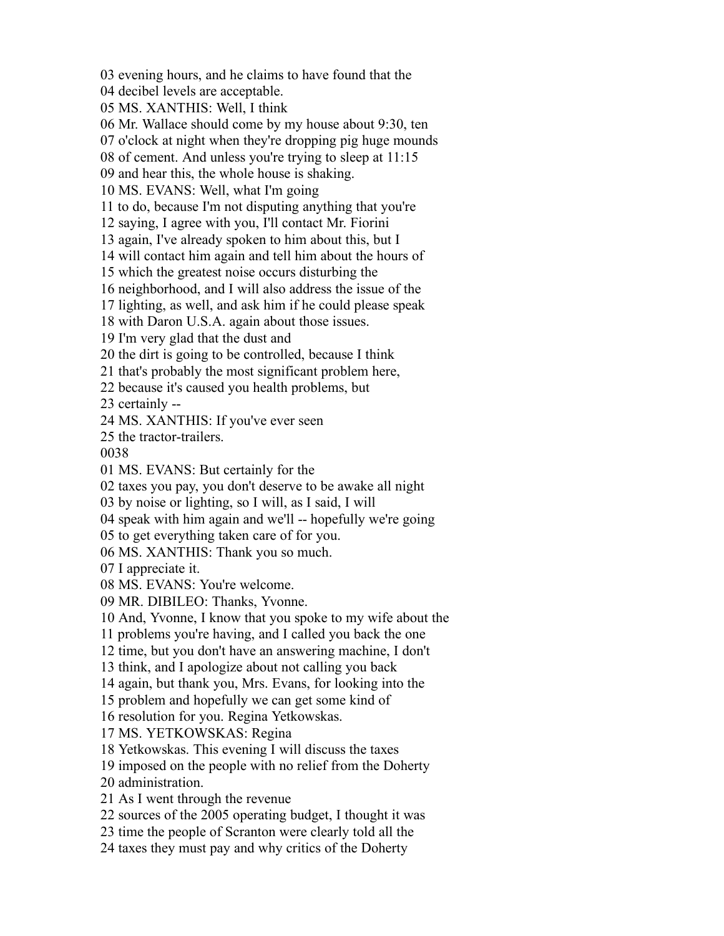evening hours, and he claims to have found that the

decibel levels are acceptable.

MS. XANTHIS: Well, I think

Mr. Wallace should come by my house about 9:30, ten

o'clock at night when they're dropping pig huge mounds

of cement. And unless you're trying to sleep at 11:15

and hear this, the whole house is shaking.

MS. EVANS: Well, what I'm going

to do, because I'm not disputing anything that you're

saying, I agree with you, I'll contact Mr. Fiorini

again, I've already spoken to him about this, but I

will contact him again and tell him about the hours of

which the greatest noise occurs disturbing the

neighborhood, and I will also address the issue of the

lighting, as well, and ask him if he could please speak

with Daron U.S.A. again about those issues.

I'm very glad that the dust and

the dirt is going to be controlled, because I think

that's probably the most significant problem here,

because it's caused you health problems, but

certainly --

MS. XANTHIS: If you've ever seen

the tractor-trailers.

MS. EVANS: But certainly for the

taxes you pay, you don't deserve to be awake all night

by noise or lighting, so I will, as I said, I will

speak with him again and we'll -- hopefully we're going

to get everything taken care of for you.

MS. XANTHIS: Thank you so much.

I appreciate it.

MS. EVANS: You're welcome.

MR. DIBILEO: Thanks, Yvonne.

And, Yvonne, I know that you spoke to my wife about the

problems you're having, and I called you back the one

time, but you don't have an answering machine, I don't

think, and I apologize about not calling you back

again, but thank you, Mrs. Evans, for looking into the

problem and hopefully we can get some kind of

resolution for you. Regina Yetkowskas.

MS. YETKOWSKAS: Regina

Yetkowskas. This evening I will discuss the taxes

imposed on the people with no relief from the Doherty

administration.

As I went through the revenue

sources of the 2005 operating budget, I thought it was

time the people of Scranton were clearly told all the

taxes they must pay and why critics of the Doherty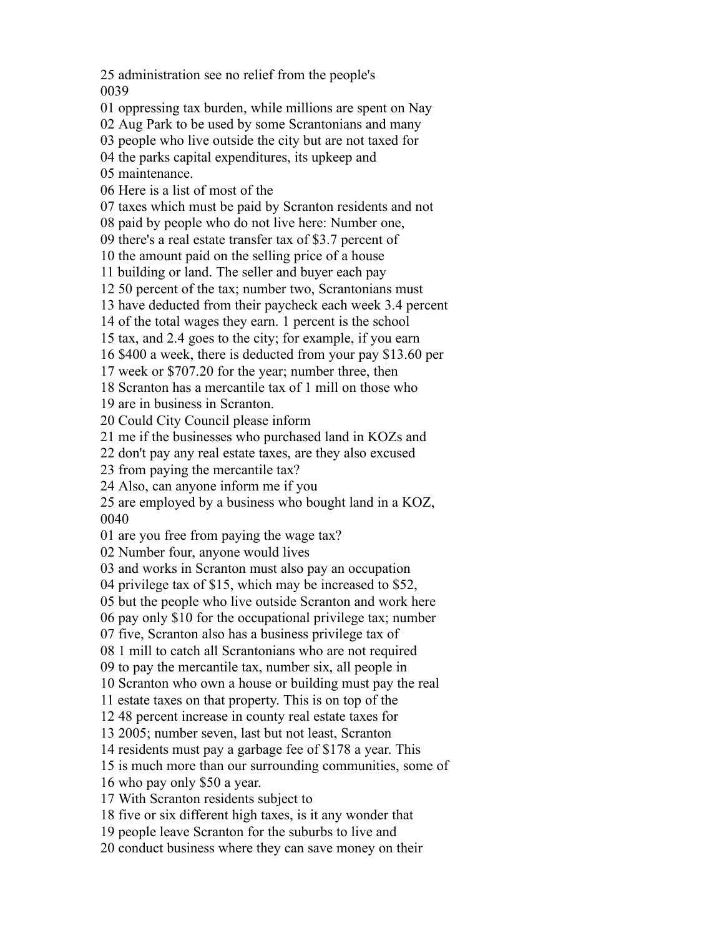administration see no relief from the people's 

oppressing tax burden, while millions are spent on Nay

Aug Park to be used by some Scrantonians and many

people who live outside the city but are not taxed for

the parks capital expenditures, its upkeep and

maintenance.

Here is a list of most of the

taxes which must be paid by Scranton residents and not

paid by people who do not live here: Number one,

there's a real estate transfer tax of \$3.7 percent of

the amount paid on the selling price of a house

building or land. The seller and buyer each pay

50 percent of the tax; number two, Scrantonians must

have deducted from their paycheck each week 3.4 percent

of the total wages they earn. 1 percent is the school

tax, and 2.4 goes to the city; for example, if you earn

\$400 a week, there is deducted from your pay \$13.60 per

week or \$707.20 for the year; number three, then

Scranton has a mercantile tax of 1 mill on those who

are in business in Scranton.

Could City Council please inform

me if the businesses who purchased land in KOZs and

don't pay any real estate taxes, are they also excused

from paying the mercantile tax?

Also, can anyone inform me if you

 are employed by a business who bought land in a KOZ, 

are you free from paying the wage tax?

Number four, anyone would lives

and works in Scranton must also pay an occupation

privilege tax of \$15, which may be increased to \$52,

but the people who live outside Scranton and work here

pay only \$10 for the occupational privilege tax; number

five, Scranton also has a business privilege tax of

1 mill to catch all Scrantonians who are not required

to pay the mercantile tax, number six, all people in

Scranton who own a house or building must pay the real

estate taxes on that property. This is on top of the

48 percent increase in county real estate taxes for

2005; number seven, last but not least, Scranton

residents must pay a garbage fee of \$178 a year. This

is much more than our surrounding communities, some of

who pay only \$50 a year.

With Scranton residents subject to

five or six different high taxes, is it any wonder that

people leave Scranton for the suburbs to live and

conduct business where they can save money on their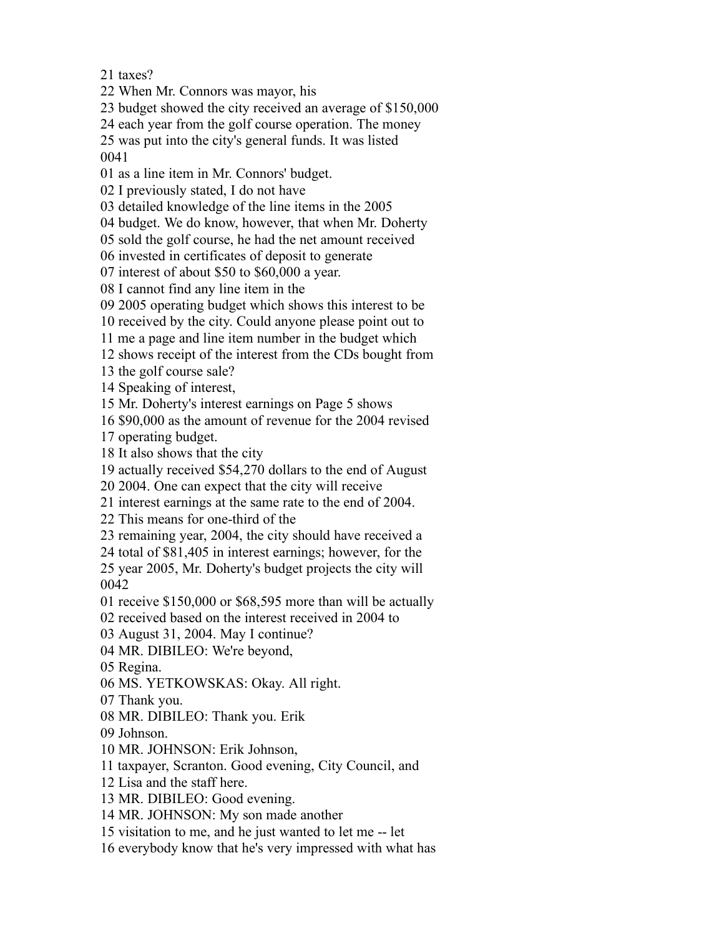taxes?

When Mr. Connors was mayor, his

budget showed the city received an average of \$150,000

each year from the golf course operation. The money

was put into the city's general funds. It was listed

as a line item in Mr. Connors' budget.

I previously stated, I do not have

detailed knowledge of the line items in the 2005

budget. We do know, however, that when Mr. Doherty

sold the golf course, he had the net amount received

invested in certificates of deposit to generate

interest of about \$50 to \$60,000 a year.

I cannot find any line item in the

2005 operating budget which shows this interest to be

received by the city. Could anyone please point out to

me a page and line item number in the budget which

shows receipt of the interest from the CDs bought from

the golf course sale?

Speaking of interest,

Mr. Doherty's interest earnings on Page 5 shows

\$90,000 as the amount of revenue for the 2004 revised

operating budget.

It also shows that the city

actually received \$54,270 dollars to the end of August

2004. One can expect that the city will receive

interest earnings at the same rate to the end of 2004.

This means for one-third of the

remaining year, 2004, the city should have received a

total of \$81,405 in interest earnings; however, for the

 year 2005, Mr. Doherty's budget projects the city will 

receive \$150,000 or \$68,595 more than will be actually

received based on the interest received in 2004 to

August 31, 2004. May I continue?

MR. DIBILEO: We're beyond,

Regina.

MS. YETKOWSKAS: Okay. All right.

Thank you.

MR. DIBILEO: Thank you. Erik

Johnson.

MR. JOHNSON: Erik Johnson,

taxpayer, Scranton. Good evening, City Council, and

Lisa and the staff here.

MR. DIBILEO: Good evening.

MR. JOHNSON: My son made another

visitation to me, and he just wanted to let me -- let

everybody know that he's very impressed with what has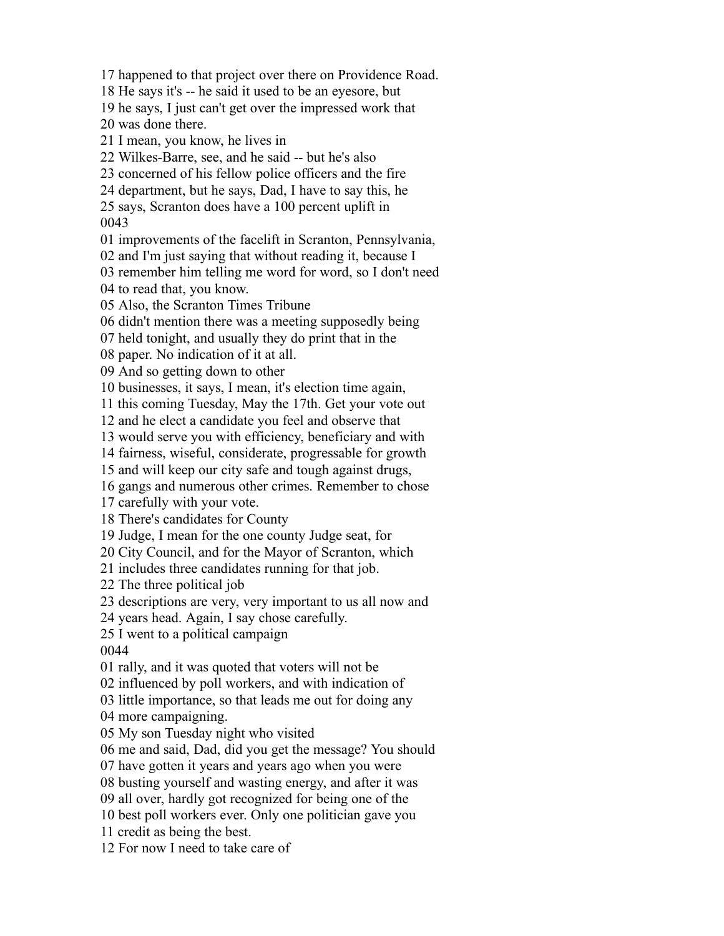happened to that project over there on Providence Road. He says it's -- he said it used to be an eyesore, but he says, I just can't get over the impressed work that was done there. I mean, you know, he lives in Wilkes-Barre, see, and he said -- but he's also concerned of his fellow police officers and the fire department, but he says, Dad, I have to say this, he says, Scranton does have a 100 percent uplift in improvements of the facelift in Scranton, Pennsylvania, and I'm just saying that without reading it, because I remember him telling me word for word, so I don't need to read that, you know. Also, the Scranton Times Tribune didn't mention there was a meeting supposedly being held tonight, and usually they do print that in the paper. No indication of it at all. And so getting down to other businesses, it says, I mean, it's election time again, this coming Tuesday, May the 17th. Get your vote out and he elect a candidate you feel and observe that would serve you with efficiency, beneficiary and with fairness, wiseful, considerate, progressable for growth and will keep our city safe and tough against drugs, gangs and numerous other crimes. Remember to chose carefully with your vote. There's candidates for County Judge, I mean for the one county Judge seat, for City Council, and for the Mayor of Scranton, which includes three candidates running for that job. The three political job descriptions are very, very important to us all now and years head. Again, I say chose carefully. I went to a political campaign rally, and it was quoted that voters will not be influenced by poll workers, and with indication of little importance, so that leads me out for doing any more campaigning. My son Tuesday night who visited me and said, Dad, did you get the message? You should have gotten it years and years ago when you were busting yourself and wasting energy, and after it was all over, hardly got recognized for being one of the best poll workers ever. Only one politician gave you credit as being the best. For now I need to take care of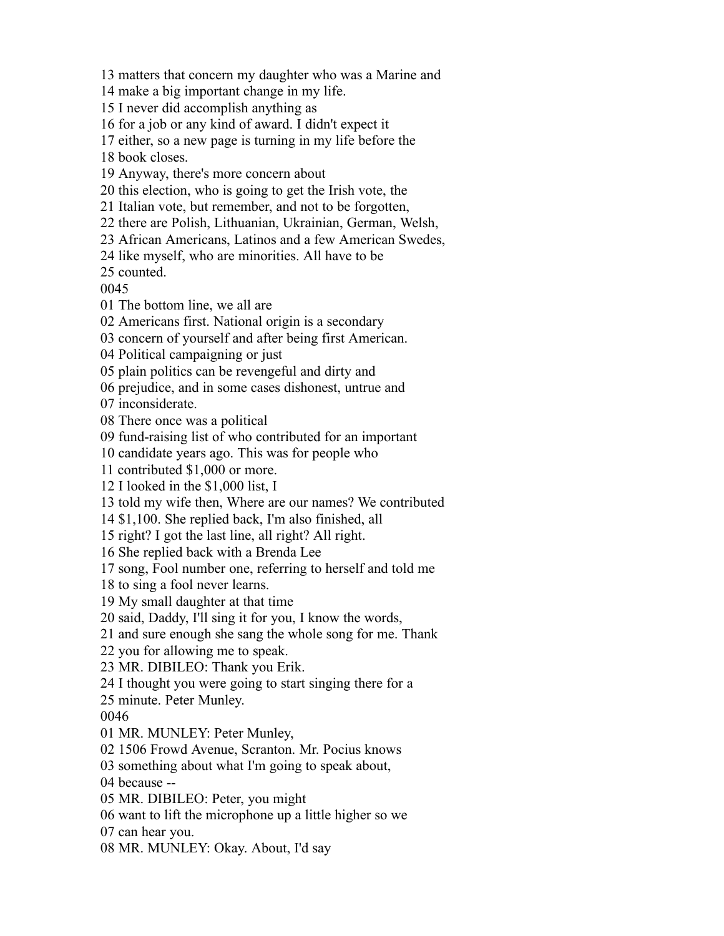matters that concern my daughter who was a Marine and make a big important change in my life. I never did accomplish anything as for a job or any kind of award. I didn't expect it either, so a new page is turning in my life before the book closes. Anyway, there's more concern about this election, who is going to get the Irish vote, the Italian vote, but remember, and not to be forgotten, there are Polish, Lithuanian, Ukrainian, German, Welsh, African Americans, Latinos and a few American Swedes, like myself, who are minorities. All have to be counted. The bottom line, we all are Americans first. National origin is a secondary concern of yourself and after being first American. Political campaigning or just plain politics can be revengeful and dirty and prejudice, and in some cases dishonest, untrue and inconsiderate. There once was a political fund-raising list of who contributed for an important candidate years ago. This was for people who contributed \$1,000 or more. I looked in the \$1,000 list, I told my wife then, Where are our names? We contributed \$1,100. She replied back, I'm also finished, all right? I got the last line, all right? All right. She replied back with a Brenda Lee song, Fool number one, referring to herself and told me to sing a fool never learns. My small daughter at that time said, Daddy, I'll sing it for you, I know the words, and sure enough she sang the whole song for me. Thank you for allowing me to speak. MR. DIBILEO: Thank you Erik. I thought you were going to start singing there for a minute. Peter Munley. MR. MUNLEY: Peter Munley, 1506 Frowd Avenue, Scranton. Mr. Pocius knows something about what I'm going to speak about, because -- MR. DIBILEO: Peter, you might want to lift the microphone up a little higher so we can hear you. MR. MUNLEY: Okay. About, I'd say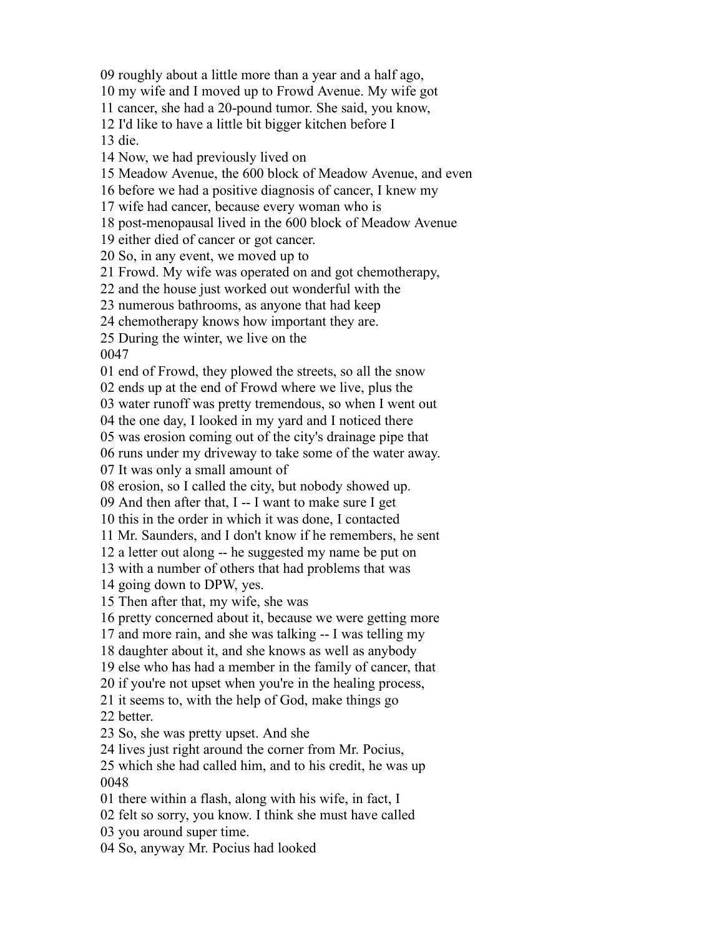roughly about a little more than a year and a half ago,

my wife and I moved up to Frowd Avenue. My wife got

cancer, she had a 20-pound tumor. She said, you know,

I'd like to have a little bit bigger kitchen before I

die.

Now, we had previously lived on

Meadow Avenue, the 600 block of Meadow Avenue, and even

before we had a positive diagnosis of cancer, I knew my

wife had cancer, because every woman who is

post-menopausal lived in the 600 block of Meadow Avenue

either died of cancer or got cancer.

So, in any event, we moved up to

Frowd. My wife was operated on and got chemotherapy,

and the house just worked out wonderful with the

numerous bathrooms, as anyone that had keep

chemotherapy knows how important they are.

During the winter, we live on the

end of Frowd, they plowed the streets, so all the snow

ends up at the end of Frowd where we live, plus the

water runoff was pretty tremendous, so when I went out

the one day, I looked in my yard and I noticed there

was erosion coming out of the city's drainage pipe that

runs under my driveway to take some of the water away.

It was only a small amount of

erosion, so I called the city, but nobody showed up.

And then after that, I -- I want to make sure I get

this in the order in which it was done, I contacted

Mr. Saunders, and I don't know if he remembers, he sent

a letter out along -- he suggested my name be put on

with a number of others that had problems that was

going down to DPW, yes.

Then after that, my wife, she was

pretty concerned about it, because we were getting more

and more rain, and she was talking -- I was telling my

daughter about it, and she knows as well as anybody

else who has had a member in the family of cancer, that

if you're not upset when you're in the healing process,

it seems to, with the help of God, make things go

better.

So, she was pretty upset. And she

lives just right around the corner from Mr. Pocius,

 which she had called him, and to his credit, he was up 

there within a flash, along with his wife, in fact, I

felt so sorry, you know. I think she must have called

you around super time.

So, anyway Mr. Pocius had looked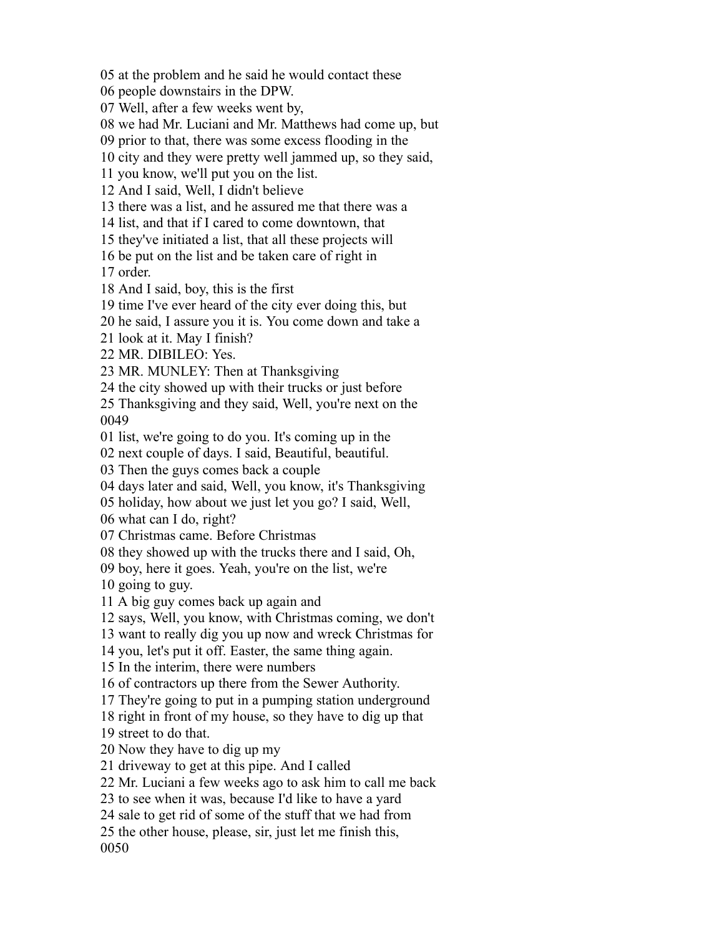at the problem and he said he would contact these

people downstairs in the DPW.

Well, after a few weeks went by,

we had Mr. Luciani and Mr. Matthews had come up, but

prior to that, there was some excess flooding in the

city and they were pretty well jammed up, so they said,

you know, we'll put you on the list.

And I said, Well, I didn't believe

there was a list, and he assured me that there was a

list, and that if I cared to come downtown, that

they've initiated a list, that all these projects will

be put on the list and be taken care of right in

order.

And I said, boy, this is the first

time I've ever heard of the city ever doing this, but

he said, I assure you it is. You come down and take a

look at it. May I finish?

MR. DIBILEO: Yes.

MR. MUNLEY: Then at Thanksgiving

the city showed up with their trucks or just before

 Thanksgiving and they said, Well, you're next on the 

list, we're going to do you. It's coming up in the

next couple of days. I said, Beautiful, beautiful.

Then the guys comes back a couple

days later and said, Well, you know, it's Thanksgiving

holiday, how about we just let you go? I said, Well,

what can I do, right?

Christmas came. Before Christmas

they showed up with the trucks there and I said, Oh,

 boy, here it goes. Yeah, you're on the list, we're going to guy.

A big guy comes back up again and

says, Well, you know, with Christmas coming, we don't

want to really dig you up now and wreck Christmas for

you, let's put it off. Easter, the same thing again.

In the interim, there were numbers

of contractors up there from the Sewer Authority.

They're going to put in a pumping station underground

right in front of my house, so they have to dig up that

street to do that.

Now they have to dig up my

driveway to get at this pipe. And I called

Mr. Luciani a few weeks ago to ask him to call me back

to see when it was, because I'd like to have a yard

sale to get rid of some of the stuff that we had from

the other house, please, sir, just let me finish this,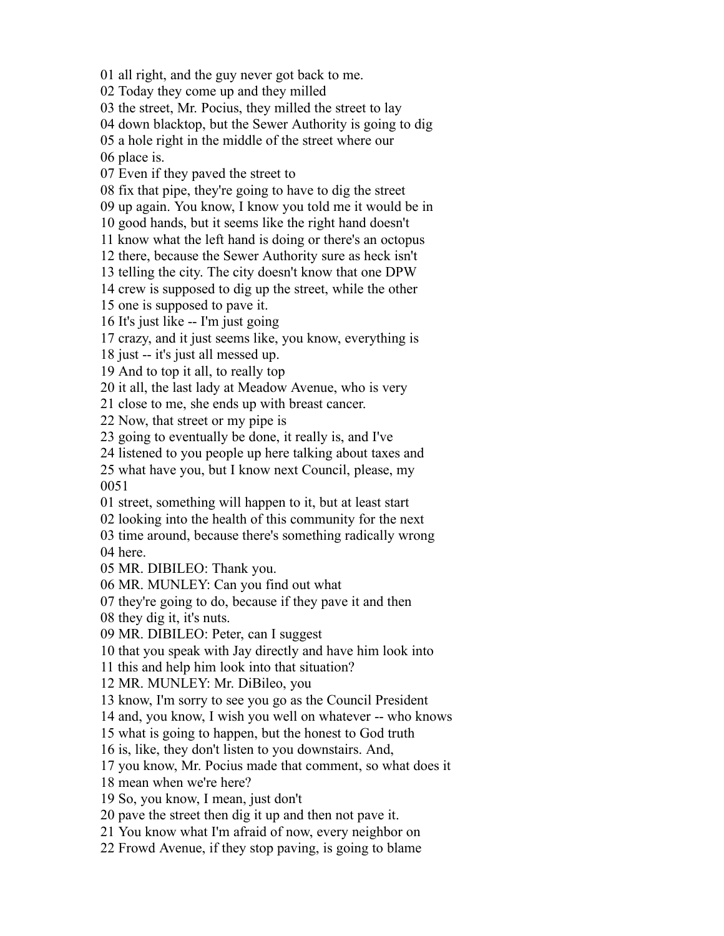all right, and the guy never got back to me.

Today they come up and they milled

the street, Mr. Pocius, they milled the street to lay

down blacktop, but the Sewer Authority is going to dig

a hole right in the middle of the street where our

place is.

Even if they paved the street to

fix that pipe, they're going to have to dig the street

up again. You know, I know you told me it would be in

good hands, but it seems like the right hand doesn't

know what the left hand is doing or there's an octopus

there, because the Sewer Authority sure as heck isn't

telling the city. The city doesn't know that one DPW

crew is supposed to dig up the street, while the other

one is supposed to pave it.

It's just like -- I'm just going

crazy, and it just seems like, you know, everything is

just -- it's just all messed up.

And to top it all, to really top

it all, the last lady at Meadow Avenue, who is very

close to me, she ends up with breast cancer.

Now, that street or my pipe is

going to eventually be done, it really is, and I've

listened to you people up here talking about taxes and

 what have you, but I know next Council, please, my 

street, something will happen to it, but at least start

looking into the health of this community for the next

 time around, because there's something radically wrong here.

MR. DIBILEO: Thank you.

MR. MUNLEY: Can you find out what

they're going to do, because if they pave it and then

they dig it, it's nuts.

MR. DIBILEO: Peter, can I suggest

that you speak with Jay directly and have him look into

this and help him look into that situation?

MR. MUNLEY: Mr. DiBileo, you

know, I'm sorry to see you go as the Council President

and, you know, I wish you well on whatever -- who knows

what is going to happen, but the honest to God truth

is, like, they don't listen to you downstairs. And,

you know, Mr. Pocius made that comment, so what does it

mean when we're here?

So, you know, I mean, just don't

pave the street then dig it up and then not pave it.

You know what I'm afraid of now, every neighbor on

Frowd Avenue, if they stop paving, is going to blame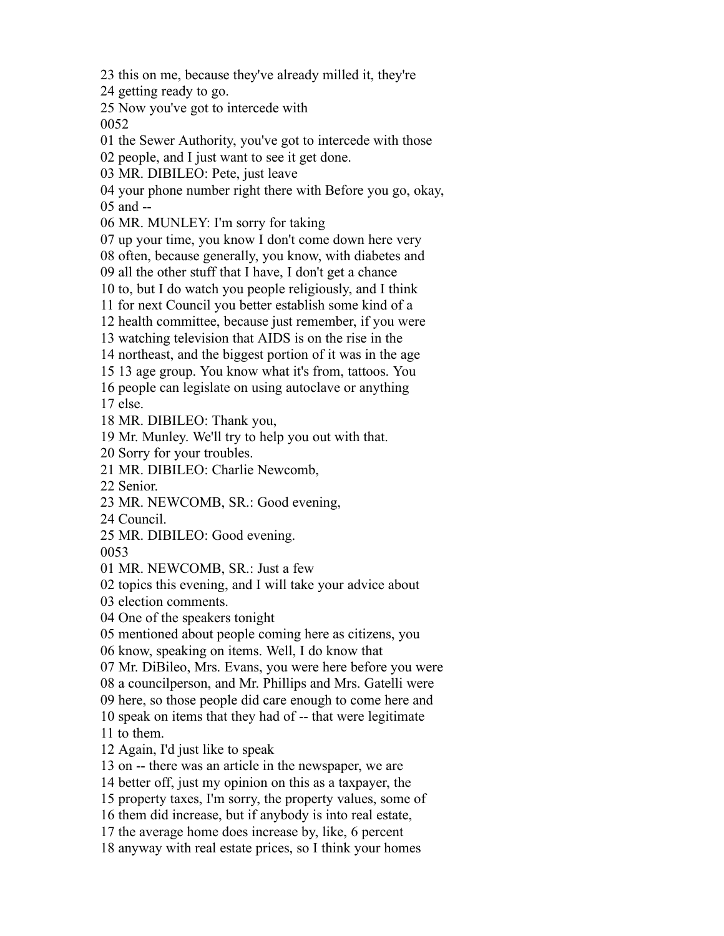this on me, because they've already milled it, they're

getting ready to go.

Now you've got to intercede with

the Sewer Authority, you've got to intercede with those

people, and I just want to see it get done.

MR. DIBILEO: Pete, just leave

your phone number right there with Before you go, okay,

and --

MR. MUNLEY: I'm sorry for taking

up your time, you know I don't come down here very

often, because generally, you know, with diabetes and

all the other stuff that I have, I don't get a chance

to, but I do watch you people religiously, and I think

for next Council you better establish some kind of a

health committee, because just remember, if you were

watching television that AIDS is on the rise in the

northeast, and the biggest portion of it was in the age

13 age group. You know what it's from, tattoos. You

people can legislate on using autoclave or anything

else.

MR. DIBILEO: Thank you,

Mr. Munley. We'll try to help you out with that.

Sorry for your troubles.

MR. DIBILEO: Charlie Newcomb,

Senior.

MR. NEWCOMB, SR.: Good evening,

Council.

MR. DIBILEO: Good evening.

MR. NEWCOMB, SR.: Just a few

topics this evening, and I will take your advice about

election comments.

One of the speakers tonight

mentioned about people coming here as citizens, you

know, speaking on items. Well, I do know that

Mr. DiBileo, Mrs. Evans, you were here before you were

a councilperson, and Mr. Phillips and Mrs. Gatelli were

here, so those people did care enough to come here and

speak on items that they had of -- that were legitimate

to them.

Again, I'd just like to speak

on -- there was an article in the newspaper, we are

better off, just my opinion on this as a taxpayer, the

property taxes, I'm sorry, the property values, some of

them did increase, but if anybody is into real estate,

the average home does increase by, like, 6 percent

anyway with real estate prices, so I think your homes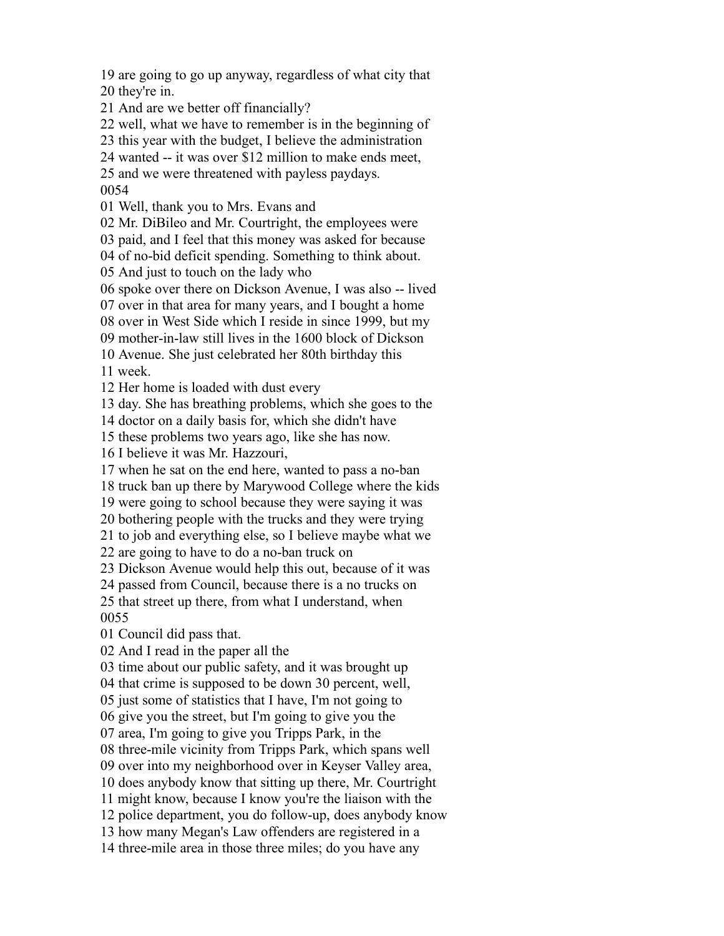are going to go up anyway, regardless of what city that they're in.

And are we better off financially?

well, what we have to remember is in the beginning of

this year with the budget, I believe the administration

wanted -- it was over \$12 million to make ends meet,

and we were threatened with payless paydays.

Well, thank you to Mrs. Evans and

Mr. DiBileo and Mr. Courtright, the employees were

paid, and I feel that this money was asked for because

of no-bid deficit spending. Something to think about.

And just to touch on the lady who

spoke over there on Dickson Avenue, I was also -- lived

over in that area for many years, and I bought a home

over in West Side which I reside in since 1999, but my

mother-in-law still lives in the 1600 block of Dickson

 Avenue. She just celebrated her 80th birthday this week.

Her home is loaded with dust every

day. She has breathing problems, which she goes to the

doctor on a daily basis for, which she didn't have

these problems two years ago, like she has now.

I believe it was Mr. Hazzouri,

when he sat on the end here, wanted to pass a no-ban

truck ban up there by Marywood College where the kids

were going to school because they were saying it was

bothering people with the trucks and they were trying

to job and everything else, so I believe maybe what we

are going to have to do a no-ban truck on

Dickson Avenue would help this out, because of it was

passed from Council, because there is a no trucks on

 that street up there, from what I understand, when 

Council did pass that.

And I read in the paper all the

time about our public safety, and it was brought up

that crime is supposed to be down 30 percent, well,

just some of statistics that I have, I'm not going to

give you the street, but I'm going to give you the

area, I'm going to give you Tripps Park, in the

three-mile vicinity from Tripps Park, which spans well

over into my neighborhood over in Keyser Valley area,

does anybody know that sitting up there, Mr. Courtright

might know, because I know you're the liaison with the

police department, you do follow-up, does anybody know

how many Megan's Law offenders are registered in a

three-mile area in those three miles; do you have any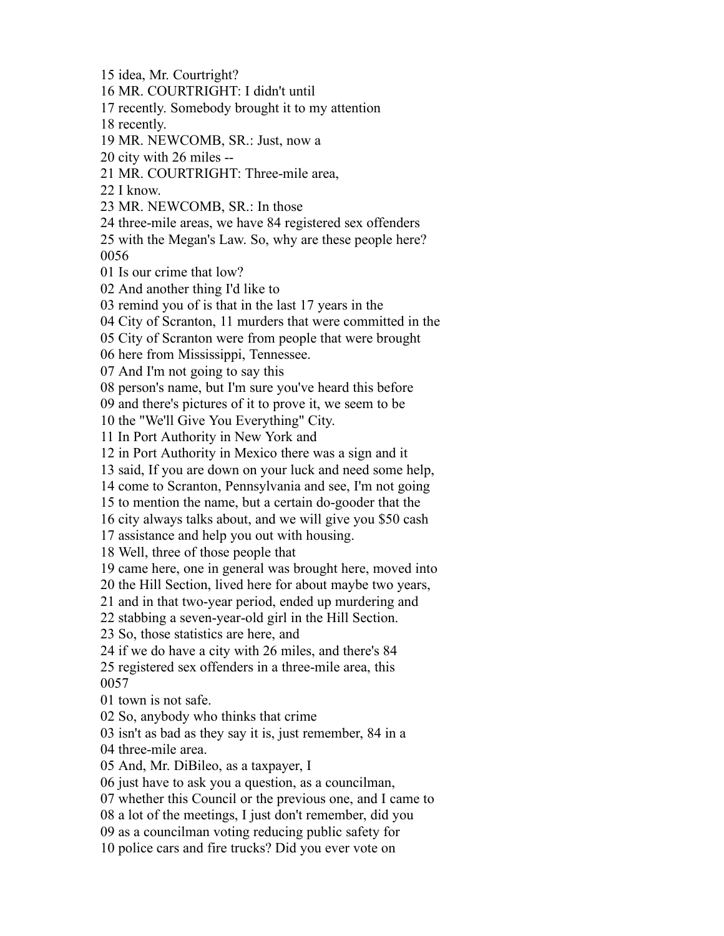idea, Mr. Courtright? MR. COURTRIGHT: I didn't until recently. Somebody brought it to my attention recently. MR. NEWCOMB, SR.: Just, now a city with 26 miles -- MR. COURTRIGHT: Three-mile area, I know. MR. NEWCOMB, SR.: In those three-mile areas, we have 84 registered sex offenders with the Megan's Law. So, why are these people here? Is our crime that low? And another thing I'd like to remind you of is that in the last 17 years in the City of Scranton, 11 murders that were committed in the City of Scranton were from people that were brought here from Mississippi, Tennessee. And I'm not going to say this person's name, but I'm sure you've heard this before and there's pictures of it to prove it, we seem to be the "We'll Give You Everything" City. In Port Authority in New York and in Port Authority in Mexico there was a sign and it said, If you are down on your luck and need some help, come to Scranton, Pennsylvania and see, I'm not going to mention the name, but a certain do-gooder that the city always talks about, and we will give you \$50 cash assistance and help you out with housing. Well, three of those people that came here, one in general was brought here, moved into the Hill Section, lived here for about maybe two years, and in that two-year period, ended up murdering and stabbing a seven-year-old girl in the Hill Section. So, those statistics are here, and if we do have a city with 26 miles, and there's 84 registered sex offenders in a three-mile area, this town is not safe. So, anybody who thinks that crime isn't as bad as they say it is, just remember, 84 in a three-mile area. And, Mr. DiBileo, as a taxpayer, I just have to ask you a question, as a councilman, whether this Council or the previous one, and I came to a lot of the meetings, I just don't remember, did you as a councilman voting reducing public safety for police cars and fire trucks? Did you ever vote on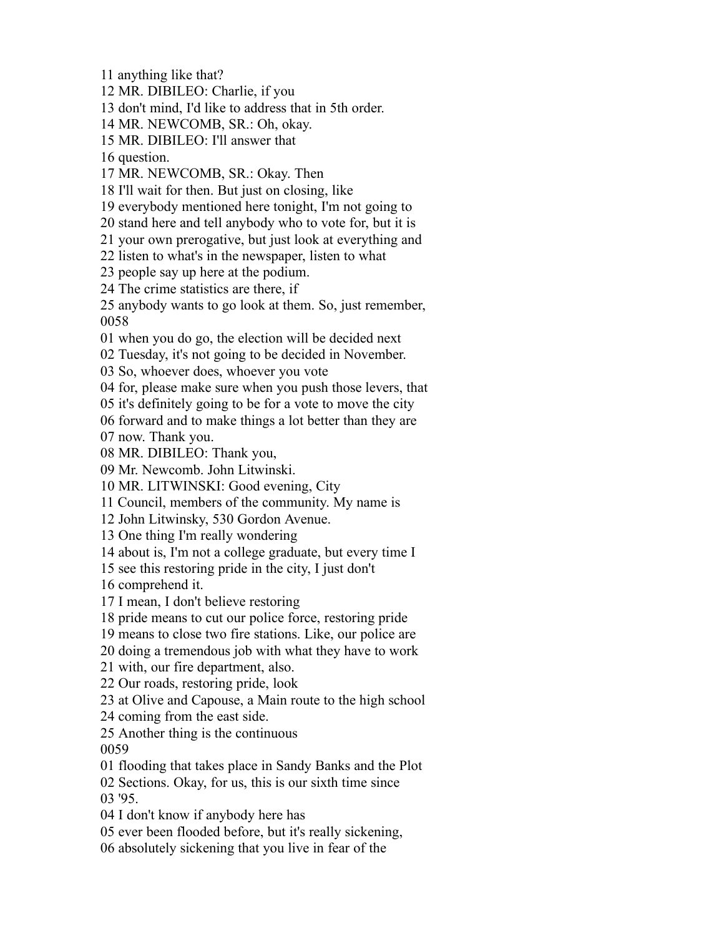anything like that?

MR. DIBILEO: Charlie, if you

don't mind, I'd like to address that in 5th order.

MR. NEWCOMB, SR.: Oh, okay.

MR. DIBILEO: I'll answer that

question.

MR. NEWCOMB, SR.: Okay. Then

I'll wait for then. But just on closing, like

everybody mentioned here tonight, I'm not going to

stand here and tell anybody who to vote for, but it is

your own prerogative, but just look at everything and

listen to what's in the newspaper, listen to what

people say up here at the podium.

The crime statistics are there, if

 anybody wants to go look at them. So, just remember, 

when you do go, the election will be decided next

Tuesday, it's not going to be decided in November.

So, whoever does, whoever you vote

for, please make sure when you push those levers, that

it's definitely going to be for a vote to move the city

forward and to make things a lot better than they are

now. Thank you.

MR. DIBILEO: Thank you,

Mr. Newcomb. John Litwinski.

MR. LITWINSKI: Good evening, City

Council, members of the community. My name is

John Litwinsky, 530 Gordon Avenue.

One thing I'm really wondering

about is, I'm not a college graduate, but every time I

see this restoring pride in the city, I just don't

comprehend it.

I mean, I don't believe restoring

pride means to cut our police force, restoring pride

means to close two fire stations. Like, our police are

doing a tremendous job with what they have to work

with, our fire department, also.

Our roads, restoring pride, look

at Olive and Capouse, a Main route to the high school

coming from the east side.

Another thing is the continuous

flooding that takes place in Sandy Banks and the Plot

 Sections. Okay, for us, this is our sixth time since '95.

I don't know if anybody here has

ever been flooded before, but it's really sickening,

absolutely sickening that you live in fear of the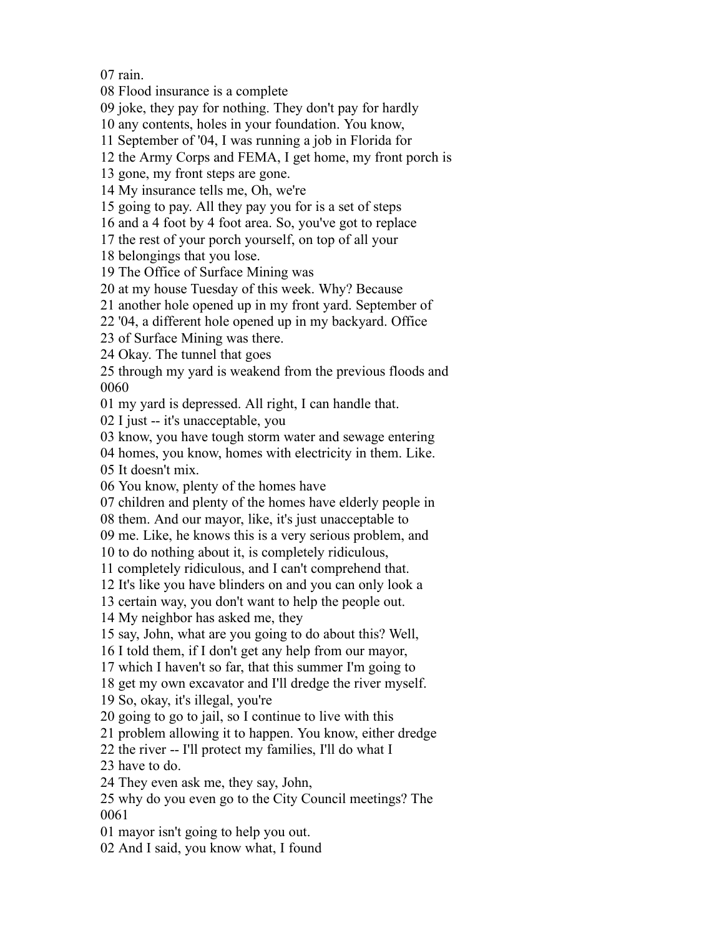rain.

Flood insurance is a complete

joke, they pay for nothing. They don't pay for hardly

any contents, holes in your foundation. You know,

September of '04, I was running a job in Florida for

the Army Corps and FEMA, I get home, my front porch is

gone, my front steps are gone.

My insurance tells me, Oh, we're

going to pay. All they pay you for is a set of steps

and a 4 foot by 4 foot area. So, you've got to replace

the rest of your porch yourself, on top of all your

belongings that you lose.

The Office of Surface Mining was

at my house Tuesday of this week. Why? Because

another hole opened up in my front yard. September of

'04, a different hole opened up in my backyard. Office

of Surface Mining was there.

Okay. The tunnel that goes

 through my yard is weakend from the previous floods and 

my yard is depressed. All right, I can handle that.

I just -- it's unacceptable, you

know, you have tough storm water and sewage entering

homes, you know, homes with electricity in them. Like.

It doesn't mix.

You know, plenty of the homes have

children and plenty of the homes have elderly people in

them. And our mayor, like, it's just unacceptable to

me. Like, he knows this is a very serious problem, and

to do nothing about it, is completely ridiculous,

completely ridiculous, and I can't comprehend that.

It's like you have blinders on and you can only look a

certain way, you don't want to help the people out.

My neighbor has asked me, they

say, John, what are you going to do about this? Well,

I told them, if I don't get any help from our mayor,

which I haven't so far, that this summer I'm going to

get my own excavator and I'll dredge the river myself.

So, okay, it's illegal, you're

going to go to jail, so I continue to live with this

problem allowing it to happen. You know, either dredge

the river -- I'll protect my families, I'll do what I

have to do.

They even ask me, they say, John,

 why do you even go to the City Council meetings? The 

mayor isn't going to help you out.

And I said, you know what, I found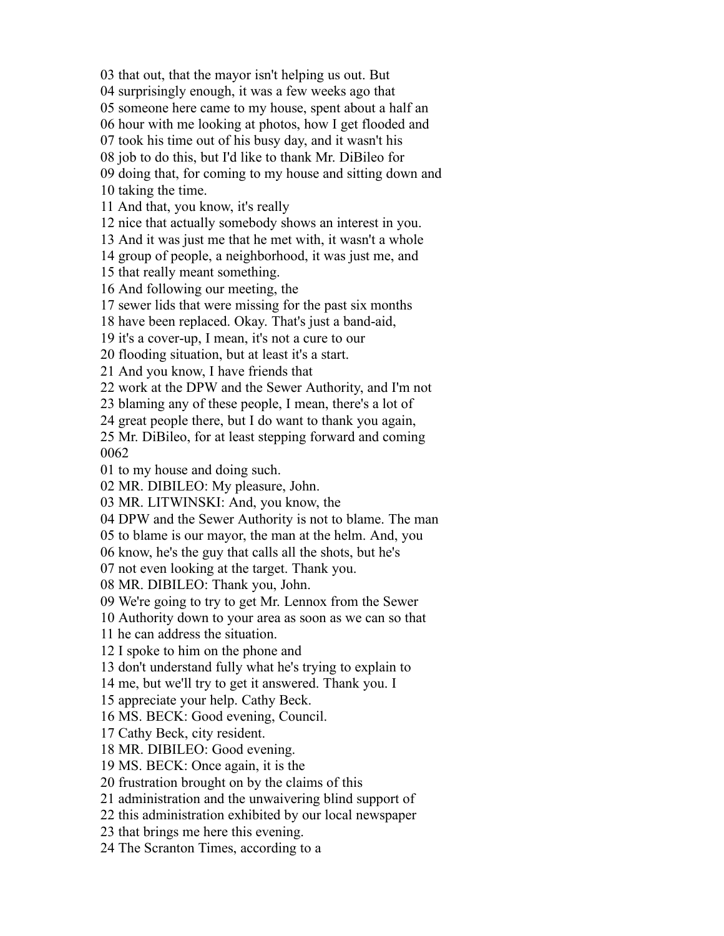that out, that the mayor isn't helping us out. But

surprisingly enough, it was a few weeks ago that

someone here came to my house, spent about a half an

hour with me looking at photos, how I get flooded and

took his time out of his busy day, and it wasn't his

job to do this, but I'd like to thank Mr. DiBileo for

doing that, for coming to my house and sitting down and

taking the time.

And that, you know, it's really

nice that actually somebody shows an interest in you.

And it was just me that he met with, it wasn't a whole

group of people, a neighborhood, it was just me, and

that really meant something.

And following our meeting, the

sewer lids that were missing for the past six months

have been replaced. Okay. That's just a band-aid,

it's a cover-up, I mean, it's not a cure to our

flooding situation, but at least it's a start.

And you know, I have friends that

work at the DPW and the Sewer Authority, and I'm not

blaming any of these people, I mean, there's a lot of

great people there, but I do want to thank you again,

 Mr. DiBileo, for at least stepping forward and coming 

to my house and doing such.

MR. DIBILEO: My pleasure, John.

MR. LITWINSKI: And, you know, the

DPW and the Sewer Authority is not to blame. The man

to blame is our mayor, the man at the helm. And, you

know, he's the guy that calls all the shots, but he's

not even looking at the target. Thank you.

MR. DIBILEO: Thank you, John.

We're going to try to get Mr. Lennox from the Sewer

Authority down to your area as soon as we can so that

he can address the situation.

I spoke to him on the phone and

don't understand fully what he's trying to explain to

me, but we'll try to get it answered. Thank you. I

appreciate your help. Cathy Beck.

MS. BECK: Good evening, Council.

Cathy Beck, city resident.

MR. DIBILEO: Good evening.

MS. BECK: Once again, it is the

frustration brought on by the claims of this

administration and the unwaivering blind support of

this administration exhibited by our local newspaper

that brings me here this evening.

The Scranton Times, according to a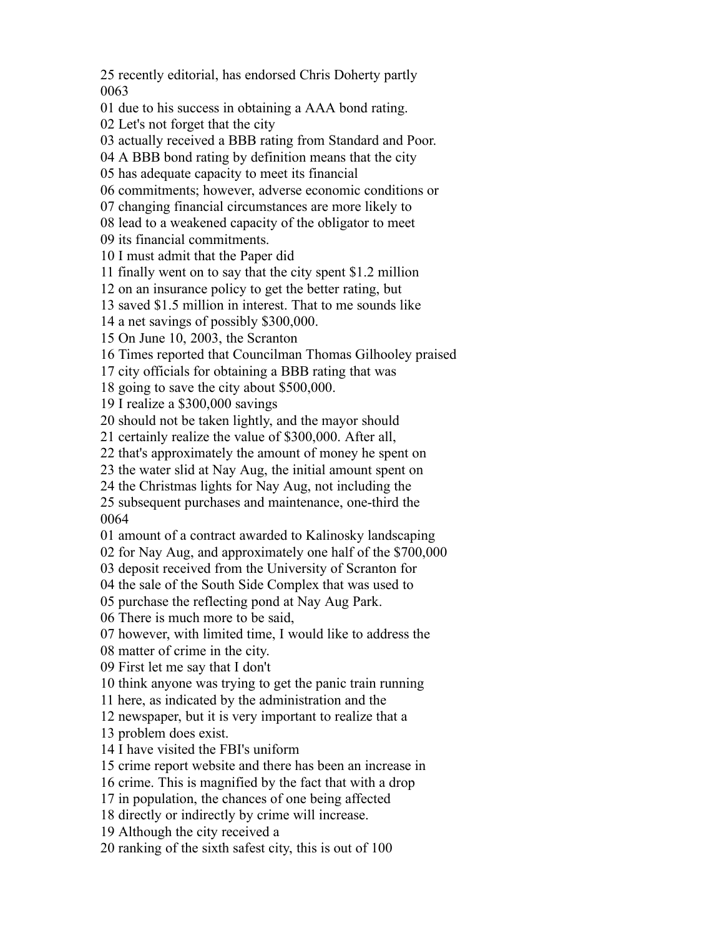recently editorial, has endorsed Chris Doherty partly 

due to his success in obtaining a AAA bond rating.

Let's not forget that the city

actually received a BBB rating from Standard and Poor.

A BBB bond rating by definition means that the city

has adequate capacity to meet its financial

commitments; however, adverse economic conditions or

changing financial circumstances are more likely to

lead to a weakened capacity of the obligator to meet

its financial commitments.

I must admit that the Paper did

finally went on to say that the city spent \$1.2 million

on an insurance policy to get the better rating, but

saved \$1.5 million in interest. That to me sounds like

a net savings of possibly \$300,000.

On June 10, 2003, the Scranton

Times reported that Councilman Thomas Gilhooley praised

city officials for obtaining a BBB rating that was

going to save the city about \$500,000.

I realize a \$300,000 savings

should not be taken lightly, and the mayor should

certainly realize the value of \$300,000. After all,

that's approximately the amount of money he spent on

the water slid at Nay Aug, the initial amount spent on

the Christmas lights for Nay Aug, not including the

 subsequent purchases and maintenance, one-third the 

amount of a contract awarded to Kalinosky landscaping

for Nay Aug, and approximately one half of the \$700,000

deposit received from the University of Scranton for

the sale of the South Side Complex that was used to

purchase the reflecting pond at Nay Aug Park.

There is much more to be said,

however, with limited time, I would like to address the

matter of crime in the city.

First let me say that I don't

think anyone was trying to get the panic train running

here, as indicated by the administration and the

newspaper, but it is very important to realize that a

problem does exist.

I have visited the FBI's uniform

crime report website and there has been an increase in

crime. This is magnified by the fact that with a drop

in population, the chances of one being affected

directly or indirectly by crime will increase.

Although the city received a

ranking of the sixth safest city, this is out of 100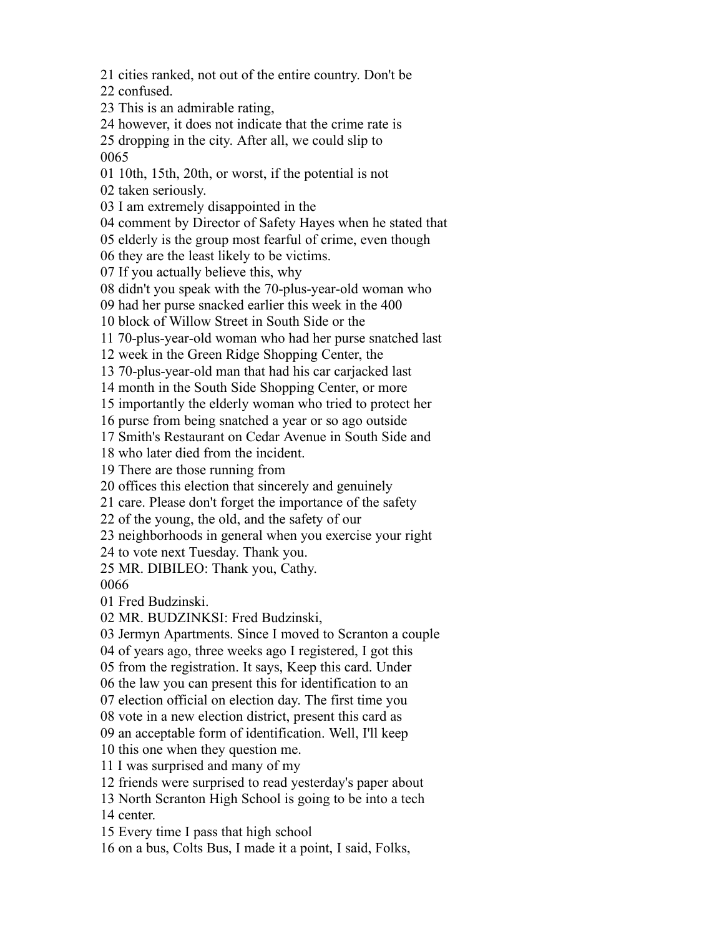cities ranked, not out of the entire country. Don't be

confused.

This is an admirable rating,

however, it does not indicate that the crime rate is

 dropping in the city. After all, we could slip to 

10th, 15th, 20th, or worst, if the potential is not

taken seriously.

I am extremely disappointed in the

comment by Director of Safety Hayes when he stated that

elderly is the group most fearful of crime, even though

they are the least likely to be victims.

If you actually believe this, why

didn't you speak with the 70-plus-year-old woman who

had her purse snacked earlier this week in the 400

block of Willow Street in South Side or the

70-plus-year-old woman who had her purse snatched last

week in the Green Ridge Shopping Center, the

70-plus-year-old man that had his car carjacked last

month in the South Side Shopping Center, or more

importantly the elderly woman who tried to protect her

purse from being snatched a year or so ago outside

Smith's Restaurant on Cedar Avenue in South Side and

who later died from the incident.

There are those running from

offices this election that sincerely and genuinely

care. Please don't forget the importance of the safety

of the young, the old, and the safety of our

neighborhoods in general when you exercise your right

to vote next Tuesday. Thank you.

MR. DIBILEO: Thank you, Cathy.

Fred Budzinski.

MR. BUDZINKSI: Fred Budzinski,

Jermyn Apartments. Since I moved to Scranton a couple

of years ago, three weeks ago I registered, I got this

from the registration. It says, Keep this card. Under

the law you can present this for identification to an

election official on election day. The first time you

vote in a new election district, present this card as

an acceptable form of identification. Well, I'll keep

this one when they question me.

I was surprised and many of my

friends were surprised to read yesterday's paper about

 North Scranton High School is going to be into a tech center.

Every time I pass that high school

on a bus, Colts Bus, I made it a point, I said, Folks,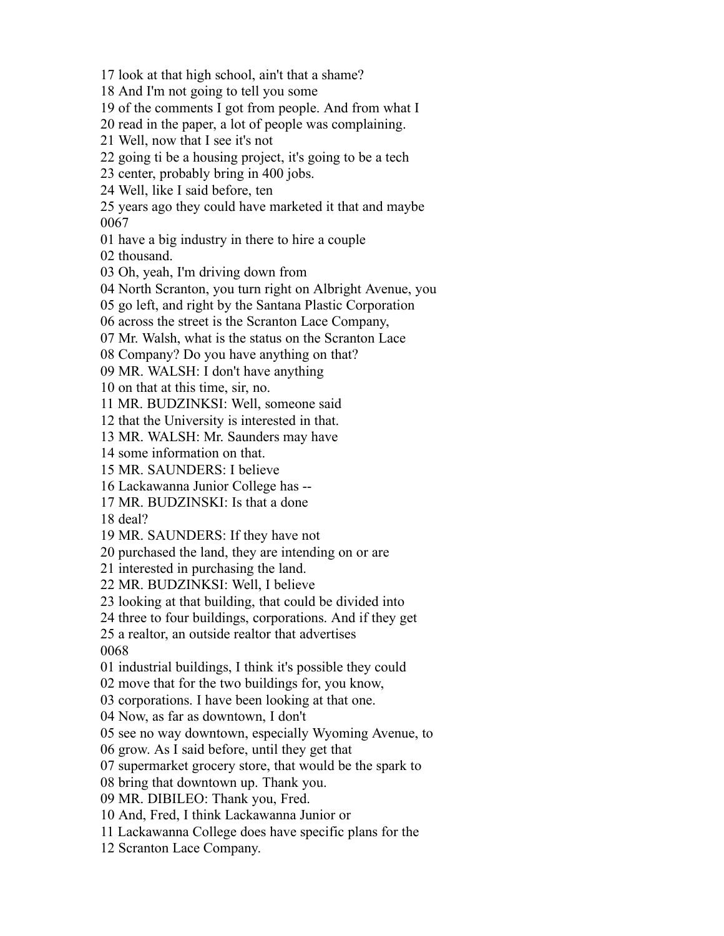look at that high school, ain't that a shame?

And I'm not going to tell you some

of the comments I got from people. And from what I

read in the paper, a lot of people was complaining.

Well, now that I see it's not

going ti be a housing project, it's going to be a tech

center, probably bring in 400 jobs.

Well, like I said before, ten

 years ago they could have marketed it that and maybe 

have a big industry in there to hire a couple

thousand.

Oh, yeah, I'm driving down from

North Scranton, you turn right on Albright Avenue, you

go left, and right by the Santana Plastic Corporation

across the street is the Scranton Lace Company,

Mr. Walsh, what is the status on the Scranton Lace

Company? Do you have anything on that?

MR. WALSH: I don't have anything

on that at this time, sir, no.

MR. BUDZINKSI: Well, someone said

that the University is interested in that.

MR. WALSH: Mr. Saunders may have

some information on that.

MR. SAUNDERS: I believe

Lackawanna Junior College has --

MR. BUDZINSKI: Is that a done

deal?

MR. SAUNDERS: If they have not

purchased the land, they are intending on or are

interested in purchasing the land.

MR. BUDZINKSI: Well, I believe

looking at that building, that could be divided into

three to four buildings, corporations. And if they get

a realtor, an outside realtor that advertises

industrial buildings, I think it's possible they could

move that for the two buildings for, you know,

corporations. I have been looking at that one.

Now, as far as downtown, I don't

see no way downtown, especially Wyoming Avenue, to

grow. As I said before, until they get that

supermarket grocery store, that would be the spark to

bring that downtown up. Thank you.

MR. DIBILEO: Thank you, Fred.

And, Fred, I think Lackawanna Junior or

Lackawanna College does have specific plans for the

Scranton Lace Company.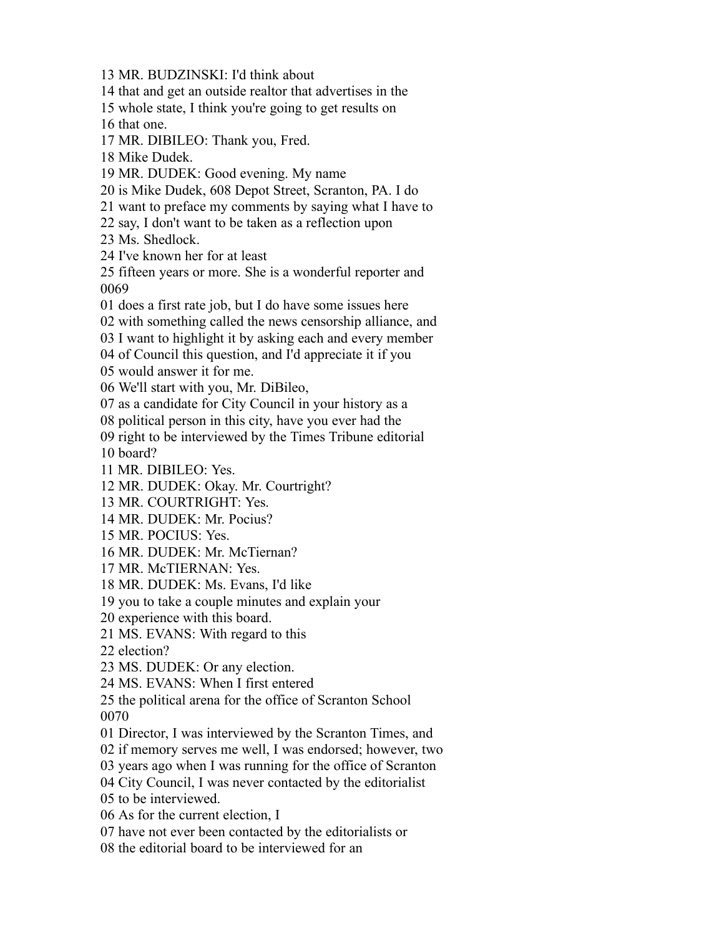MR. BUDZINSKI: I'd think about that and get an outside realtor that advertises in the whole state, I think you're going to get results on that one. MR. DIBILEO: Thank you, Fred. Mike Dudek. MR. DUDEK: Good evening. My name is Mike Dudek, 608 Depot Street, Scranton, PA. I do want to preface my comments by saying what I have to say, I don't want to be taken as a reflection upon Ms. Shedlock. I've known her for at least fifteen years or more. She is a wonderful reporter and does a first rate job, but I do have some issues here with something called the news censorship alliance, and I want to highlight it by asking each and every member of Council this question, and I'd appreciate it if you would answer it for me. We'll start with you, Mr. DiBileo, as a candidate for City Council in your history as a political person in this city, have you ever had the right to be interviewed by the Times Tribune editorial board? MR. DIBILEO: Yes. MR. DUDEK: Okay. Mr. Courtright? MR. COURTRIGHT: Yes. MR. DUDEK: Mr. Pocius? MR. POCIUS: Yes. MR. DUDEK: Mr. McTiernan? MR. McTIERNAN: Yes. MR. DUDEK: Ms. Evans, I'd like you to take a couple minutes and explain your experience with this board. MS. EVANS: With regard to this election? MS. DUDEK: Or any election. MS. EVANS: When I first entered the political arena for the office of Scranton School Director, I was interviewed by the Scranton Times, and if memory serves me well, I was endorsed; however, two years ago when I was running for the office of Scranton City Council, I was never contacted by the editorialist to be interviewed. As for the current election, I have not ever been contacted by the editorialists or the editorial board to be interviewed for an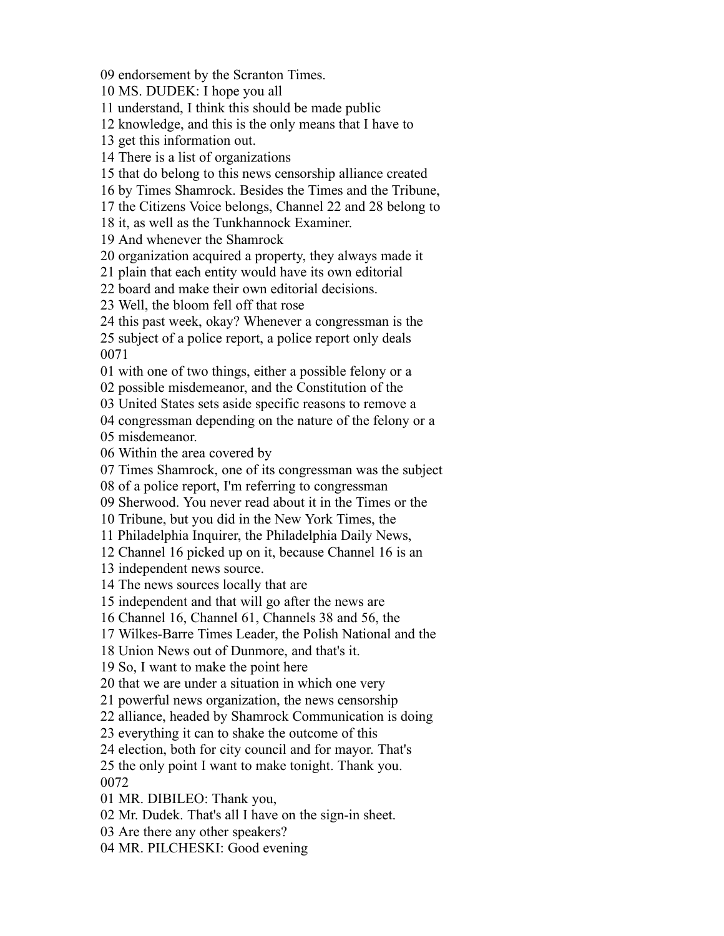endorsement by the Scranton Times.

MS. DUDEK: I hope you all

understand, I think this should be made public

knowledge, and this is the only means that I have to

get this information out.

There is a list of organizations

that do belong to this news censorship alliance created

by Times Shamrock. Besides the Times and the Tribune,

the Citizens Voice belongs, Channel 22 and 28 belong to

it, as well as the Tunkhannock Examiner.

And whenever the Shamrock

organization acquired a property, they always made it

plain that each entity would have its own editorial

board and make their own editorial decisions.

Well, the bloom fell off that rose

this past week, okay? Whenever a congressman is the

 subject of a police report, a police report only deals 

with one of two things, either a possible felony or a

possible misdemeanor, and the Constitution of the

United States sets aside specific reasons to remove a

congressman depending on the nature of the felony or a

misdemeanor.

Within the area covered by

Times Shamrock, one of its congressman was the subject

of a police report, I'm referring to congressman

Sherwood. You never read about it in the Times or the

Tribune, but you did in the New York Times, the

Philadelphia Inquirer, the Philadelphia Daily News,

Channel 16 picked up on it, because Channel 16 is an

independent news source.

The news sources locally that are

independent and that will go after the news are

Channel 16, Channel 61, Channels 38 and 56, the

Wilkes-Barre Times Leader, the Polish National and the

Union News out of Dunmore, and that's it.

So, I want to make the point here

that we are under a situation in which one very

powerful news organization, the news censorship

alliance, headed by Shamrock Communication is doing

everything it can to shake the outcome of this

election, both for city council and for mayor. That's

 the only point I want to make tonight. Thank you. 

MR. DIBILEO: Thank you,

Mr. Dudek. That's all I have on the sign-in sheet.

Are there any other speakers?

MR. PILCHESKI: Good evening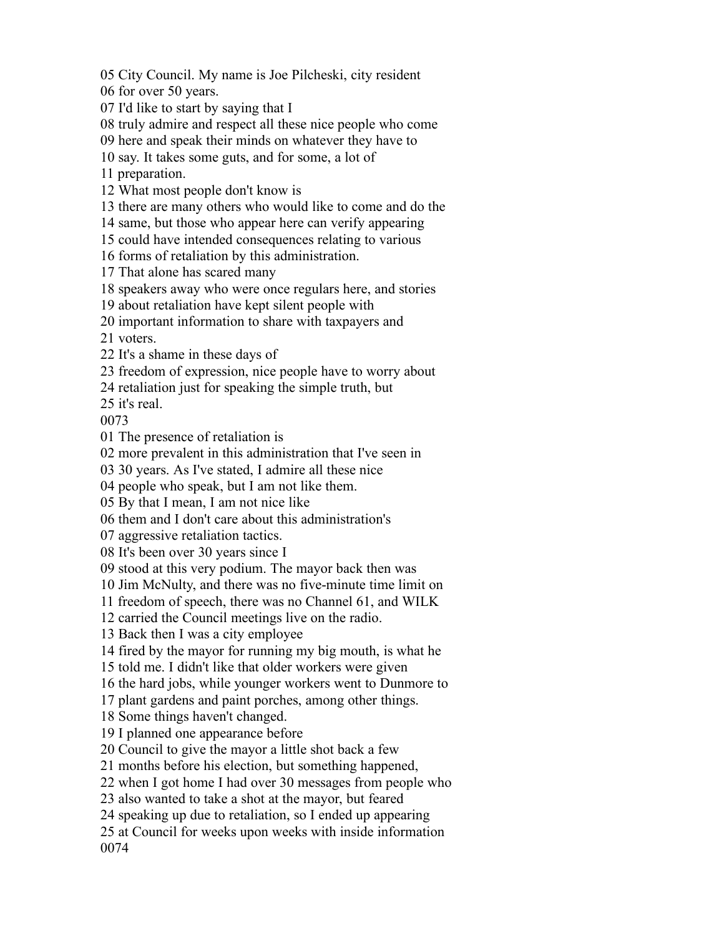City Council. My name is Joe Pilcheski, city resident

for over 50 years.

I'd like to start by saying that I

truly admire and respect all these nice people who come

here and speak their minds on whatever they have to

say. It takes some guts, and for some, a lot of

preparation.

What most people don't know is

there are many others who would like to come and do the

same, but those who appear here can verify appearing

could have intended consequences relating to various

forms of retaliation by this administration.

That alone has scared many

speakers away who were once regulars here, and stories

about retaliation have kept silent people with

important information to share with taxpayers and

voters.

It's a shame in these days of

freedom of expression, nice people have to worry about

retaliation just for speaking the simple truth, but

it's real.

The presence of retaliation is

more prevalent in this administration that I've seen in

30 years. As I've stated, I admire all these nice

people who speak, but I am not like them.

By that I mean, I am not nice like

them and I don't care about this administration's

aggressive retaliation tactics.

It's been over 30 years since I

stood at this very podium. The mayor back then was

Jim McNulty, and there was no five-minute time limit on

freedom of speech, there was no Channel 61, and WILK

carried the Council meetings live on the radio.

Back then I was a city employee

fired by the mayor for running my big mouth, is what he

told me. I didn't like that older workers were given

the hard jobs, while younger workers went to Dunmore to

plant gardens and paint porches, among other things.

Some things haven't changed.

I planned one appearance before

Council to give the mayor a little shot back a few

months before his election, but something happened,

when I got home I had over 30 messages from people who

also wanted to take a shot at the mayor, but feared

speaking up due to retaliation, so I ended up appearing

 at Council for weeks upon weeks with inside information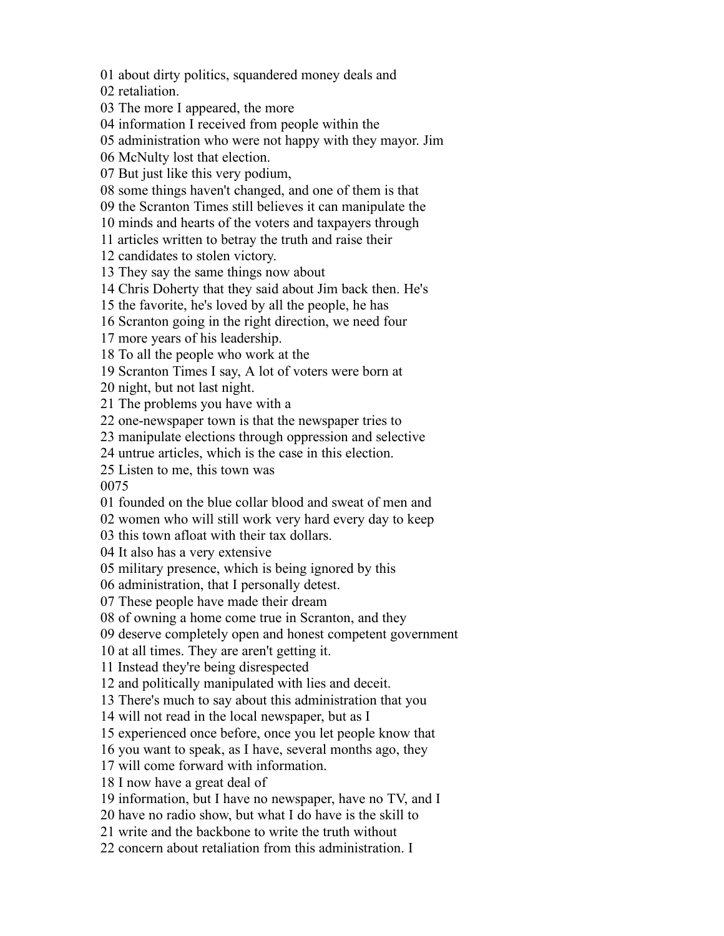about dirty politics, squandered money deals and

retaliation.

The more I appeared, the more

information I received from people within the

administration who were not happy with they mayor. Jim

McNulty lost that election.

But just like this very podium,

some things haven't changed, and one of them is that

the Scranton Times still believes it can manipulate the

minds and hearts of the voters and taxpayers through

articles written to betray the truth and raise their

candidates to stolen victory.

They say the same things now about

Chris Doherty that they said about Jim back then. He's

the favorite, he's loved by all the people, he has

Scranton going in the right direction, we need four

more years of his leadership.

To all the people who work at the

Scranton Times I say, A lot of voters were born at

night, but not last night.

The problems you have with a

one-newspaper town is that the newspaper tries to

manipulate elections through oppression and selective

untrue articles, which is the case in this election.

Listen to me, this town was

founded on the blue collar blood and sweat of men and

women who will still work very hard every day to keep

this town afloat with their tax dollars.

It also has a very extensive

military presence, which is being ignored by this

administration, that I personally detest.

These people have made their dream

of owning a home come true in Scranton, and they

deserve completely open and honest competent government

at all times. They are aren't getting it.

Instead they're being disrespected

and politically manipulated with lies and deceit.

There's much to say about this administration that you

will not read in the local newspaper, but as I

experienced once before, once you let people know that

you want to speak, as I have, several months ago, they

will come forward with information.

I now have a great deal of

information, but I have no newspaper, have no TV, and I

have no radio show, but what I do have is the skill to

write and the backbone to write the truth without

22 concern about retaliation from this administration. I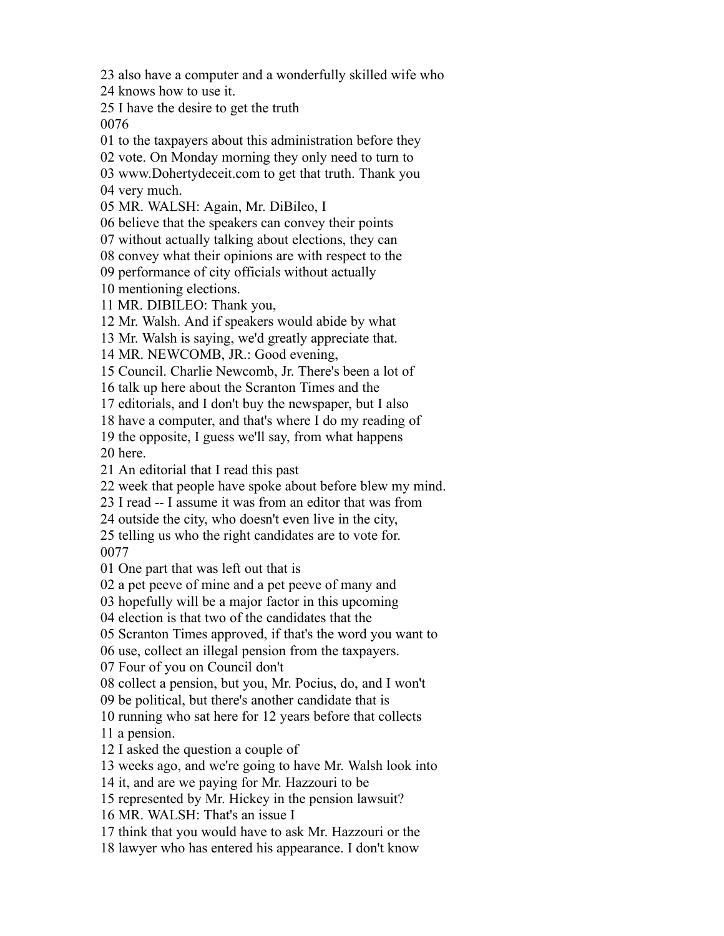also have a computer and a wonderfully skilled wife who

knows how to use it.

I have the desire to get the truth

to the taxpayers about this administration before they

vote. On Monday morning they only need to turn to

 www.Dohertydeceit.com to get that truth. Thank you very much.

MR. WALSH: Again, Mr. DiBileo, I

believe that the speakers can convey their points

without actually talking about elections, they can

convey what their opinions are with respect to the

performance of city officials without actually

mentioning elections.

MR. DIBILEO: Thank you,

Mr. Walsh. And if speakers would abide by what

Mr. Walsh is saying, we'd greatly appreciate that.

MR. NEWCOMB, JR.: Good evening,

Council. Charlie Newcomb, Jr. There's been a lot of

talk up here about the Scranton Times and the

editorials, and I don't buy the newspaper, but I also

have a computer, and that's where I do my reading of

the opposite, I guess we'll say, from what happens

here.

An editorial that I read this past

week that people have spoke about before blew my mind.

I read -- I assume it was from an editor that was from

outside the city, who doesn't even live in the city,

 telling us who the right candidates are to vote for. 

One part that was left out that is

a pet peeve of mine and a pet peeve of many and

hopefully will be a major factor in this upcoming

election is that two of the candidates that the

Scranton Times approved, if that's the word you want to

use, collect an illegal pension from the taxpayers.

Four of you on Council don't

collect a pension, but you, Mr. Pocius, do, and I won't

be political, but there's another candidate that is

running who sat here for 12 years before that collects

a pension.

I asked the question a couple of

weeks ago, and we're going to have Mr. Walsh look into

it, and are we paying for Mr. Hazzouri to be

represented by Mr. Hickey in the pension lawsuit?

MR. WALSH: That's an issue I

think that you would have to ask Mr. Hazzouri or the

lawyer who has entered his appearance. I don't know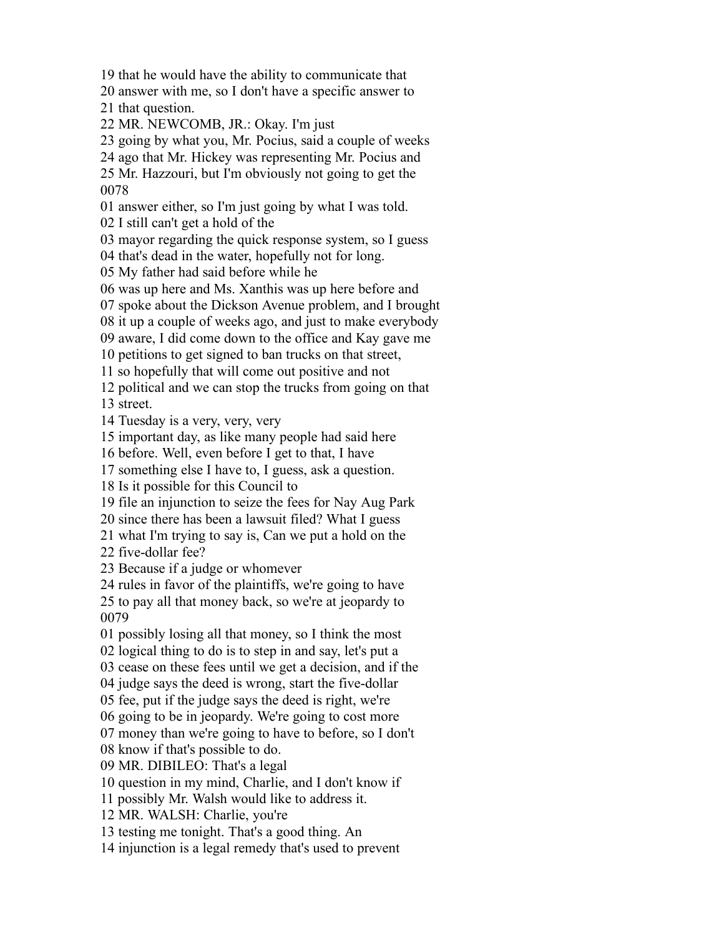that he would have the ability to communicate that

answer with me, so I don't have a specific answer to

that question.

MR. NEWCOMB, JR.: Okay. I'm just

going by what you, Mr. Pocius, said a couple of weeks

ago that Mr. Hickey was representing Mr. Pocius and

 Mr. Hazzouri, but I'm obviously not going to get the 

answer either, so I'm just going by what I was told.

I still can't get a hold of the

mayor regarding the quick response system, so I guess

that's dead in the water, hopefully not for long.

My father had said before while he

was up here and Ms. Xanthis was up here before and

spoke about the Dickson Avenue problem, and I brought

it up a couple of weeks ago, and just to make everybody

aware, I did come down to the office and Kay gave me

petitions to get signed to ban trucks on that street,

so hopefully that will come out positive and not

political and we can stop the trucks from going on that

street.

Tuesday is a very, very, very

important day, as like many people had said here

before. Well, even before I get to that, I have

something else I have to, I guess, ask a question.

Is it possible for this Council to

file an injunction to seize the fees for Nay Aug Park

since there has been a lawsuit filed? What I guess

what I'm trying to say is, Can we put a hold on the

five-dollar fee?

Because if a judge or whomever

rules in favor of the plaintiffs, we're going to have

 to pay all that money back, so we're at jeopardy to 

possibly losing all that money, so I think the most

logical thing to do is to step in and say, let's put a

cease on these fees until we get a decision, and if the

judge says the deed is wrong, start the five-dollar

fee, put if the judge says the deed is right, we're

going to be in jeopardy. We're going to cost more

money than we're going to have to before, so I don't

know if that's possible to do.

MR. DIBILEO: That's a legal

question in my mind, Charlie, and I don't know if

possibly Mr. Walsh would like to address it.

MR. WALSH: Charlie, you're

testing me tonight. That's a good thing. An

injunction is a legal remedy that's used to prevent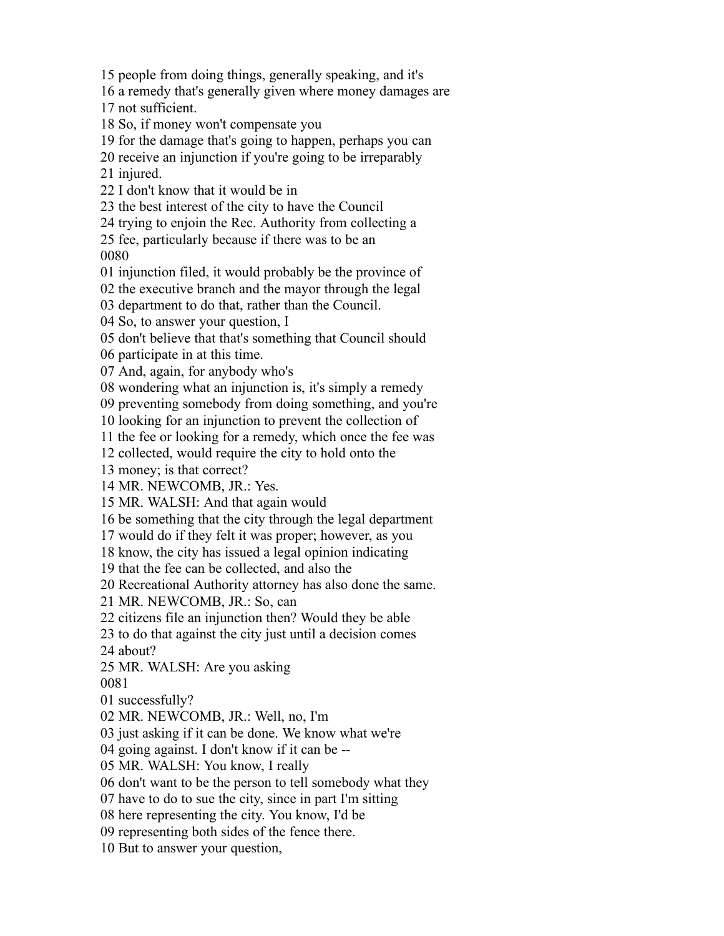people from doing things, generally speaking, and it's

a remedy that's generally given where money damages are

not sufficient.

So, if money won't compensate you

for the damage that's going to happen, perhaps you can

receive an injunction if you're going to be irreparably

injured.

I don't know that it would be in

the best interest of the city to have the Council

trying to enjoin the Rec. Authority from collecting a

 fee, particularly because if there was to be an 

injunction filed, it would probably be the province of

the executive branch and the mayor through the legal

department to do that, rather than the Council.

So, to answer your question, I

don't believe that that's something that Council should

participate in at this time.

And, again, for anybody who's

wondering what an injunction is, it's simply a remedy

preventing somebody from doing something, and you're

looking for an injunction to prevent the collection of

the fee or looking for a remedy, which once the fee was

collected, would require the city to hold onto the

money; is that correct?

MR. NEWCOMB, JR.: Yes.

MR. WALSH: And that again would

be something that the city through the legal department

would do if they felt it was proper; however, as you

know, the city has issued a legal opinion indicating

that the fee can be collected, and also the

Recreational Authority attorney has also done the same.

MR. NEWCOMB, JR.: So, can

citizens file an injunction then? Would they be able

to do that against the city just until a decision comes

about?

MR. WALSH: Are you asking

successfully?

MR. NEWCOMB, JR.: Well, no, I'm

just asking if it can be done. We know what we're

going against. I don't know if it can be --

MR. WALSH: You know, I really

don't want to be the person to tell somebody what they

have to do to sue the city, since in part I'm sitting

here representing the city. You know, I'd be

representing both sides of the fence there.

But to answer your question,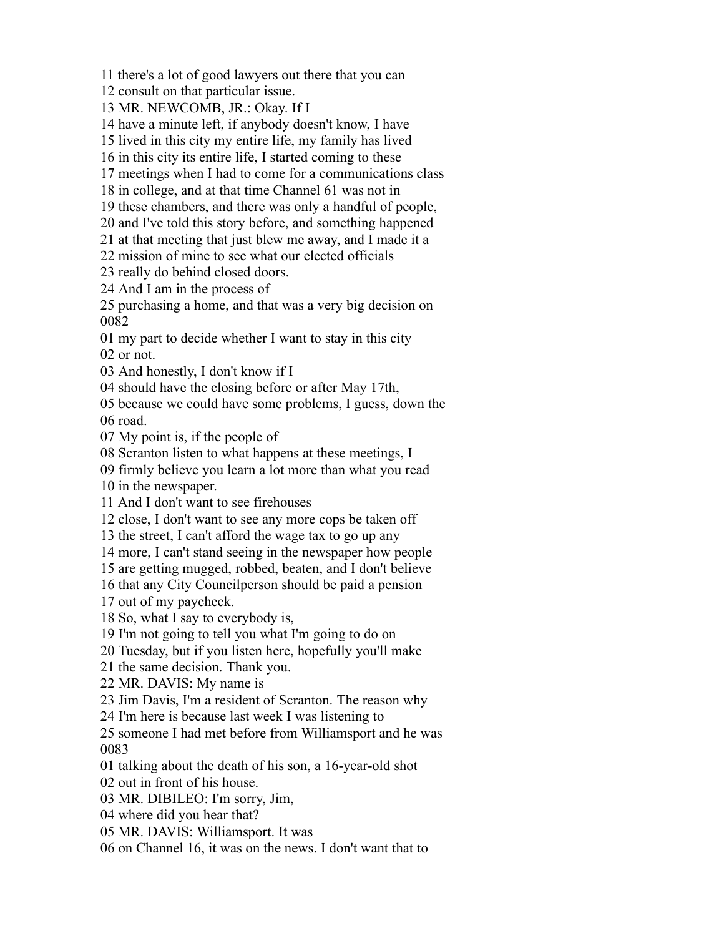there's a lot of good lawyers out there that you can

consult on that particular issue.

MR. NEWCOMB, JR.: Okay. If I

have a minute left, if anybody doesn't know, I have

lived in this city my entire life, my family has lived

in this city its entire life, I started coming to these

meetings when I had to come for a communications class

in college, and at that time Channel 61 was not in

these chambers, and there was only a handful of people,

and I've told this story before, and something happened

at that meeting that just blew me away, and I made it a

mission of mine to see what our elected officials

really do behind closed doors.

And I am in the process of

 purchasing a home, and that was a very big decision on 

 my part to decide whether I want to stay in this city or not.

And honestly, I don't know if I

should have the closing before or after May 17th,

 because we could have some problems, I guess, down the road.

My point is, if the people of

Scranton listen to what happens at these meetings, I

firmly believe you learn a lot more than what you read

in the newspaper.

And I don't want to see firehouses

close, I don't want to see any more cops be taken off

the street, I can't afford the wage tax to go up any

more, I can't stand seeing in the newspaper how people

are getting mugged, robbed, beaten, and I don't believe

that any City Councilperson should be paid a pension

out of my paycheck.

So, what I say to everybody is,

I'm not going to tell you what I'm going to do on

Tuesday, but if you listen here, hopefully you'll make

the same decision. Thank you.

MR. DAVIS: My name is

Jim Davis, I'm a resident of Scranton. The reason why

I'm here is because last week I was listening to

 someone I had met before from Williamsport and he was 

talking about the death of his son, a 16-year-old shot

out in front of his house.

MR. DIBILEO: I'm sorry, Jim,

where did you hear that?

MR. DAVIS: Williamsport. It was

on Channel 16, it was on the news. I don't want that to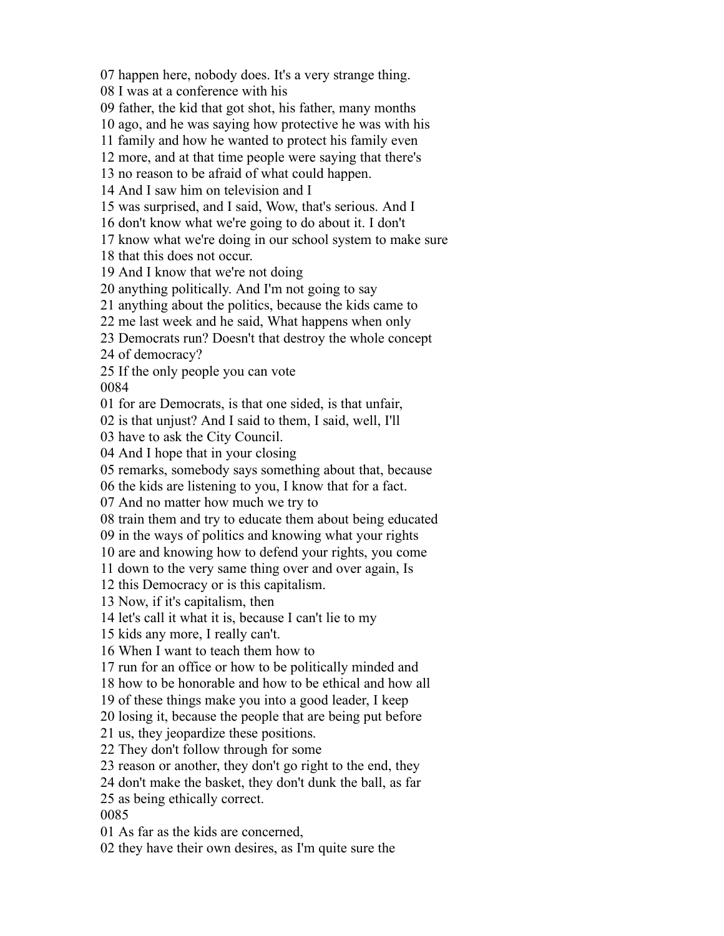happen here, nobody does. It's a very strange thing.

I was at a conference with his

father, the kid that got shot, his father, many months

ago, and he was saying how protective he was with his

family and how he wanted to protect his family even

more, and at that time people were saying that there's

no reason to be afraid of what could happen.

And I saw him on television and I

was surprised, and I said, Wow, that's serious. And I

don't know what we're going to do about it. I don't

know what we're doing in our school system to make sure

that this does not occur.

And I know that we're not doing

anything politically. And I'm not going to say

anything about the politics, because the kids came to

me last week and he said, What happens when only

Democrats run? Doesn't that destroy the whole concept

of democracy?

 If the only people you can vote 

for are Democrats, is that one sided, is that unfair,

is that unjust? And I said to them, I said, well, I'll

have to ask the City Council.

And I hope that in your closing

remarks, somebody says something about that, because

the kids are listening to you, I know that for a fact.

And no matter how much we try to

train them and try to educate them about being educated

in the ways of politics and knowing what your rights

are and knowing how to defend your rights, you come

down to the very same thing over and over again, Is

this Democracy or is this capitalism.

Now, if it's capitalism, then

let's call it what it is, because I can't lie to my

kids any more, I really can't.

When I want to teach them how to

run for an office or how to be politically minded and

how to be honorable and how to be ethical and how all

of these things make you into a good leader, I keep

losing it, because the people that are being put before

us, they jeopardize these positions.

They don't follow through for some

reason or another, they don't go right to the end, they

don't make the basket, they don't dunk the ball, as far

as being ethically correct.

As far as the kids are concerned,

they have their own desires, as I'm quite sure the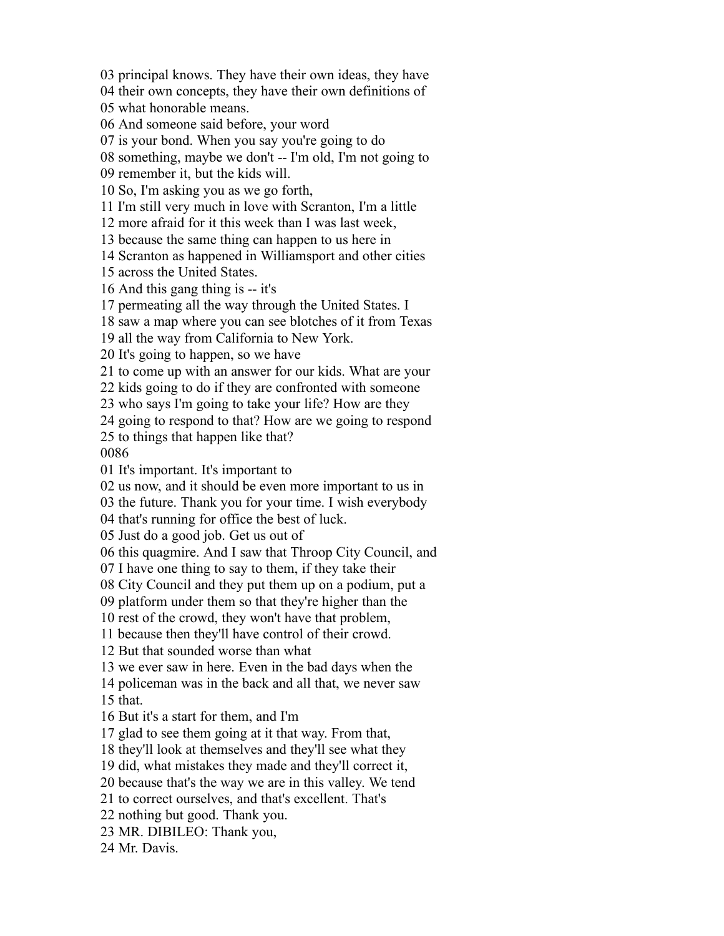principal knows. They have their own ideas, they have

their own concepts, they have their own definitions of

what honorable means.

And someone said before, your word

is your bond. When you say you're going to do

something, maybe we don't -- I'm old, I'm not going to

remember it, but the kids will.

So, I'm asking you as we go forth,

I'm still very much in love with Scranton, I'm a little

more afraid for it this week than I was last week,

because the same thing can happen to us here in

Scranton as happened in Williamsport and other cities

across the United States.

And this gang thing is -- it's

permeating all the way through the United States. I

saw a map where you can see blotches of it from Texas

all the way from California to New York.

It's going to happen, so we have

to come up with an answer for our kids. What are your

kids going to do if they are confronted with someone

who says I'm going to take your life? How are they

going to respond to that? How are we going to respond

to things that happen like that?

It's important. It's important to

us now, and it should be even more important to us in

the future. Thank you for your time. I wish everybody

that's running for office the best of luck.

Just do a good job. Get us out of

this quagmire. And I saw that Throop City Council, and

I have one thing to say to them, if they take their

City Council and they put them up on a podium, put a

platform under them so that they're higher than the

rest of the crowd, they won't have that problem,

because then they'll have control of their crowd.

But that sounded worse than what

we ever saw in here. Even in the bad days when the

 policeman was in the back and all that, we never saw that.

But it's a start for them, and I'm

glad to see them going at it that way. From that,

they'll look at themselves and they'll see what they

did, what mistakes they made and they'll correct it,

because that's the way we are in this valley. We tend

to correct ourselves, and that's excellent. That's

nothing but good. Thank you.

MR. DIBILEO: Thank you,

Mr. Davis.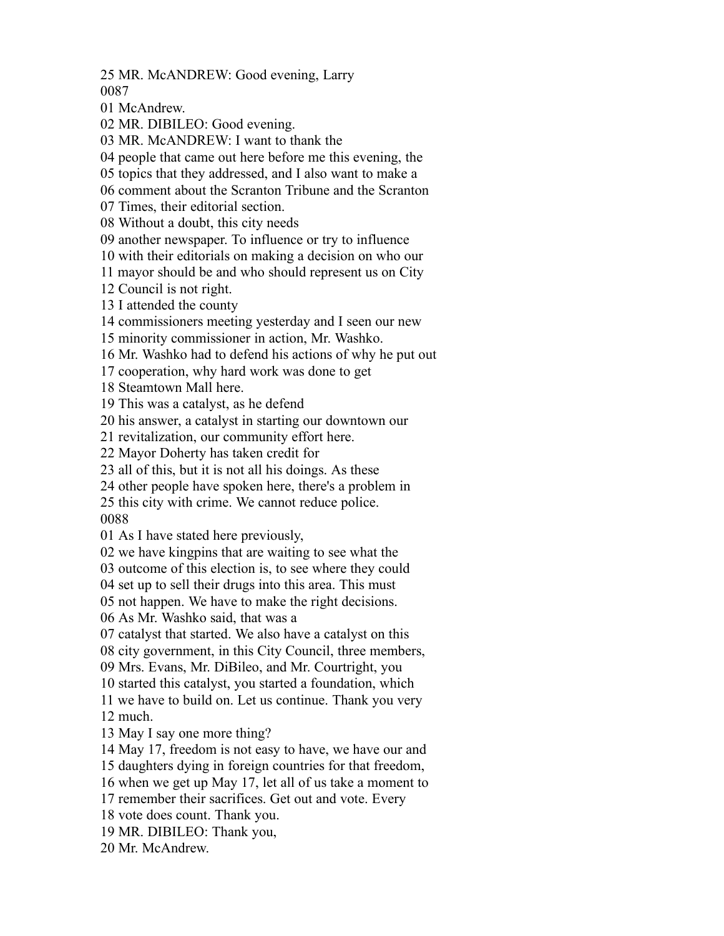MR. McANDREW: Good evening, Larry 

McAndrew.

MR. DIBILEO: Good evening.

MR. McANDREW: I want to thank the

people that came out here before me this evening, the

topics that they addressed, and I also want to make a

comment about the Scranton Tribune and the Scranton

Times, their editorial section.

Without a doubt, this city needs

another newspaper. To influence or try to influence

with their editorials on making a decision on who our

mayor should be and who should represent us on City

Council is not right.

I attended the county

commissioners meeting yesterday and I seen our new

minority commissioner in action, Mr. Washko.

Mr. Washko had to defend his actions of why he put out

cooperation, why hard work was done to get

Steamtown Mall here.

This was a catalyst, as he defend

his answer, a catalyst in starting our downtown our

revitalization, our community effort here.

Mayor Doherty has taken credit for

all of this, but it is not all his doings. As these

other people have spoken here, there's a problem in

this city with crime. We cannot reduce police.

As I have stated here previously,

we have kingpins that are waiting to see what the

outcome of this election is, to see where they could

set up to sell their drugs into this area. This must

not happen. We have to make the right decisions.

As Mr. Washko said, that was a

catalyst that started. We also have a catalyst on this

city government, in this City Council, three members,

Mrs. Evans, Mr. DiBileo, and Mr. Courtright, you

started this catalyst, you started a foundation, which

we have to build on. Let us continue. Thank you very

much.

May I say one more thing?

May 17, freedom is not easy to have, we have our and

daughters dying in foreign countries for that freedom,

when we get up May 17, let all of us take a moment to

remember their sacrifices. Get out and vote. Every

vote does count. Thank you.

MR. DIBILEO: Thank you,

Mr. McAndrew.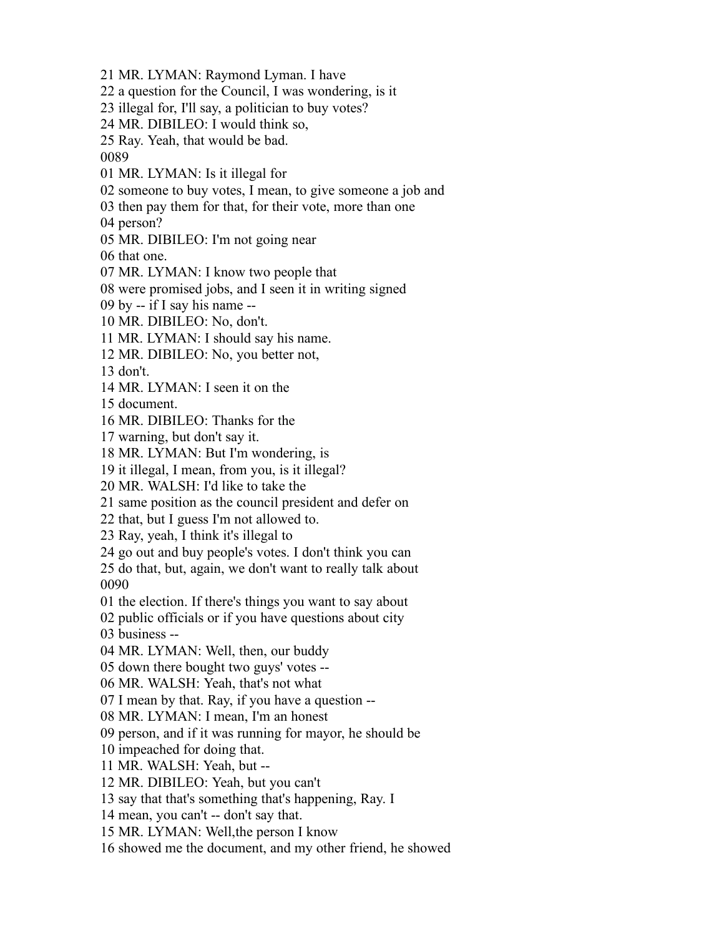MR. LYMAN: Raymond Lyman. I have a question for the Council, I was wondering, is it illegal for, I'll say, a politician to buy votes? MR. DIBILEO: I would think so, Ray. Yeah, that would be bad. MR. LYMAN: Is it illegal for someone to buy votes, I mean, to give someone a job and then pay them for that, for their vote, more than one person? MR. DIBILEO: I'm not going near that one. MR. LYMAN: I know two people that were promised jobs, and I seen it in writing signed by -- if I say his name -- MR. DIBILEO: No, don't. MR. LYMAN: I should say his name. MR. DIBILEO: No, you better not, don't. MR. LYMAN: I seen it on the document. MR. DIBILEO: Thanks for the warning, but don't say it. MR. LYMAN: But I'm wondering, is it illegal, I mean, from you, is it illegal? MR. WALSH: I'd like to take the same position as the council president and defer on that, but I guess I'm not allowed to. Ray, yeah, I think it's illegal to go out and buy people's votes. I don't think you can do that, but, again, we don't want to really talk about the election. If there's things you want to say about public officials or if you have questions about city business -- MR. LYMAN: Well, then, our buddy down there bought two guys' votes -- MR. WALSH: Yeah, that's not what I mean by that. Ray, if you have a question -- MR. LYMAN: I mean, I'm an honest person, and if it was running for mayor, he should be impeached for doing that. MR. WALSH: Yeah, but -- MR. DIBILEO: Yeah, but you can't say that that's something that's happening, Ray. I mean, you can't -- don't say that. MR. LYMAN: Well,the person I know

showed me the document, and my other friend, he showed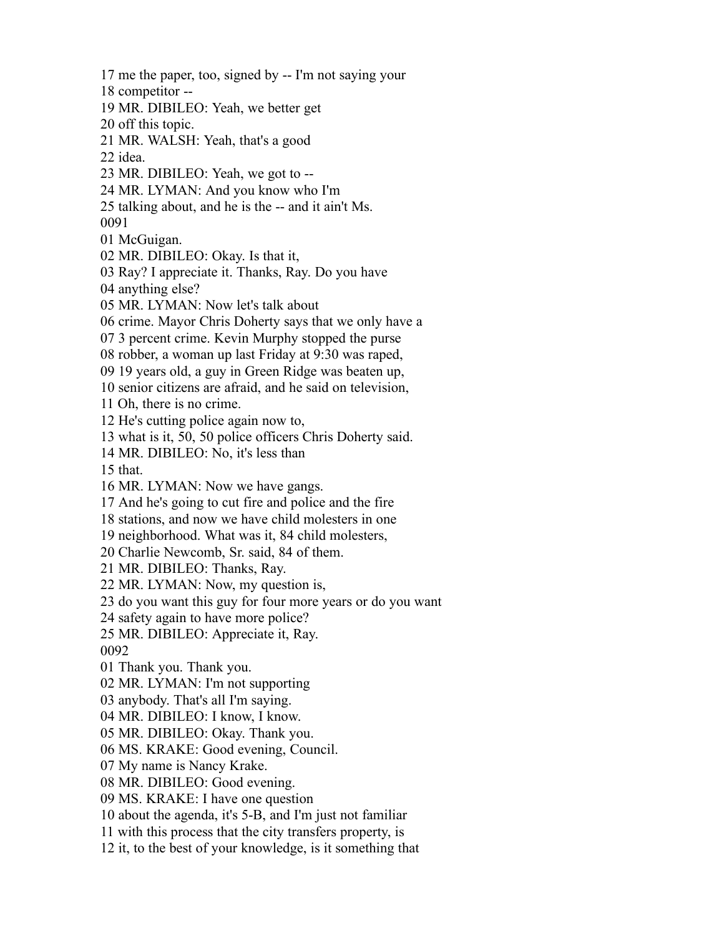me the paper, too, signed by -- I'm not saying your competitor -- MR. DIBILEO: Yeah, we better get off this topic. MR. WALSH: Yeah, that's a good idea. MR. DIBILEO: Yeah, we got to -- MR. LYMAN: And you know who I'm talking about, and he is the -- and it ain't Ms. McGuigan. MR. DIBILEO: Okay. Is that it, Ray? I appreciate it. Thanks, Ray. Do you have anything else? MR. LYMAN: Now let's talk about crime. Mayor Chris Doherty says that we only have a 3 percent crime. Kevin Murphy stopped the purse robber, a woman up last Friday at 9:30 was raped, 19 years old, a guy in Green Ridge was beaten up, senior citizens are afraid, and he said on television, Oh, there is no crime. He's cutting police again now to, what is it, 50, 50 police officers Chris Doherty said. MR. DIBILEO: No, it's less than that. MR. LYMAN: Now we have gangs. And he's going to cut fire and police and the fire stations, and now we have child molesters in one neighborhood. What was it, 84 child molesters, Charlie Newcomb, Sr. said, 84 of them. MR. DIBILEO: Thanks, Ray. MR. LYMAN: Now, my question is, do you want this guy for four more years or do you want safety again to have more police? MR. DIBILEO: Appreciate it, Ray. Thank you. Thank you. MR. LYMAN: I'm not supporting anybody. That's all I'm saying. MR. DIBILEO: I know, I know. MR. DIBILEO: Okay. Thank you. MS. KRAKE: Good evening, Council. My name is Nancy Krake. MR. DIBILEO: Good evening. MS. KRAKE: I have one question about the agenda, it's 5-B, and I'm just not familiar with this process that the city transfers property, is it, to the best of your knowledge, is it something that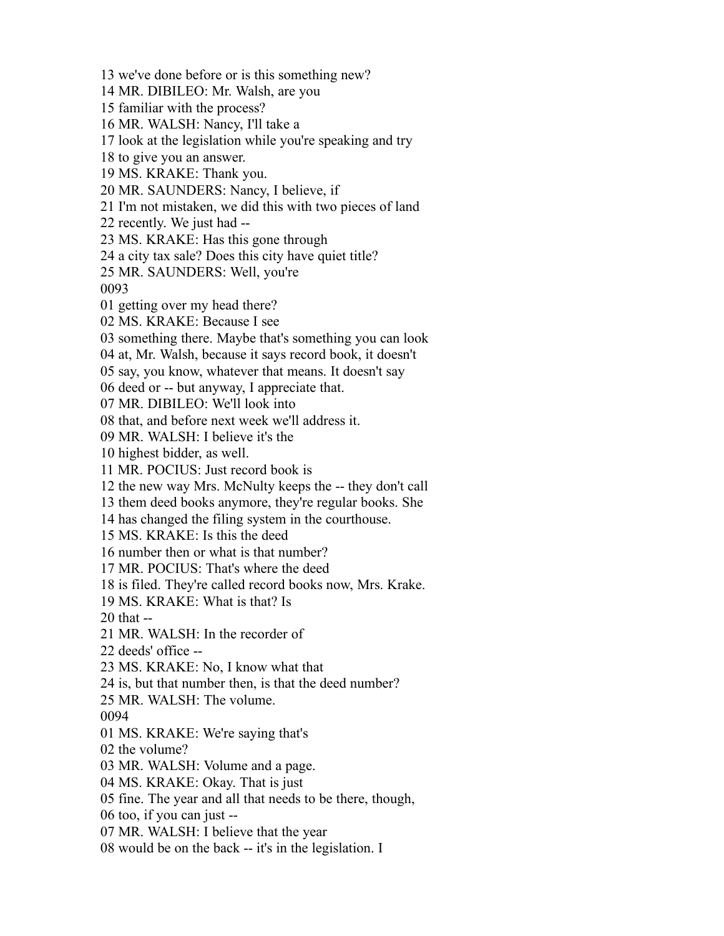we've done before or is this something new? MR. DIBILEO: Mr. Walsh, are you familiar with the process? MR. WALSH: Nancy, I'll take a look at the legislation while you're speaking and try to give you an answer. MS. KRAKE: Thank you. MR. SAUNDERS: Nancy, I believe, if I'm not mistaken, we did this with two pieces of land recently. We just had -- MS. KRAKE: Has this gone through a city tax sale? Does this city have quiet title? MR. SAUNDERS: Well, you're getting over my head there? MS. KRAKE: Because I see something there. Maybe that's something you can look at, Mr. Walsh, because it says record book, it doesn't say, you know, whatever that means. It doesn't say deed or -- but anyway, I appreciate that. MR. DIBILEO: We'll look into that, and before next week we'll address it. MR. WALSH: I believe it's the highest bidder, as well. MR. POCIUS: Just record book is the new way Mrs. McNulty keeps the -- they don't call them deed books anymore, they're regular books. She has changed the filing system in the courthouse. MS. KRAKE: Is this the deed number then or what is that number? MR. POCIUS: That's where the deed is filed. They're called record books now, Mrs. Krake. MS. KRAKE: What is that? Is that -- MR. WALSH: In the recorder of deeds' office -- MS. KRAKE: No, I know what that is, but that number then, is that the deed number? MR. WALSH: The volume. MS. KRAKE: We're saying that's the volume? MR. WALSH: Volume and a page. MS. KRAKE: Okay. That is just fine. The year and all that needs to be there, though, too, if you can just -- MR. WALSH: I believe that the year would be on the back -- it's in the legislation. I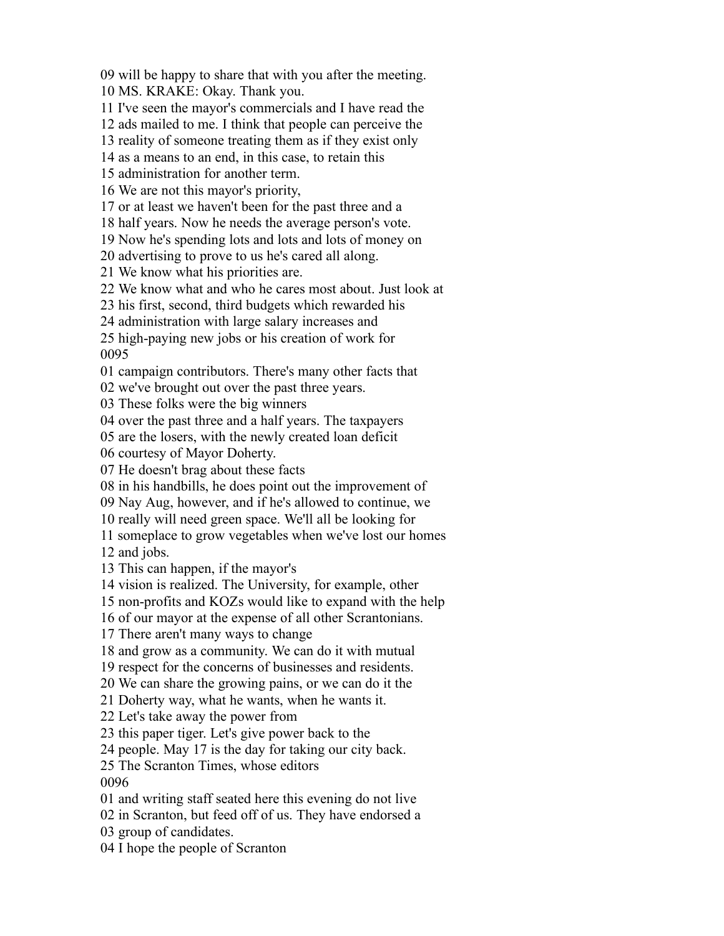will be happy to share that with you after the meeting.

MS. KRAKE: Okay. Thank you.

I've seen the mayor's commercials and I have read the

ads mailed to me. I think that people can perceive the

reality of someone treating them as if they exist only

as a means to an end, in this case, to retain this

administration for another term.

We are not this mayor's priority,

or at least we haven't been for the past three and a

half years. Now he needs the average person's vote.

Now he's spending lots and lots and lots of money on

advertising to prove to us he's cared all along.

We know what his priorities are.

We know what and who he cares most about. Just look at

his first, second, third budgets which rewarded his

administration with large salary increases and

 high-paying new jobs or his creation of work for 

campaign contributors. There's many other facts that

we've brought out over the past three years.

These folks were the big winners

over the past three and a half years. The taxpayers

are the losers, with the newly created loan deficit

courtesy of Mayor Doherty.

He doesn't brag about these facts

in his handbills, he does point out the improvement of

Nay Aug, however, and if he's allowed to continue, we

really will need green space. We'll all be looking for

someplace to grow vegetables when we've lost our homes

and jobs.

This can happen, if the mayor's

vision is realized. The University, for example, other

non-profits and KOZs would like to expand with the help

of our mayor at the expense of all other Scrantonians.

There aren't many ways to change

and grow as a community. We can do it with mutual

respect for the concerns of businesses and residents.

We can share the growing pains, or we can do it the

Doherty way, what he wants, when he wants it.

Let's take away the power from

this paper tiger. Let's give power back to the

people. May 17 is the day for taking our city back.

The Scranton Times, whose editors

and writing staff seated here this evening do not live

in Scranton, but feed off of us. They have endorsed a

group of candidates.

I hope the people of Scranton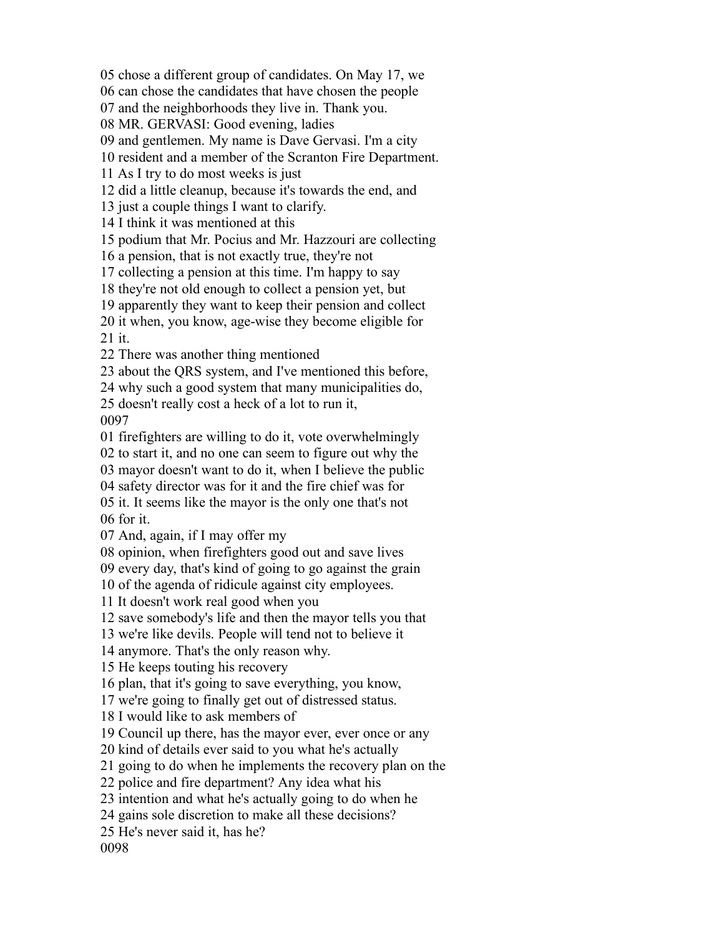chose a different group of candidates. On May 17, we

can chose the candidates that have chosen the people

and the neighborhoods they live in. Thank you.

MR. GERVASI: Good evening, ladies

and gentlemen. My name is Dave Gervasi. I'm a city

resident and a member of the Scranton Fire Department.

As I try to do most weeks is just

did a little cleanup, because it's towards the end, and

just a couple things I want to clarify.

I think it was mentioned at this

podium that Mr. Pocius and Mr. Hazzouri are collecting

a pension, that is not exactly true, they're not

collecting a pension at this time. I'm happy to say

they're not old enough to collect a pension yet, but

apparently they want to keep their pension and collect

 it when, you know, age-wise they become eligible for it.

There was another thing mentioned

about the QRS system, and I've mentioned this before,

why such a good system that many municipalities do,

doesn't really cost a heck of a lot to run it,

firefighters are willing to do it, vote overwhelmingly

to start it, and no one can seem to figure out why the

mayor doesn't want to do it, when I believe the public

safety director was for it and the fire chief was for

 it. It seems like the mayor is the only one that's not for it.

And, again, if I may offer my

opinion, when firefighters good out and save lives

every day, that's kind of going to go against the grain

of the agenda of ridicule against city employees.

It doesn't work real good when you

save somebody's life and then the mayor tells you that

we're like devils. People will tend not to believe it

anymore. That's the only reason why.

He keeps touting his recovery

plan, that it's going to save everything, you know,

we're going to finally get out of distressed status.

I would like to ask members of

Council up there, has the mayor ever, ever once or any

kind of details ever said to you what he's actually

going to do when he implements the recovery plan on the

police and fire department? Any idea what his

intention and what he's actually going to do when he

gains sole discretion to make all these decisions?

He's never said it, has he?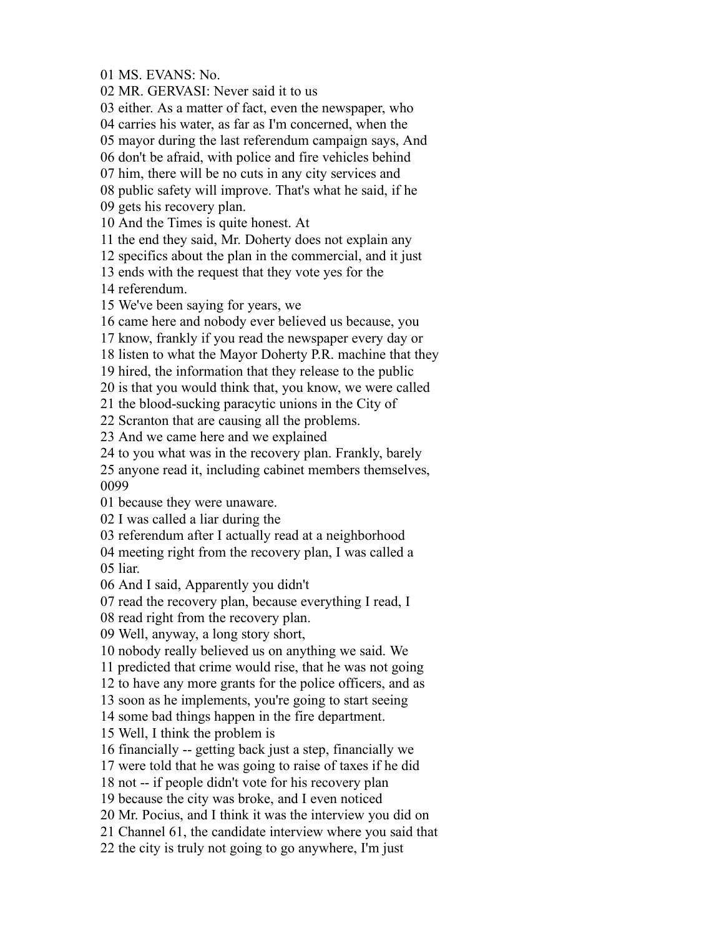MS. EVANS: No.

MR. GERVASI: Never said it to us

either. As a matter of fact, even the newspaper, who

carries his water, as far as I'm concerned, when the

mayor during the last referendum campaign says, And

don't be afraid, with police and fire vehicles behind

him, there will be no cuts in any city services and

public safety will improve. That's what he said, if he

gets his recovery plan.

And the Times is quite honest. At

the end they said, Mr. Doherty does not explain any

specifics about the plan in the commercial, and it just

ends with the request that they vote yes for the

referendum.

We've been saying for years, we

came here and nobody ever believed us because, you

know, frankly if you read the newspaper every day or

listen to what the Mayor Doherty P.R. machine that they

hired, the information that they release to the public

is that you would think that, you know, we were called

the blood-sucking paracytic unions in the City of

Scranton that are causing all the problems.

And we came here and we explained

to you what was in the recovery plan. Frankly, barely

 anyone read it, including cabinet members themselves, 

because they were unaware.

I was called a liar during the

referendum after I actually read at a neighborhood

 meeting right from the recovery plan, I was called a liar.

And I said, Apparently you didn't

read the recovery plan, because everything I read, I

read right from the recovery plan.

Well, anyway, a long story short,

nobody really believed us on anything we said. We

predicted that crime would rise, that he was not going

to have any more grants for the police officers, and as

soon as he implements, you're going to start seeing

some bad things happen in the fire department.

Well, I think the problem is

financially -- getting back just a step, financially we

were told that he was going to raise of taxes if he did

not -- if people didn't vote for his recovery plan

because the city was broke, and I even noticed

Mr. Pocius, and I think it was the interview you did on

Channel 61, the candidate interview where you said that

the city is truly not going to go anywhere, I'm just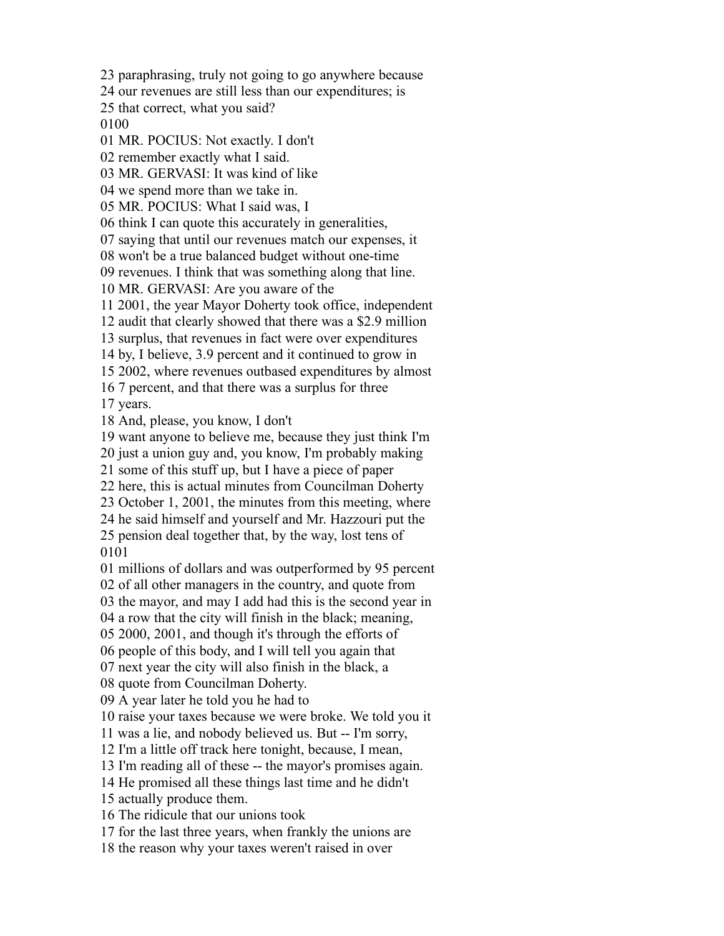paraphrasing, truly not going to go anywhere because

our revenues are still less than our expenditures; is

that correct, what you said?

MR. POCIUS: Not exactly. I don't

remember exactly what I said.

MR. GERVASI: It was kind of like

we spend more than we take in.

MR. POCIUS: What I said was, I

think I can quote this accurately in generalities,

saying that until our revenues match our expenses, it

won't be a true balanced budget without one-time

revenues. I think that was something along that line.

MR. GERVASI: Are you aware of the

2001, the year Mayor Doherty took office, independent

audit that clearly showed that there was a \$2.9 million

surplus, that revenues in fact were over expenditures

by, I believe, 3.9 percent and it continued to grow in

2002, where revenues outbased expenditures by almost

 7 percent, and that there was a surplus for three years.

And, please, you know, I don't

want anyone to believe me, because they just think I'm

just a union guy and, you know, I'm probably making

some of this stuff up, but I have a piece of paper

here, this is actual minutes from Councilman Doherty

October 1, 2001, the minutes from this meeting, where

 he said himself and yourself and Mr. Hazzouri put the pension deal together that, by the way, lost tens of

millions of dollars and was outperformed by 95 percent

of all other managers in the country, and quote from

the mayor, and may I add had this is the second year in

a row that the city will finish in the black; meaning,

2000, 2001, and though it's through the efforts of

people of this body, and I will tell you again that

next year the city will also finish in the black, a

quote from Councilman Doherty.

A year later he told you he had to

raise your taxes because we were broke. We told you it

was a lie, and nobody believed us. But -- I'm sorry,

I'm a little off track here tonight, because, I mean,

I'm reading all of these -- the mayor's promises again.

He promised all these things last time and he didn't

actually produce them.

The ridicule that our unions took

for the last three years, when frankly the unions are

the reason why your taxes weren't raised in over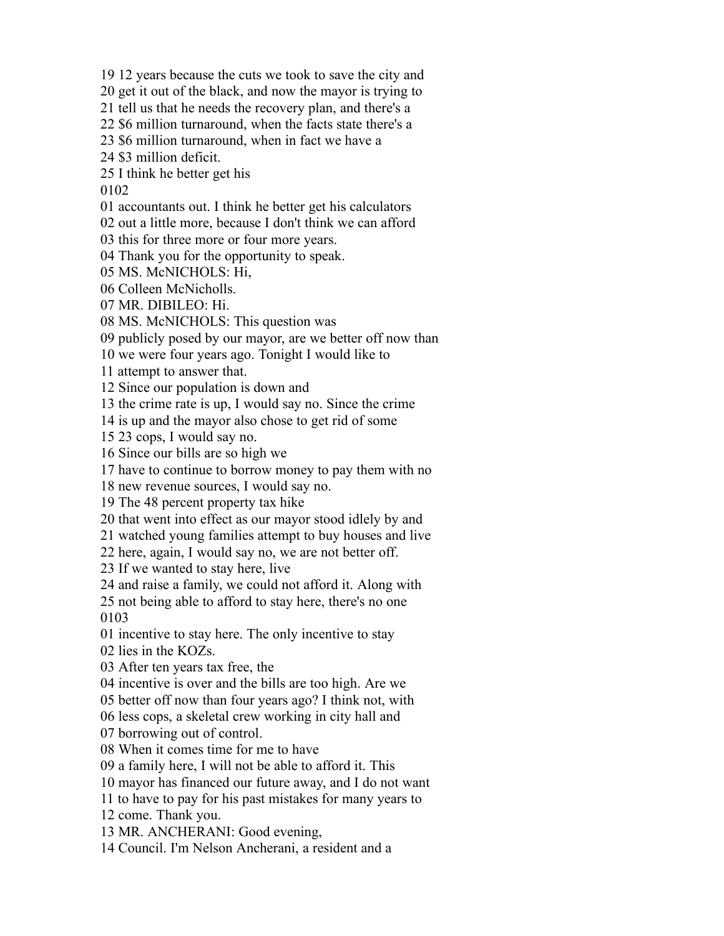12 years because the cuts we took to save the city and

get it out of the black, and now the mayor is trying to

tell us that he needs the recovery plan, and there's a

\$6 million turnaround, when the facts state there's a

\$6 million turnaround, when in fact we have a

\$3 million deficit.

I think he better get his

accountants out. I think he better get his calculators

out a little more, because I don't think we can afford

this for three more or four more years.

Thank you for the opportunity to speak.

MS. McNICHOLS: Hi,

Colleen McNicholls.

MR. DIBILEO: Hi.

MS. McNICHOLS: This question was

publicly posed by our mayor, are we better off now than

we were four years ago. Tonight I would like to

attempt to answer that.

Since our population is down and

the crime rate is up, I would say no. Since the crime

is up and the mayor also chose to get rid of some

23 cops, I would say no.

Since our bills are so high we

have to continue to borrow money to pay them with no

new revenue sources, I would say no.

The 48 percent property tax hike

that went into effect as our mayor stood idlely by and

watched young families attempt to buy houses and live

here, again, I would say no, we are not better off.

If we wanted to stay here, live

and raise a family, we could not afford it. Along with

 not being able to afford to stay here, there's no one 

incentive to stay here. The only incentive to stay

lies in the KOZs.

After ten years tax free, the

incentive is over and the bills are too high. Are we

better off now than four years ago? I think not, with

less cops, a skeletal crew working in city hall and

borrowing out of control.

When it comes time for me to have

a family here, I will not be able to afford it. This

mayor has financed our future away, and I do not want

to have to pay for his past mistakes for many years to

come. Thank you.

MR. ANCHERANI: Good evening,

Council. I'm Nelson Ancherani, a resident and a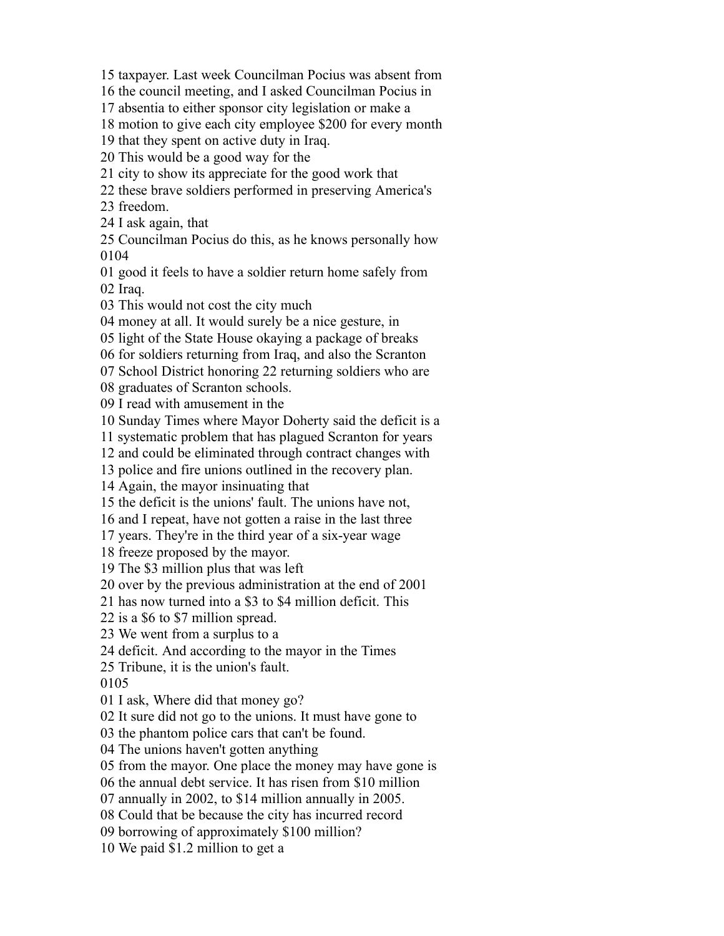taxpayer. Last week Councilman Pocius was absent from

the council meeting, and I asked Councilman Pocius in

absentia to either sponsor city legislation or make a

motion to give each city employee \$200 for every month

that they spent on active duty in Iraq.

This would be a good way for the

city to show its appreciate for the good work that

these brave soldiers performed in preserving America's

freedom.

I ask again, that

 Councilman Pocius do this, as he knows personally how 

 good it feels to have a soldier return home safely from Iraq.

This would not cost the city much

money at all. It would surely be a nice gesture, in

light of the State House okaying a package of breaks

for soldiers returning from Iraq, and also the Scranton

School District honoring 22 returning soldiers who are

graduates of Scranton schools.

I read with amusement in the

Sunday Times where Mayor Doherty said the deficit is a

systematic problem that has plagued Scranton for years

and could be eliminated through contract changes with

police and fire unions outlined in the recovery plan.

Again, the mayor insinuating that

the deficit is the unions' fault. The unions have not,

and I repeat, have not gotten a raise in the last three

years. They're in the third year of a six-year wage

freeze proposed by the mayor.

The \$3 million plus that was left

over by the previous administration at the end of 2001

has now turned into a \$3 to \$4 million deficit. This

is a \$6 to \$7 million spread.

We went from a surplus to a

deficit. And according to the mayor in the Times

Tribune, it is the union's fault.

I ask, Where did that money go?

It sure did not go to the unions. It must have gone to

the phantom police cars that can't be found.

The unions haven't gotten anything

from the mayor. One place the money may have gone is

the annual debt service. It has risen from \$10 million

annually in 2002, to \$14 million annually in 2005.

Could that be because the city has incurred record

borrowing of approximately \$100 million?

We paid \$1.2 million to get a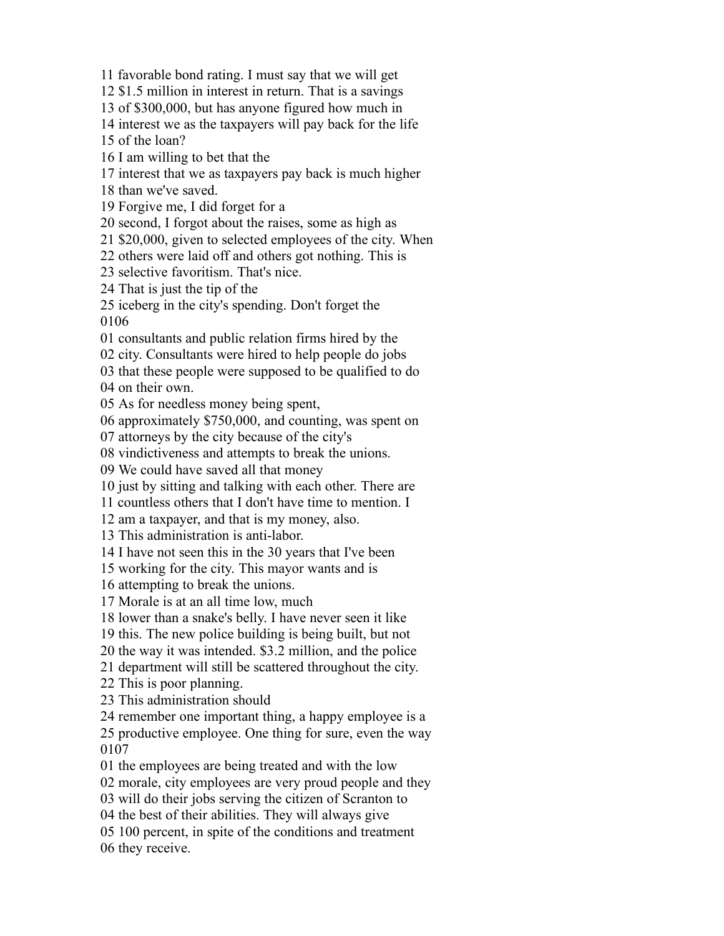favorable bond rating. I must say that we will get

\$1.5 million in interest in return. That is a savings

of \$300,000, but has anyone figured how much in

interest we as the taxpayers will pay back for the life

of the loan?

I am willing to bet that the

interest that we as taxpayers pay back is much higher

than we've saved.

Forgive me, I did forget for a

second, I forgot about the raises, some as high as

\$20,000, given to selected employees of the city. When

others were laid off and others got nothing. This is

selective favoritism. That's nice.

That is just the tip of the

 iceberg in the city's spending. Don't forget the 

consultants and public relation firms hired by the

city. Consultants were hired to help people do jobs

 that these people were supposed to be qualified to do on their own.

As for needless money being spent,

approximately \$750,000, and counting, was spent on

attorneys by the city because of the city's

vindictiveness and attempts to break the unions.

We could have saved all that money

just by sitting and talking with each other. There are

countless others that I don't have time to mention. I

am a taxpayer, and that is my money, also.

This administration is anti-labor.

I have not seen this in the 30 years that I've been

working for the city. This mayor wants and is

attempting to break the unions.

Morale is at an all time low, much

lower than a snake's belly. I have never seen it like

this. The new police building is being built, but not

the way it was intended. \$3.2 million, and the police

department will still be scattered throughout the city.

This is poor planning.

This administration should

remember one important thing, a happy employee is a

 productive employee. One thing for sure, even the way 

the employees are being treated and with the low

morale, city employees are very proud people and they

will do their jobs serving the citizen of Scranton to

the best of their abilities. They will always give

 100 percent, in spite of the conditions and treatment they receive.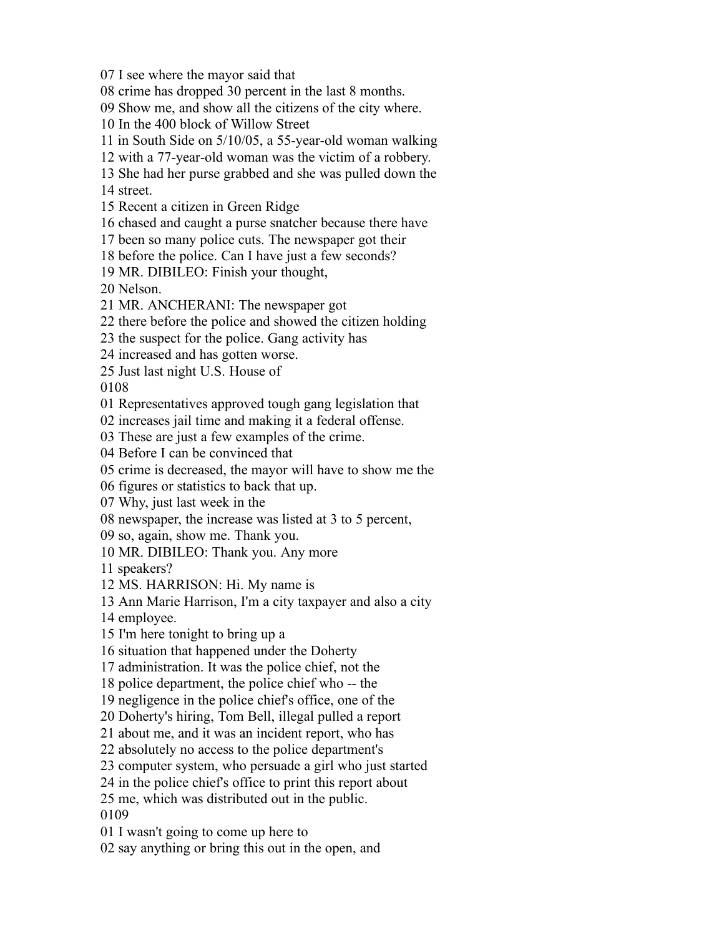I see where the mayor said that

crime has dropped 30 percent in the last 8 months.

Show me, and show all the citizens of the city where.

In the 400 block of Willow Street

in South Side on 5/10/05, a 55-year-old woman walking

with a 77-year-old woman was the victim of a robbery.

She had her purse grabbed and she was pulled down the

street.

Recent a citizen in Green Ridge

chased and caught a purse snatcher because there have

been so many police cuts. The newspaper got their

before the police. Can I have just a few seconds?

MR. DIBILEO: Finish your thought,

Nelson.

MR. ANCHERANI: The newspaper got

there before the police and showed the citizen holding

the suspect for the police. Gang activity has

increased and has gotten worse.

Just last night U.S. House of

Representatives approved tough gang legislation that

increases jail time and making it a federal offense.

These are just a few examples of the crime.

Before I can be convinced that

crime is decreased, the mayor will have to show me the

figures or statistics to back that up.

Why, just last week in the

newspaper, the increase was listed at 3 to 5 percent,

so, again, show me. Thank you.

MR. DIBILEO: Thank you. Any more

speakers?

MS. HARRISON: Hi. My name is

Ann Marie Harrison, I'm a city taxpayer and also a city

employee.

I'm here tonight to bring up a

situation that happened under the Doherty

administration. It was the police chief, not the

police department, the police chief who -- the

negligence in the police chief's office, one of the

Doherty's hiring, Tom Bell, illegal pulled a report

about me, and it was an incident report, who has

absolutely no access to the police department's

computer system, who persuade a girl who just started

in the police chief's office to print this report about

 me, which was distributed out in the public. 

I wasn't going to come up here to

say anything or bring this out in the open, and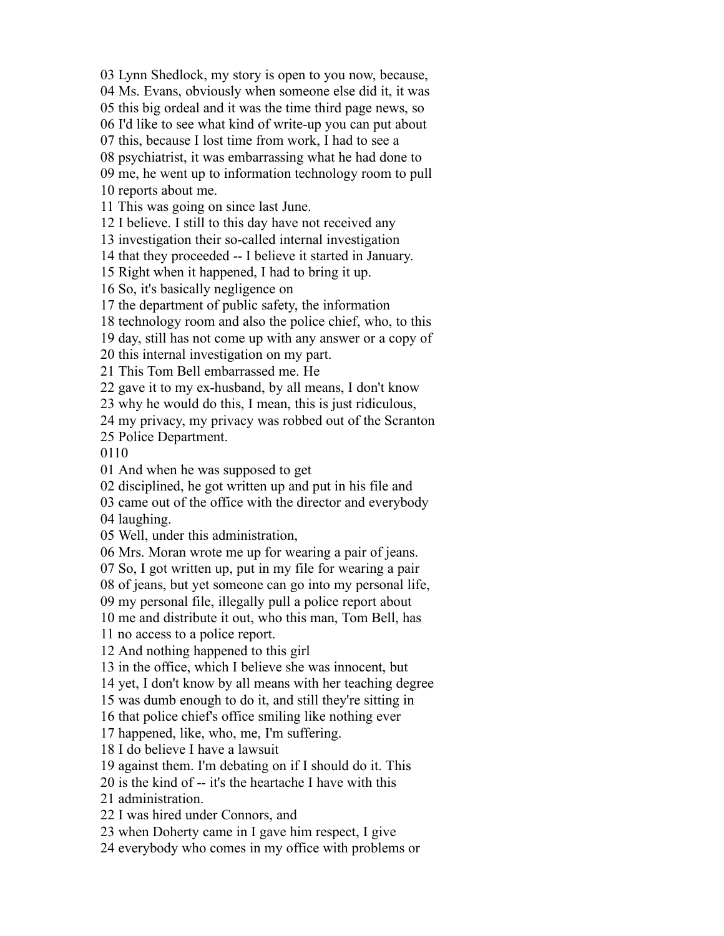Lynn Shedlock, my story is open to you now, because,

Ms. Evans, obviously when someone else did it, it was

this big ordeal and it was the time third page news, so

I'd like to see what kind of write-up you can put about

this, because I lost time from work, I had to see a

psychiatrist, it was embarrassing what he had done to

 me, he went up to information technology room to pull reports about me.

This was going on since last June.

I believe. I still to this day have not received any

investigation their so-called internal investigation

that they proceeded -- I believe it started in January.

Right when it happened, I had to bring it up.

So, it's basically negligence on

the department of public safety, the information

technology room and also the police chief, who, to this

day, still has not come up with any answer or a copy of

this internal investigation on my part.

This Tom Bell embarrassed me. He

gave it to my ex-husband, by all means, I don't know

why he would do this, I mean, this is just ridiculous,

my privacy, my privacy was robbed out of the Scranton

Police Department.

And when he was supposed to get

disciplined, he got written up and put in his file and

came out of the office with the director and everybody

laughing.

Well, under this administration,

Mrs. Moran wrote me up for wearing a pair of jeans.

So, I got written up, put in my file for wearing a pair

of jeans, but yet someone can go into my personal life,

my personal file, illegally pull a police report about

me and distribute it out, who this man, Tom Bell, has

no access to a police report.

And nothing happened to this girl

in the office, which I believe she was innocent, but

yet, I don't know by all means with her teaching degree

was dumb enough to do it, and still they're sitting in

that police chief's office smiling like nothing ever

happened, like, who, me, I'm suffering.

I do believe I have a lawsuit

against them. I'm debating on if I should do it. This

is the kind of -- it's the heartache I have with this

administration.

I was hired under Connors, and

when Doherty came in I gave him respect, I give

everybody who comes in my office with problems or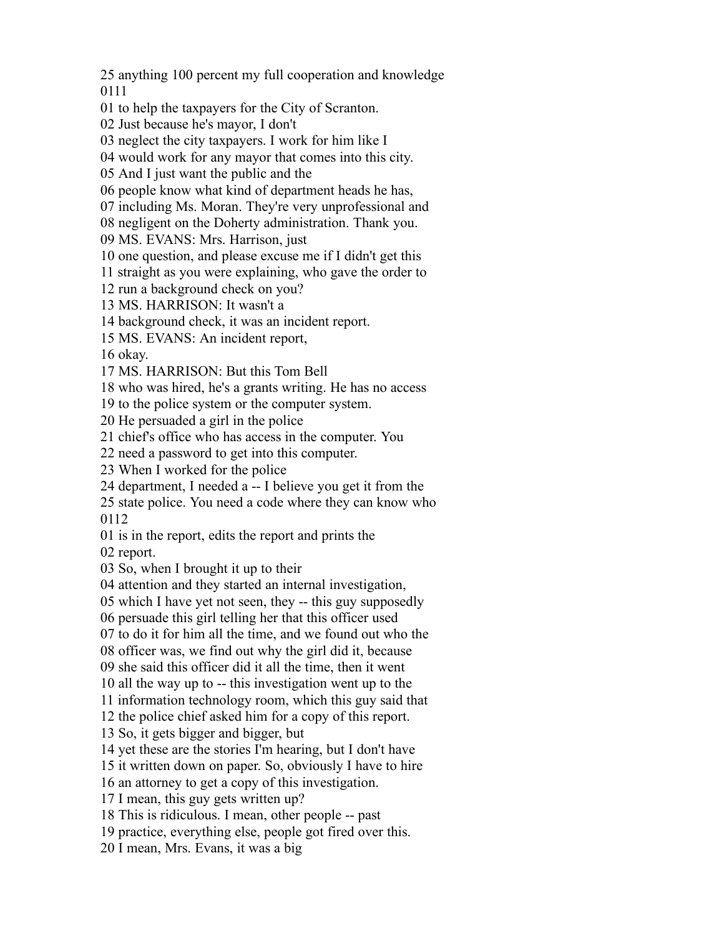anything 100 percent my full cooperation and knowledge 

to help the taxpayers for the City of Scranton.

Just because he's mayor, I don't

neglect the city taxpayers. I work for him like I

would work for any mayor that comes into this city.

And I just want the public and the

people know what kind of department heads he has,

including Ms. Moran. They're very unprofessional and

negligent on the Doherty administration. Thank you.

MS. EVANS: Mrs. Harrison, just

one question, and please excuse me if I didn't get this

straight as you were explaining, who gave the order to

run a background check on you?

MS. HARRISON: It wasn't a

background check, it was an incident report.

MS. EVANS: An incident report,

okay.

MS. HARRISON: But this Tom Bell

who was hired, he's a grants writing. He has no access

to the police system or the computer system.

He persuaded a girl in the police

chief's office who has access in the computer. You

need a password to get into this computer.

When I worked for the police

department, I needed a -- I believe you get it from the

 state police. You need a code where they can know who 

is in the report, edits the report and prints the

report.

So, when I brought it up to their

attention and they started an internal investigation,

which I have yet not seen, they -- this guy supposedly

persuade this girl telling her that this officer used

to do it for him all the time, and we found out who the

officer was, we find out why the girl did it, because

she said this officer did it all the time, then it went

all the way up to -- this investigation went up to the

information technology room, which this guy said that

the police chief asked him for a copy of this report.

So, it gets bigger and bigger, but

yet these are the stories I'm hearing, but I don't have

it written down on paper. So, obviously I have to hire

an attorney to get a copy of this investigation.

I mean, this guy gets written up?

This is ridiculous. I mean, other people -- past

practice, everything else, people got fired over this.

I mean, Mrs. Evans, it was a big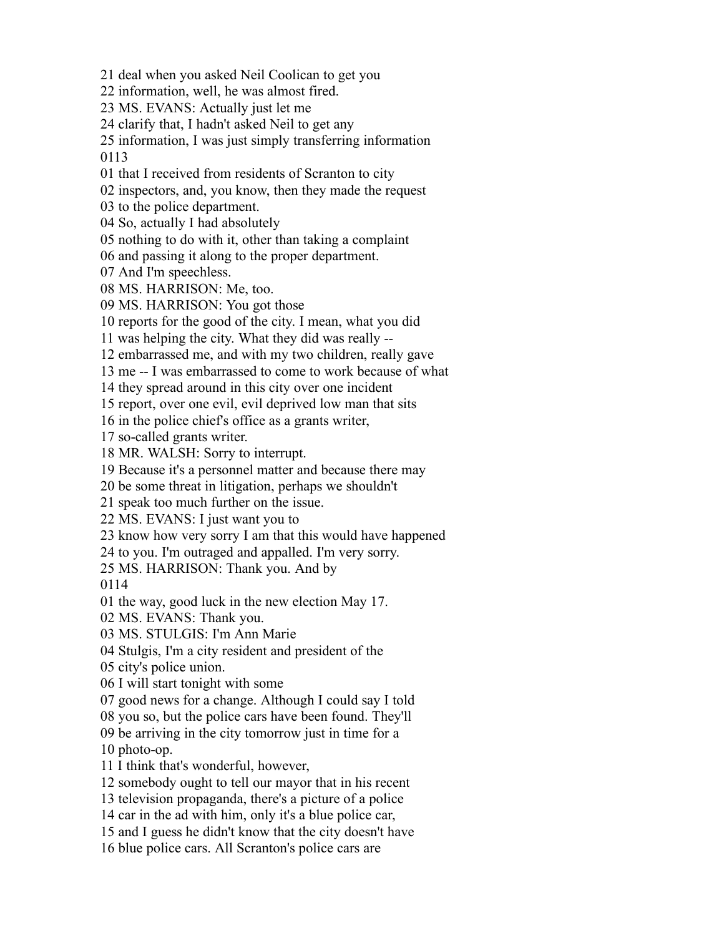deal when you asked Neil Coolican to get you

information, well, he was almost fired.

MS. EVANS: Actually just let me

clarify that, I hadn't asked Neil to get any

 information, I was just simply transferring information 

that I received from residents of Scranton to city

inspectors, and, you know, then they made the request

to the police department.

So, actually I had absolutely

nothing to do with it, other than taking a complaint

and passing it along to the proper department.

And I'm speechless.

MS. HARRISON: Me, too.

MS. HARRISON: You got those

reports for the good of the city. I mean, what you did

was helping the city. What they did was really --

embarrassed me, and with my two children, really gave

me -- I was embarrassed to come to work because of what

they spread around in this city over one incident

report, over one evil, evil deprived low man that sits

in the police chief's office as a grants writer,

so-called grants writer.

MR. WALSH: Sorry to interrupt.

Because it's a personnel matter and because there may

be some threat in litigation, perhaps we shouldn't

speak too much further on the issue.

MS. EVANS: I just want you to

know how very sorry I am that this would have happened

to you. I'm outraged and appalled. I'm very sorry.

MS. HARRISON: Thank you. And by

the way, good luck in the new election May 17.

MS. EVANS: Thank you.

MS. STULGIS: I'm Ann Marie

Stulgis, I'm a city resident and president of the

city's police union.

I will start tonight with some

good news for a change. Although I could say I told

you so, but the police cars have been found. They'll

be arriving in the city tomorrow just in time for a

photo-op.

I think that's wonderful, however,

somebody ought to tell our mayor that in his recent

television propaganda, there's a picture of a police

car in the ad with him, only it's a blue police car,

and I guess he didn't know that the city doesn't have

blue police cars. All Scranton's police cars are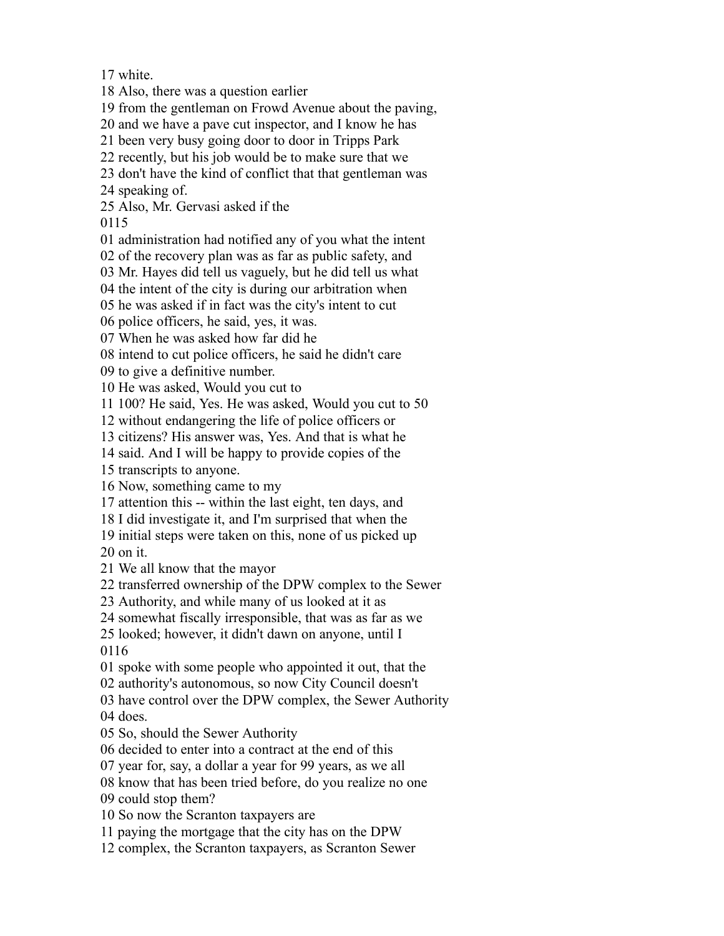white.

Also, there was a question earlier

from the gentleman on Frowd Avenue about the paving,

and we have a pave cut inspector, and I know he has

been very busy going door to door in Tripps Park

recently, but his job would be to make sure that we

don't have the kind of conflict that that gentleman was

speaking of.

Also, Mr. Gervasi asked if the

administration had notified any of you what the intent

of the recovery plan was as far as public safety, and

Mr. Hayes did tell us vaguely, but he did tell us what

the intent of the city is during our arbitration when

he was asked if in fact was the city's intent to cut

police officers, he said, yes, it was.

When he was asked how far did he

intend to cut police officers, he said he didn't care

to give a definitive number.

He was asked, Would you cut to

100? He said, Yes. He was asked, Would you cut to 50

without endangering the life of police officers or

citizens? His answer was, Yes. And that is what he

said. And I will be happy to provide copies of the

transcripts to anyone.

Now, something came to my

attention this -- within the last eight, ten days, and

I did investigate it, and I'm surprised that when the

 initial steps were taken on this, none of us picked up on it.

We all know that the mayor

transferred ownership of the DPW complex to the Sewer

Authority, and while many of us looked at it as

somewhat fiscally irresponsible, that was as far as we

looked; however, it didn't dawn on anyone, until I

spoke with some people who appointed it out, that the

authority's autonomous, so now City Council doesn't

have control over the DPW complex, the Sewer Authority

does.

So, should the Sewer Authority

decided to enter into a contract at the end of this

year for, say, a dollar a year for 99 years, as we all

know that has been tried before, do you realize no one

could stop them?

So now the Scranton taxpayers are

paying the mortgage that the city has on the DPW

complex, the Scranton taxpayers, as Scranton Sewer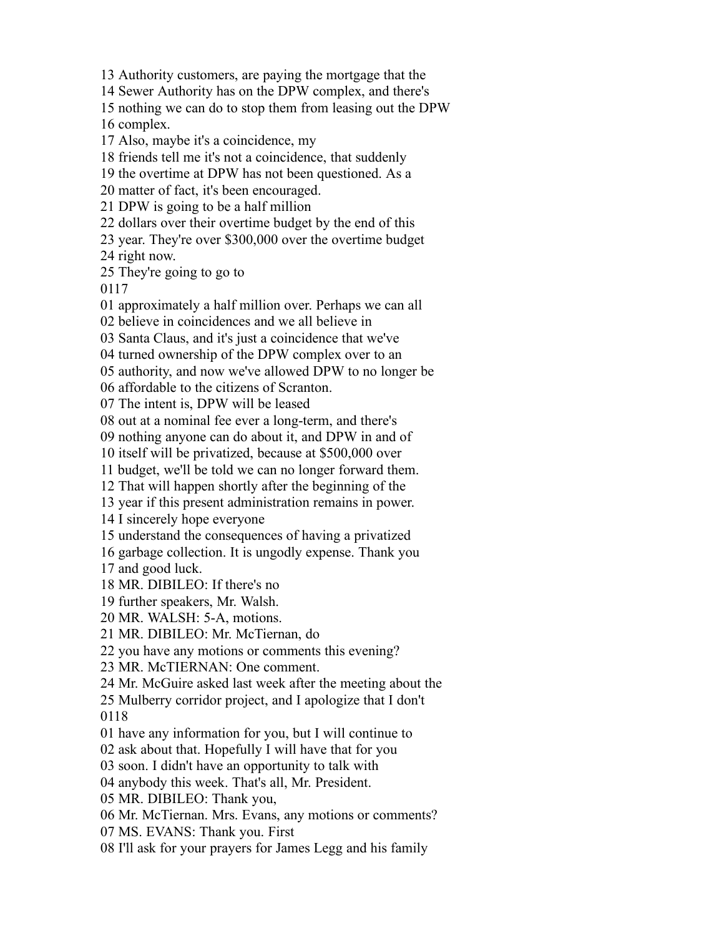Authority customers, are paying the mortgage that the

Sewer Authority has on the DPW complex, and there's

nothing we can do to stop them from leasing out the DPW

complex.

Also, maybe it's a coincidence, my

friends tell me it's not a coincidence, that suddenly

the overtime at DPW has not been questioned. As a

matter of fact, it's been encouraged.

DPW is going to be a half million

dollars over their overtime budget by the end of this

year. They're over \$300,000 over the overtime budget

right now.

They're going to go to

approximately a half million over. Perhaps we can all

believe in coincidences and we all believe in

Santa Claus, and it's just a coincidence that we've

turned ownership of the DPW complex over to an

authority, and now we've allowed DPW to no longer be

affordable to the citizens of Scranton.

The intent is, DPW will be leased

out at a nominal fee ever a long-term, and there's

nothing anyone can do about it, and DPW in and of

itself will be privatized, because at \$500,000 over

budget, we'll be told we can no longer forward them.

That will happen shortly after the beginning of the

year if this present administration remains in power.

I sincerely hope everyone

understand the consequences of having a privatized

garbage collection. It is ungodly expense. Thank you

and good luck.

MR. DIBILEO: If there's no

further speakers, Mr. Walsh.

MR. WALSH: 5-A, motions.

MR. DIBILEO: Mr. McTiernan, do

you have any motions or comments this evening?

MR. McTIERNAN: One comment.

Mr. McGuire asked last week after the meeting about the

 Mulberry corridor project, and I apologize that I don't 

have any information for you, but I will continue to

ask about that. Hopefully I will have that for you

soon. I didn't have an opportunity to talk with

anybody this week. That's all, Mr. President.

MR. DIBILEO: Thank you,

Mr. McTiernan. Mrs. Evans, any motions or comments?

MS. EVANS: Thank you. First

I'll ask for your prayers for James Legg and his family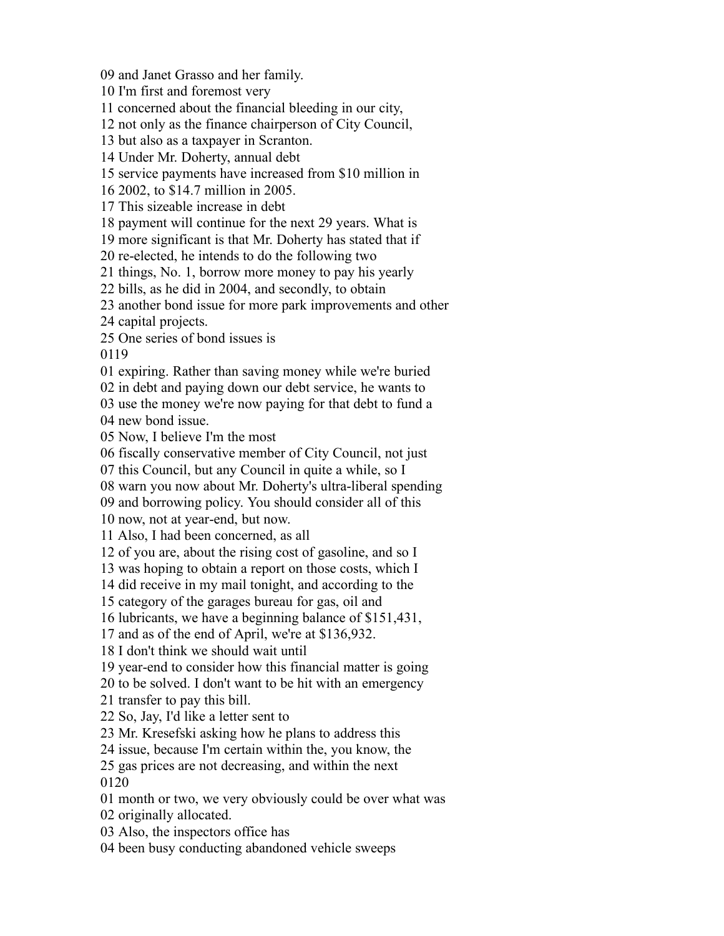and Janet Grasso and her family.

I'm first and foremost very

concerned about the financial bleeding in our city,

not only as the finance chairperson of City Council,

but also as a taxpayer in Scranton.

Under Mr. Doherty, annual debt

service payments have increased from \$10 million in

2002, to \$14.7 million in 2005.

This sizeable increase in debt

payment will continue for the next 29 years. What is

more significant is that Mr. Doherty has stated that if

re-elected, he intends to do the following two

things, No. 1, borrow more money to pay his yearly

bills, as he did in 2004, and secondly, to obtain

another bond issue for more park improvements and other

capital projects.

One series of bond issues is

expiring. Rather than saving money while we're buried

in debt and paying down our debt service, he wants to

use the money we're now paying for that debt to fund a

new bond issue.

Now, I believe I'm the most

fiscally conservative member of City Council, not just

this Council, but any Council in quite a while, so I

warn you now about Mr. Doherty's ultra-liberal spending

and borrowing policy. You should consider all of this

now, not at year-end, but now.

Also, I had been concerned, as all

of you are, about the rising cost of gasoline, and so I

was hoping to obtain a report on those costs, which I

did receive in my mail tonight, and according to the

category of the garages bureau for gas, oil and

lubricants, we have a beginning balance of \$151,431,

and as of the end of April, we're at \$136,932.

I don't think we should wait until

year-end to consider how this financial matter is going

to be solved. I don't want to be hit with an emergency

transfer to pay this bill.

So, Jay, I'd like a letter sent to

Mr. Kresefski asking how he plans to address this

issue, because I'm certain within the, you know, the

 gas prices are not decreasing, and within the next 

month or two, we very obviously could be over what was

originally allocated.

Also, the inspectors office has

been busy conducting abandoned vehicle sweeps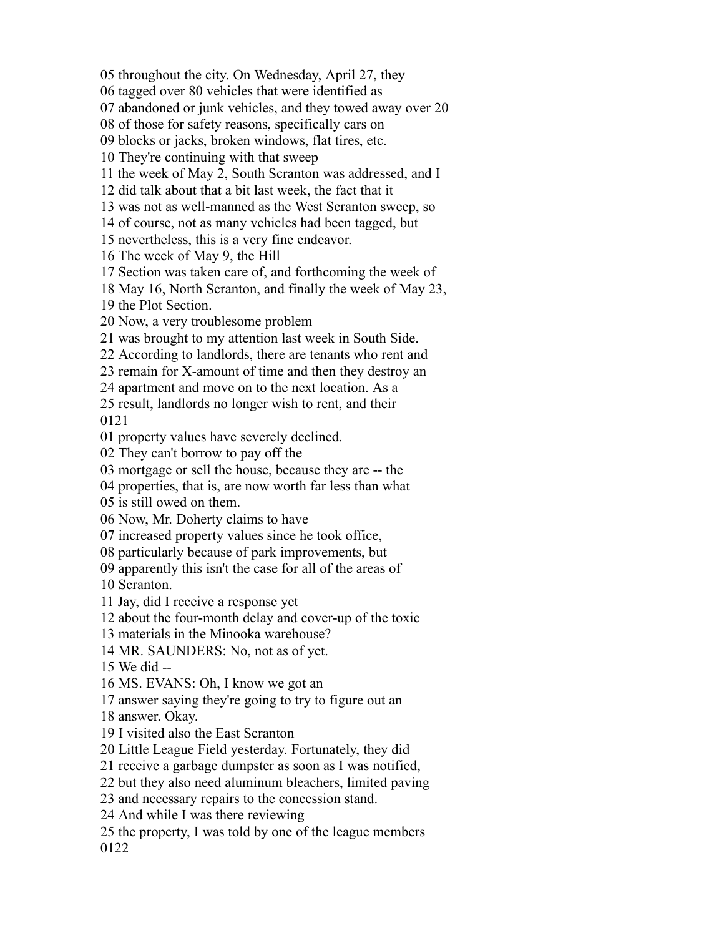throughout the city. On Wednesday, April 27, they

tagged over 80 vehicles that were identified as

abandoned or junk vehicles, and they towed away over 20

of those for safety reasons, specifically cars on

blocks or jacks, broken windows, flat tires, etc.

They're continuing with that sweep

the week of May 2, South Scranton was addressed, and I

did talk about that a bit last week, the fact that it

was not as well-manned as the West Scranton sweep, so

of course, not as many vehicles had been tagged, but

nevertheless, this is a very fine endeavor.

The week of May 9, the Hill

Section was taken care of, and forthcoming the week of

May 16, North Scranton, and finally the week of May 23,

the Plot Section.

Now, a very troublesome problem

was brought to my attention last week in South Side.

According to landlords, there are tenants who rent and

remain for X-amount of time and then they destroy an

apartment and move on to the next location. As a

 result, landlords no longer wish to rent, and their 

property values have severely declined.

They can't borrow to pay off the

mortgage or sell the house, because they are -- the

properties, that is, are now worth far less than what

is still owed on them.

Now, Mr. Doherty claims to have

increased property values since he took office,

particularly because of park improvements, but

 apparently this isn't the case for all of the areas of Scranton.

Jay, did I receive a response yet

about the four-month delay and cover-up of the toxic

materials in the Minooka warehouse?

MR. SAUNDERS: No, not as of yet.

We did --

MS. EVANS: Oh, I know we got an

answer saying they're going to try to figure out an

answer. Okay.

I visited also the East Scranton

Little League Field yesterday. Fortunately, they did

receive a garbage dumpster as soon as I was notified,

but they also need aluminum bleachers, limited paving

and necessary repairs to the concession stand.

And while I was there reviewing

 the property, I was told by one of the league members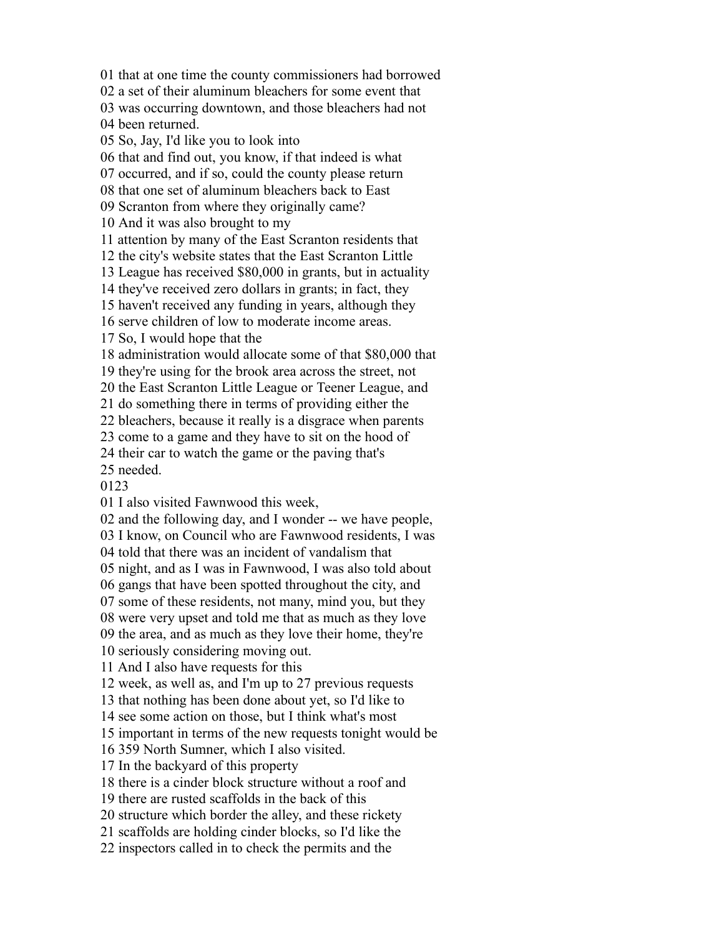that at one time the county commissioners had borrowed

a set of their aluminum bleachers for some event that

 was occurring downtown, and those bleachers had not been returned.

So, Jay, I'd like you to look into

that and find out, you know, if that indeed is what

occurred, and if so, could the county please return

that one set of aluminum bleachers back to East

Scranton from where they originally came?

And it was also brought to my

attention by many of the East Scranton residents that

the city's website states that the East Scranton Little

League has received \$80,000 in grants, but in actuality

they've received zero dollars in grants; in fact, they

haven't received any funding in years, although they

serve children of low to moderate income areas.

So, I would hope that the

administration would allocate some of that \$80,000 that

they're using for the brook area across the street, not

the East Scranton Little League or Teener League, and

do something there in terms of providing either the

bleachers, because it really is a disgrace when parents

come to a game and they have to sit on the hood of

their car to watch the game or the paving that's

needed.

I also visited Fawnwood this week,

and the following day, and I wonder -- we have people,

I know, on Council who are Fawnwood residents, I was

told that there was an incident of vandalism that

night, and as I was in Fawnwood, I was also told about

gangs that have been spotted throughout the city, and

some of these residents, not many, mind you, but they

were very upset and told me that as much as they love

the area, and as much as they love their home, they're

seriously considering moving out.

And I also have requests for this

week, as well as, and I'm up to 27 previous requests

that nothing has been done about yet, so I'd like to

see some action on those, but I think what's most

important in terms of the new requests tonight would be

359 North Sumner, which I also visited.

In the backyard of this property

there is a cinder block structure without a roof and

there are rusted scaffolds in the back of this

structure which border the alley, and these rickety

scaffolds are holding cinder blocks, so I'd like the

inspectors called in to check the permits and the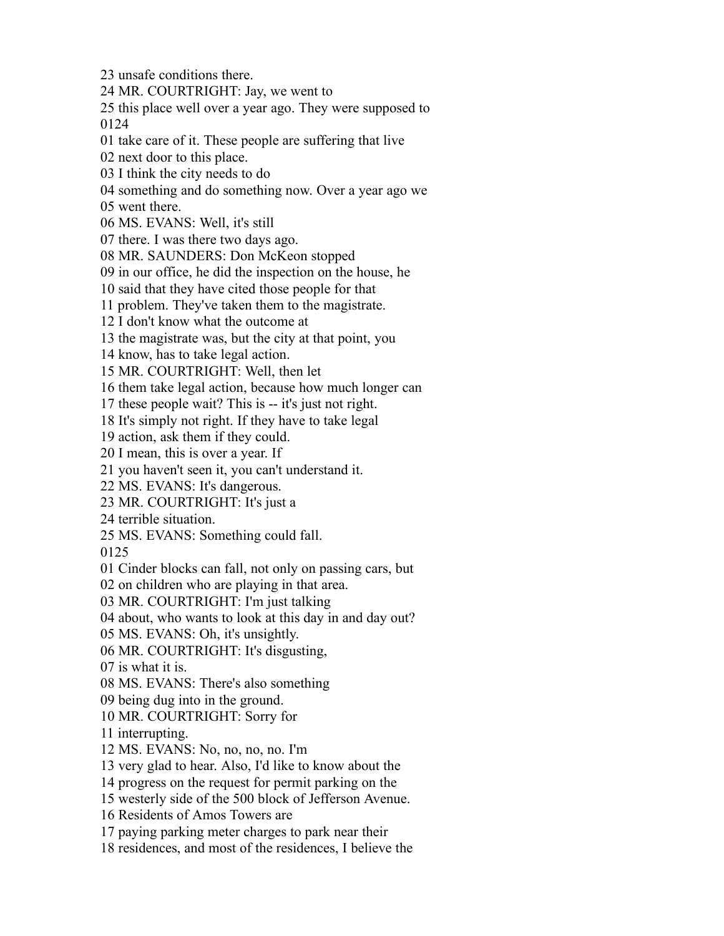unsafe conditions there.

MR. COURTRIGHT: Jay, we went to

 this place well over a year ago. They were supposed to 

take care of it. These people are suffering that live

next door to this place.

I think the city needs to do

something and do something now. Over a year ago we

went there.

MS. EVANS: Well, it's still

there. I was there two days ago.

MR. SAUNDERS: Don McKeon stopped

in our office, he did the inspection on the house, he

said that they have cited those people for that

problem. They've taken them to the magistrate.

I don't know what the outcome at

the magistrate was, but the city at that point, you

know, has to take legal action.

MR. COURTRIGHT: Well, then let

them take legal action, because how much longer can

these people wait? This is -- it's just not right.

It's simply not right. If they have to take legal

action, ask them if they could.

I mean, this is over a year. If

you haven't seen it, you can't understand it.

MS. EVANS: It's dangerous.

MR. COURTRIGHT: It's just a

terrible situation.

MS. EVANS: Something could fall.

Cinder blocks can fall, not only on passing cars, but

on children who are playing in that area.

MR. COURTRIGHT: I'm just talking

about, who wants to look at this day in and day out?

MS. EVANS: Oh, it's unsightly.

MR. COURTRIGHT: It's disgusting,

is what it is.

MS. EVANS: There's also something

being dug into in the ground.

MR. COURTRIGHT: Sorry for

interrupting.

MS. EVANS: No, no, no, no. I'm

very glad to hear. Also, I'd like to know about the

progress on the request for permit parking on the

westerly side of the 500 block of Jefferson Avenue.

Residents of Amos Towers are

paying parking meter charges to park near their

residences, and most of the residences, I believe the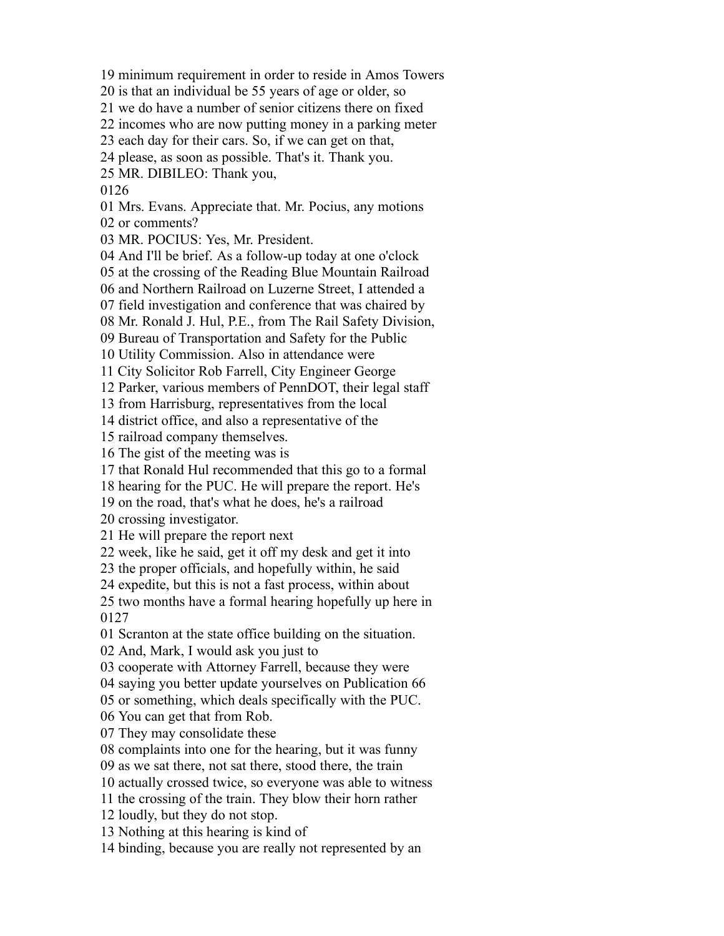minimum requirement in order to reside in Amos Towers

is that an individual be 55 years of age or older, so

we do have a number of senior citizens there on fixed

incomes who are now putting money in a parking meter

each day for their cars. So, if we can get on that,

please, as soon as possible. That's it. Thank you.

MR. DIBILEO: Thank you,

Mrs. Evans. Appreciate that. Mr. Pocius, any motions

or comments?

MR. POCIUS: Yes, Mr. President.

And I'll be brief. As a follow-up today at one o'clock

at the crossing of the Reading Blue Mountain Railroad

and Northern Railroad on Luzerne Street, I attended a

field investigation and conference that was chaired by

Mr. Ronald J. Hul, P.E., from The Rail Safety Division,

Bureau of Transportation and Safety for the Public

Utility Commission. Also in attendance were

City Solicitor Rob Farrell, City Engineer George

Parker, various members of PennDOT, their legal staff

from Harrisburg, representatives from the local

district office, and also a representative of the

railroad company themselves.

The gist of the meeting was is

that Ronald Hul recommended that this go to a formal

hearing for the PUC. He will prepare the report. He's

on the road, that's what he does, he's a railroad

crossing investigator.

He will prepare the report next

week, like he said, get it off my desk and get it into

the proper officials, and hopefully within, he said

expedite, but this is not a fast process, within about

 two months have a formal hearing hopefully up here in 

Scranton at the state office building on the situation.

And, Mark, I would ask you just to

cooperate with Attorney Farrell, because they were

saying you better update yourselves on Publication 66

or something, which deals specifically with the PUC.

You can get that from Rob.

They may consolidate these

complaints into one for the hearing, but it was funny

as we sat there, not sat there, stood there, the train

actually crossed twice, so everyone was able to witness

the crossing of the train. They blow their horn rather

loudly, but they do not stop.

Nothing at this hearing is kind of

binding, because you are really not represented by an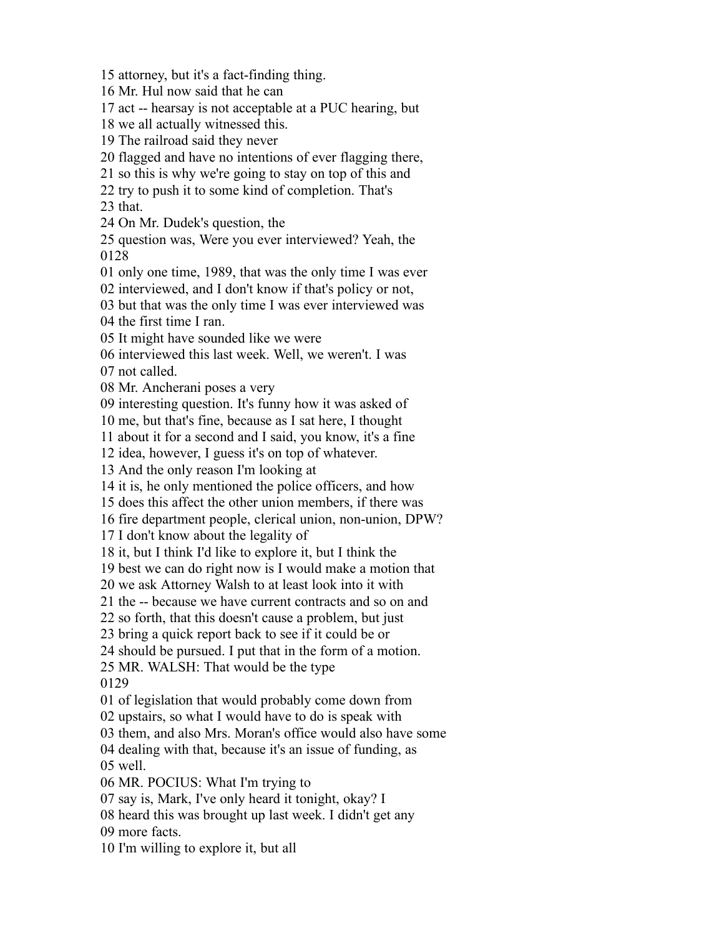attorney, but it's a fact-finding thing.

Mr. Hul now said that he can

act -- hearsay is not acceptable at a PUC hearing, but

we all actually witnessed this.

The railroad said they never

flagged and have no intentions of ever flagging there,

so this is why we're going to stay on top of this and

try to push it to some kind of completion. That's

that.

On Mr. Dudek's question, the

 question was, Were you ever interviewed? Yeah, the 

only one time, 1989, that was the only time I was ever

interviewed, and I don't know if that's policy or not,

 but that was the only time I was ever interviewed was the first time I ran.

It might have sounded like we were

interviewed this last week. Well, we weren't. I was

not called.

Mr. Ancherani poses a very

interesting question. It's funny how it was asked of

me, but that's fine, because as I sat here, I thought

about it for a second and I said, you know, it's a fine

idea, however, I guess it's on top of whatever.

And the only reason I'm looking at

it is, he only mentioned the police officers, and how

does this affect the other union members, if there was

fire department people, clerical union, non-union, DPW?

I don't know about the legality of

it, but I think I'd like to explore it, but I think the

best we can do right now is I would make a motion that

we ask Attorney Walsh to at least look into it with

the -- because we have current contracts and so on and

so forth, that this doesn't cause a problem, but just

bring a quick report back to see if it could be or

should be pursued. I put that in the form of a motion.

 MR. WALSH: That would be the type 

of legislation that would probably come down from

upstairs, so what I would have to do is speak with

them, and also Mrs. Moran's office would also have some

 dealing with that, because it's an issue of funding, as well.

MR. POCIUS: What I'm trying to

say is, Mark, I've only heard it tonight, okay? I

heard this was brought up last week. I didn't get any

more facts.

I'm willing to explore it, but all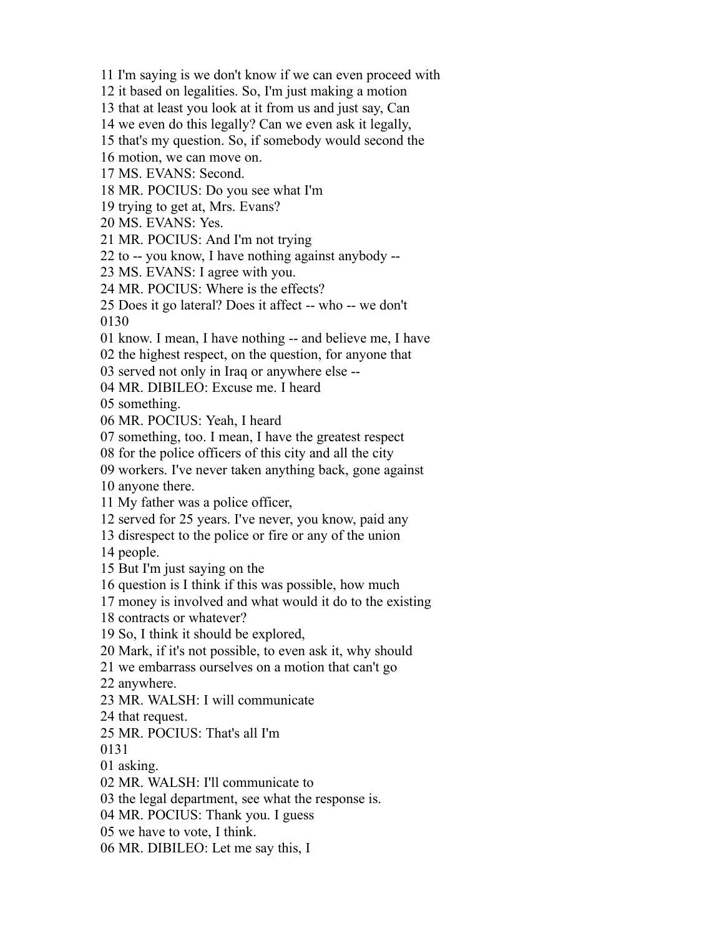I'm saying is we don't know if we can even proceed with

it based on legalities. So, I'm just making a motion

that at least you look at it from us and just say, Can

we even do this legally? Can we even ask it legally,

that's my question. So, if somebody would second the

motion, we can move on.

MS. EVANS: Second.

MR. POCIUS: Do you see what I'm

trying to get at, Mrs. Evans?

MS. EVANS: Yes.

MR. POCIUS: And I'm not trying

to -- you know, I have nothing against anybody --

MS. EVANS: I agree with you.

MR. POCIUS: Where is the effects?

Does it go lateral? Does it affect -- who -- we don't

know. I mean, I have nothing -- and believe me, I have

the highest respect, on the question, for anyone that

served not only in Iraq or anywhere else --

MR. DIBILEO: Excuse me. I heard

something.

MR. POCIUS: Yeah, I heard

something, too. I mean, I have the greatest respect

for the police officers of this city and all the city

workers. I've never taken anything back, gone against

anyone there.

My father was a police officer,

served for 25 years. I've never, you know, paid any

disrespect to the police or fire or any of the union

people.

But I'm just saying on the

question is I think if this was possible, how much

money is involved and what would it do to the existing

contracts or whatever?

So, I think it should be explored,

Mark, if it's not possible, to even ask it, why should

we embarrass ourselves on a motion that can't go

anywhere.

MR. WALSH: I will communicate

that request.

MR. POCIUS: That's all I'm

asking.

MR. WALSH: I'll communicate to

the legal department, see what the response is.

MR. POCIUS: Thank you. I guess

we have to vote, I think.

MR. DIBILEO: Let me say this, I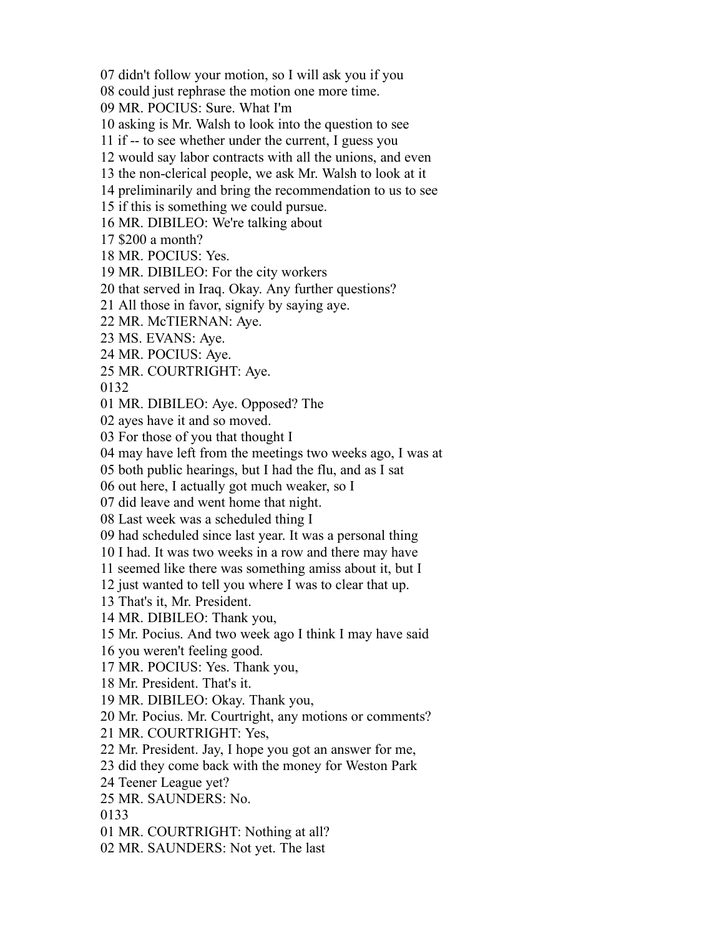didn't follow your motion, so I will ask you if you

could just rephrase the motion one more time.

MR. POCIUS: Sure. What I'm

asking is Mr. Walsh to look into the question to see

if -- to see whether under the current, I guess you

would say labor contracts with all the unions, and even

the non-clerical people, we ask Mr. Walsh to look at it

preliminarily and bring the recommendation to us to see

if this is something we could pursue.

MR. DIBILEO: We're talking about

\$200 a month?

MR. POCIUS: Yes.

MR. DIBILEO: For the city workers

that served in Iraq. Okay. Any further questions?

All those in favor, signify by saying aye.

MR. McTIERNAN: Aye.

MS. EVANS: Aye.

MR. POCIUS: Aye.

MR. COURTRIGHT: Aye.

MR. DIBILEO: Aye. Opposed? The

ayes have it and so moved.

For those of you that thought I

may have left from the meetings two weeks ago, I was at

both public hearings, but I had the flu, and as I sat

out here, I actually got much weaker, so I

did leave and went home that night.

Last week was a scheduled thing I

had scheduled since last year. It was a personal thing

I had. It was two weeks in a row and there may have

seemed like there was something amiss about it, but I

just wanted to tell you where I was to clear that up.

That's it, Mr. President.

MR. DIBILEO: Thank you,

Mr. Pocius. And two week ago I think I may have said

you weren't feeling good.

MR. POCIUS: Yes. Thank you,

Mr. President. That's it.

MR. DIBILEO: Okay. Thank you,

Mr. Pocius. Mr. Courtright, any motions or comments?

MR. COURTRIGHT: Yes,

Mr. President. Jay, I hope you got an answer for me,

did they come back with the money for Weston Park

Teener League yet?

MR. SAUNDERS: No.

MR. COURTRIGHT: Nothing at all?

MR. SAUNDERS: Not yet. The last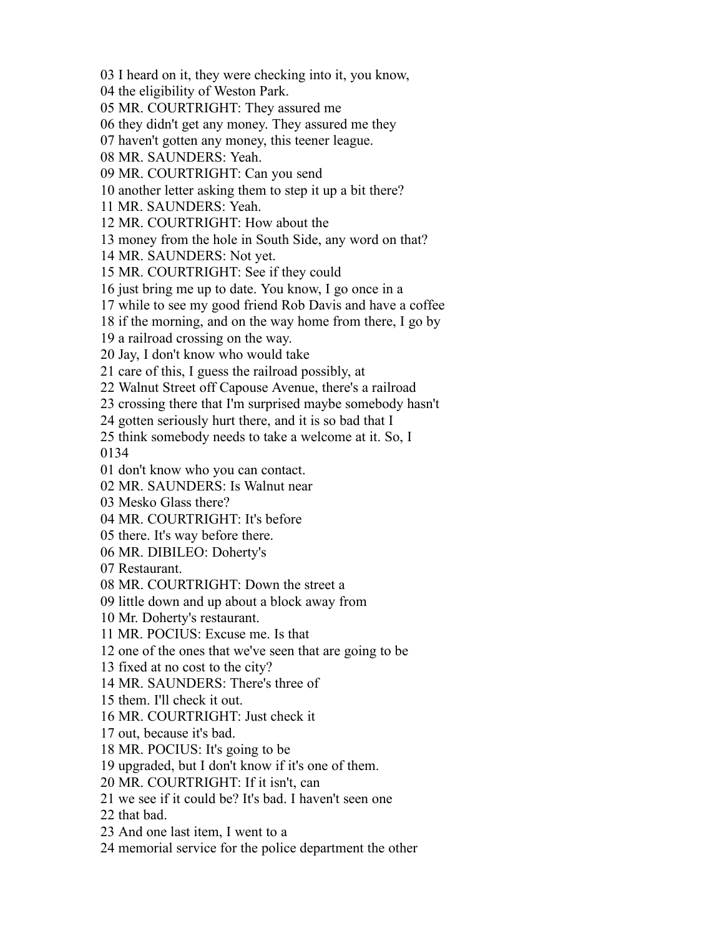I heard on it, they were checking into it, you know,

the eligibility of Weston Park.

MR. COURTRIGHT: They assured me

they didn't get any money. They assured me they

haven't gotten any money, this teener league.

MR. SAUNDERS: Yeah.

MR. COURTRIGHT: Can you send

another letter asking them to step it up a bit there?

MR. SAUNDERS: Yeah.

MR. COURTRIGHT: How about the

money from the hole in South Side, any word on that?

MR. SAUNDERS: Not yet.

MR. COURTRIGHT: See if they could

just bring me up to date. You know, I go once in a

while to see my good friend Rob Davis and have a coffee

if the morning, and on the way home from there, I go by

a railroad crossing on the way.

Jay, I don't know who would take

care of this, I guess the railroad possibly, at

Walnut Street off Capouse Avenue, there's a railroad

crossing there that I'm surprised maybe somebody hasn't

gotten seriously hurt there, and it is so bad that I

think somebody needs to take a welcome at it. So, I

don't know who you can contact.

MR. SAUNDERS: Is Walnut near

Mesko Glass there?

MR. COURTRIGHT: It's before

there. It's way before there.

MR. DIBILEO: Doherty's

Restaurant.

MR. COURTRIGHT: Down the street a

little down and up about a block away from

Mr. Doherty's restaurant.

MR. POCIUS: Excuse me. Is that

one of the ones that we've seen that are going to be

fixed at no cost to the city?

MR. SAUNDERS: There's three of

them. I'll check it out.

MR. COURTRIGHT: Just check it

out, because it's bad.

MR. POCIUS: It's going to be

upgraded, but I don't know if it's one of them.

MR. COURTRIGHT: If it isn't, can

we see if it could be? It's bad. I haven't seen one

that bad.

And one last item, I went to a

memorial service for the police department the other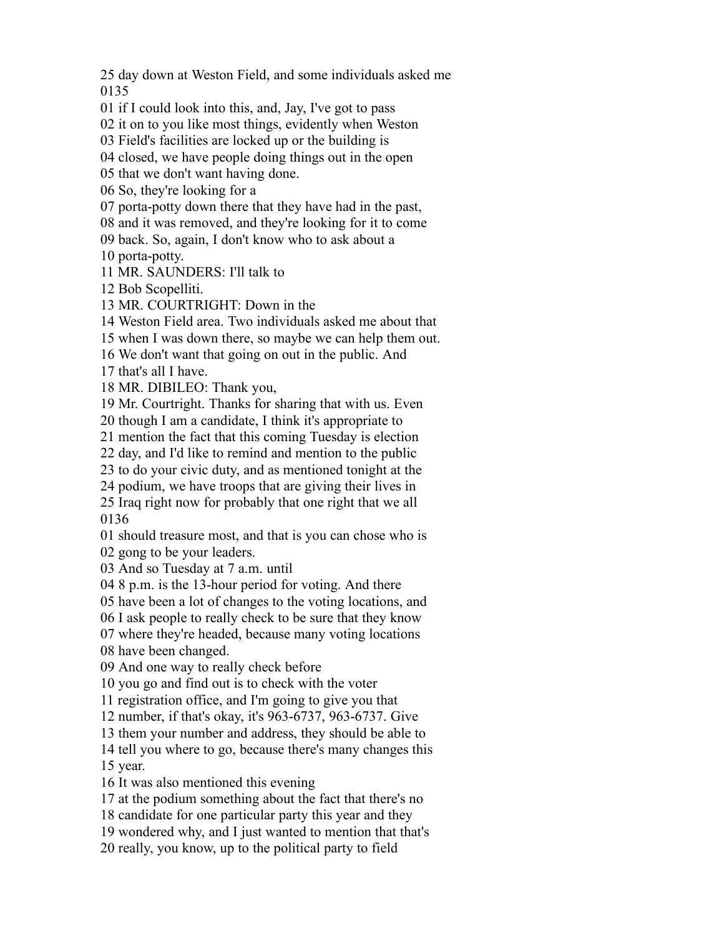day down at Weston Field, and some individuals asked me 

if I could look into this, and, Jay, I've got to pass

it on to you like most things, evidently when Weston

Field's facilities are locked up or the building is

closed, we have people doing things out in the open

that we don't want having done.

So, they're looking for a

porta-potty down there that they have had in the past,

and it was removed, and they're looking for it to come

back. So, again, I don't know who to ask about a

porta-potty.

MR. SAUNDERS: I'll talk to

Bob Scopelliti.

MR. COURTRIGHT: Down in the

Weston Field area. Two individuals asked me about that

when I was down there, so maybe we can help them out.

We don't want that going on out in the public. And

that's all I have.

MR. DIBILEO: Thank you,

Mr. Courtright. Thanks for sharing that with us. Even

though I am a candidate, I think it's appropriate to

mention the fact that this coming Tuesday is election

day, and I'd like to remind and mention to the public

to do your civic duty, and as mentioned tonight at the

podium, we have troops that are giving their lives in

 Iraq right now for probably that one right that we all 

 should treasure most, and that is you can chose who is gong to be your leaders.

And so Tuesday at 7 a.m. until

8 p.m. is the 13-hour period for voting. And there

have been a lot of changes to the voting locations, and

I ask people to really check to be sure that they know

where they're headed, because many voting locations

have been changed.

And one way to really check before

you go and find out is to check with the voter

registration office, and I'm going to give you that

number, if that's okay, it's 963-6737, 963-6737. Give

them your number and address, they should be able to

tell you where to go, because there's many changes this

year.

It was also mentioned this evening

at the podium something about the fact that there's no

candidate for one particular party this year and they

wondered why, and I just wanted to mention that that's

really, you know, up to the political party to field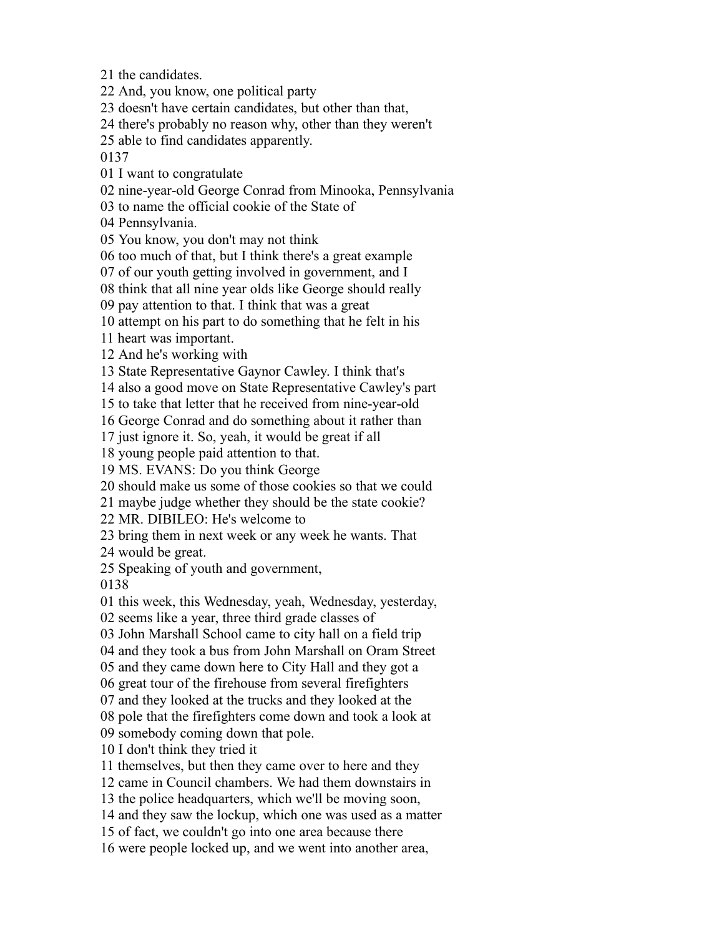the candidates.

And, you know, one political party

doesn't have certain candidates, but other than that,

there's probably no reason why, other than they weren't

able to find candidates apparently.

I want to congratulate

nine-year-old George Conrad from Minooka, Pennsylvania

to name the official cookie of the State of

Pennsylvania.

You know, you don't may not think

too much of that, but I think there's a great example

of our youth getting involved in government, and I

think that all nine year olds like George should really

pay attention to that. I think that was a great

attempt on his part to do something that he felt in his

heart was important.

And he's working with

State Representative Gaynor Cawley. I think that's

also a good move on State Representative Cawley's part

to take that letter that he received from nine-year-old

George Conrad and do something about it rather than

just ignore it. So, yeah, it would be great if all

young people paid attention to that.

MS. EVANS: Do you think George

should make us some of those cookies so that we could

maybe judge whether they should be the state cookie?

MR. DIBILEO: He's welcome to

bring them in next week or any week he wants. That

would be great.

Speaking of youth and government,

this week, this Wednesday, yeah, Wednesday, yesterday,

seems like a year, three third grade classes of

John Marshall School came to city hall on a field trip

and they took a bus from John Marshall on Oram Street

and they came down here to City Hall and they got a

great tour of the firehouse from several firefighters

and they looked at the trucks and they looked at the

pole that the firefighters come down and took a look at

somebody coming down that pole.

I don't think they tried it

themselves, but then they came over to here and they

came in Council chambers. We had them downstairs in

the police headquarters, which we'll be moving soon,

and they saw the lockup, which one was used as a matter

of fact, we couldn't go into one area because there

were people locked up, and we went into another area,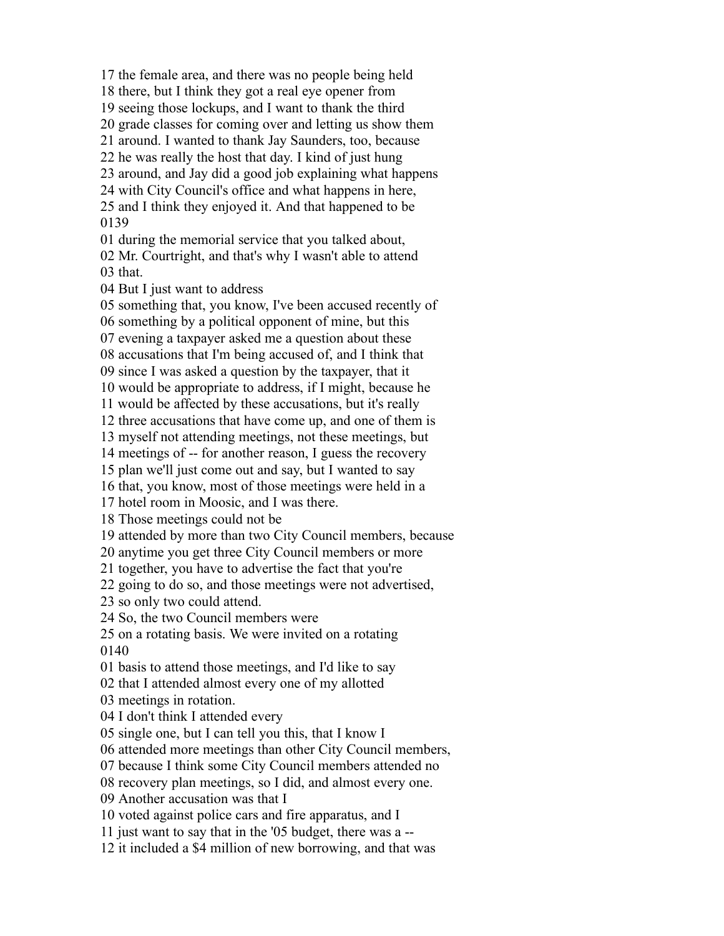the female area, and there was no people being held there, but I think they got a real eye opener from seeing those lockups, and I want to thank the third grade classes for coming over and letting us show them around. I wanted to thank Jay Saunders, too, because he was really the host that day. I kind of just hung around, and Jay did a good job explaining what happens with City Council's office and what happens in here, and I think they enjoyed it. And that happened to be during the memorial service that you talked about, Mr. Courtright, and that's why I wasn't able to attend that. But I just want to address something that, you know, I've been accused recently of something by a political opponent of mine, but this evening a taxpayer asked me a question about these accusations that I'm being accused of, and I think that since I was asked a question by the taxpayer, that it would be appropriate to address, if I might, because he would be affected by these accusations, but it's really three accusations that have come up, and one of them is myself not attending meetings, not these meetings, but meetings of -- for another reason, I guess the recovery plan we'll just come out and say, but I wanted to say that, you know, most of those meetings were held in a hotel room in Moosic, and I was there. Those meetings could not be attended by more than two City Council members, because anytime you get three City Council members or more together, you have to advertise the fact that you're going to do so, and those meetings were not advertised, so only two could attend. So, the two Council members were on a rotating basis. We were invited on a rotating basis to attend those meetings, and I'd like to say that I attended almost every one of my allotted meetings in rotation. I don't think I attended every single one, but I can tell you this, that I know I attended more meetings than other City Council members, because I think some City Council members attended no recovery plan meetings, so I did, and almost every one. Another accusation was that I voted against police cars and fire apparatus, and I just want to say that in the '05 budget, there was a -- it included a \$4 million of new borrowing, and that was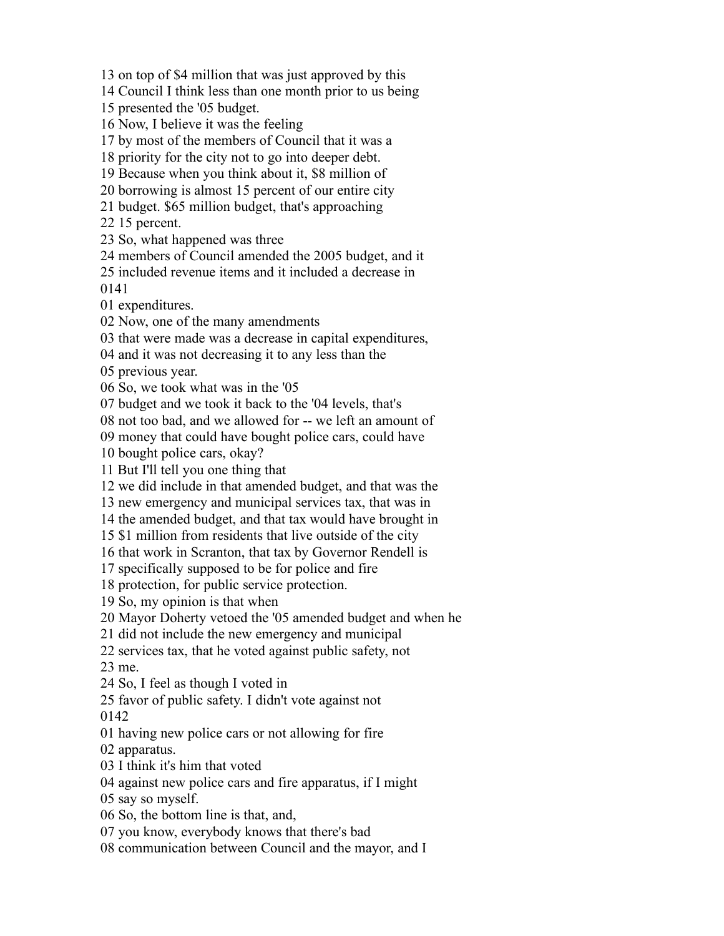on top of \$4 million that was just approved by this

Council I think less than one month prior to us being

presented the '05 budget.

Now, I believe it was the feeling

by most of the members of Council that it was a

priority for the city not to go into deeper debt.

Because when you think about it, \$8 million of

borrowing is almost 15 percent of our entire city

budget. \$65 million budget, that's approaching

15 percent.

So, what happened was three

members of Council amended the 2005 budget, and it

 included revenue items and it included a decrease in 

expenditures.

Now, one of the many amendments

that were made was a decrease in capital expenditures,

and it was not decreasing it to any less than the

previous year.

So, we took what was in the '05

budget and we took it back to the '04 levels, that's

not too bad, and we allowed for -- we left an amount of

money that could have bought police cars, could have

bought police cars, okay?

But I'll tell you one thing that

we did include in that amended budget, and that was the

new emergency and municipal services tax, that was in

the amended budget, and that tax would have brought in

\$1 million from residents that live outside of the city

that work in Scranton, that tax by Governor Rendell is

specifically supposed to be for police and fire

protection, for public service protection.

So, my opinion is that when

Mayor Doherty vetoed the '05 amended budget and when he

did not include the new emergency and municipal

services tax, that he voted against public safety, not

me.

So, I feel as though I voted in

favor of public safety. I didn't vote against not

having new police cars or not allowing for fire

apparatus.

I think it's him that voted

against new police cars and fire apparatus, if I might

say so myself.

So, the bottom line is that, and,

you know, everybody knows that there's bad

communication between Council and the mayor, and I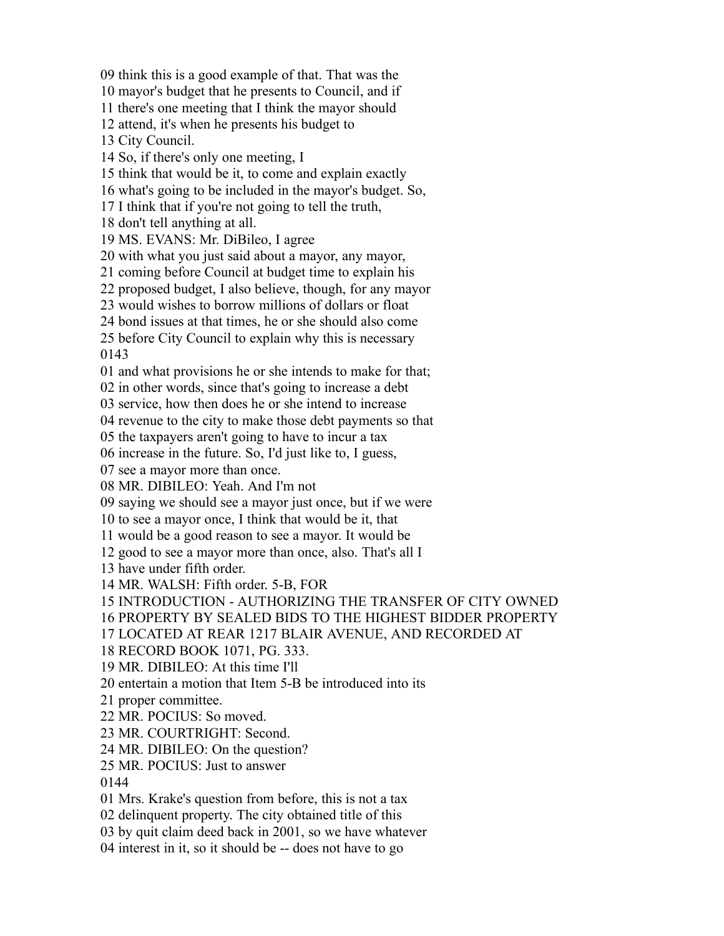think this is a good example of that. That was the

mayor's budget that he presents to Council, and if

there's one meeting that I think the mayor should

attend, it's when he presents his budget to

City Council.

So, if there's only one meeting, I

think that would be it, to come and explain exactly

what's going to be included in the mayor's budget. So,

I think that if you're not going to tell the truth,

don't tell anything at all.

MS. EVANS: Mr. DiBileo, I agree

with what you just said about a mayor, any mayor,

coming before Council at budget time to explain his

proposed budget, I also believe, though, for any mayor

would wishes to borrow millions of dollars or float

bond issues at that times, he or she should also come

before City Council to explain why this is necessary

and what provisions he or she intends to make for that;

in other words, since that's going to increase a debt

service, how then does he or she intend to increase

revenue to the city to make those debt payments so that

the taxpayers aren't going to have to incur a tax

increase in the future. So, I'd just like to, I guess,

see a mayor more than once.

MR. DIBILEO: Yeah. And I'm not

saying we should see a mayor just once, but if we were

to see a mayor once, I think that would be it, that

would be a good reason to see a mayor. It would be

good to see a mayor more than once, also. That's all I

have under fifth order.

MR. WALSH: Fifth order. 5-B, FOR

INTRODUCTION - AUTHORIZING THE TRANSFER OF CITY OWNED

PROPERTY BY SEALED BIDS TO THE HIGHEST BIDDER PROPERTY

LOCATED AT REAR 1217 BLAIR AVENUE, AND RECORDED AT

RECORD BOOK 1071, PG. 333.

MR. DIBILEO: At this time I'll

entertain a motion that Item 5-B be introduced into its

proper committee.

MR. POCIUS: So moved.

MR. COURTRIGHT: Second.

MR. DIBILEO: On the question?

MR. POCIUS: Just to answer

Mrs. Krake's question from before, this is not a tax

delinquent property. The city obtained title of this

by quit claim deed back in 2001, so we have whatever

interest in it, so it should be -- does not have to go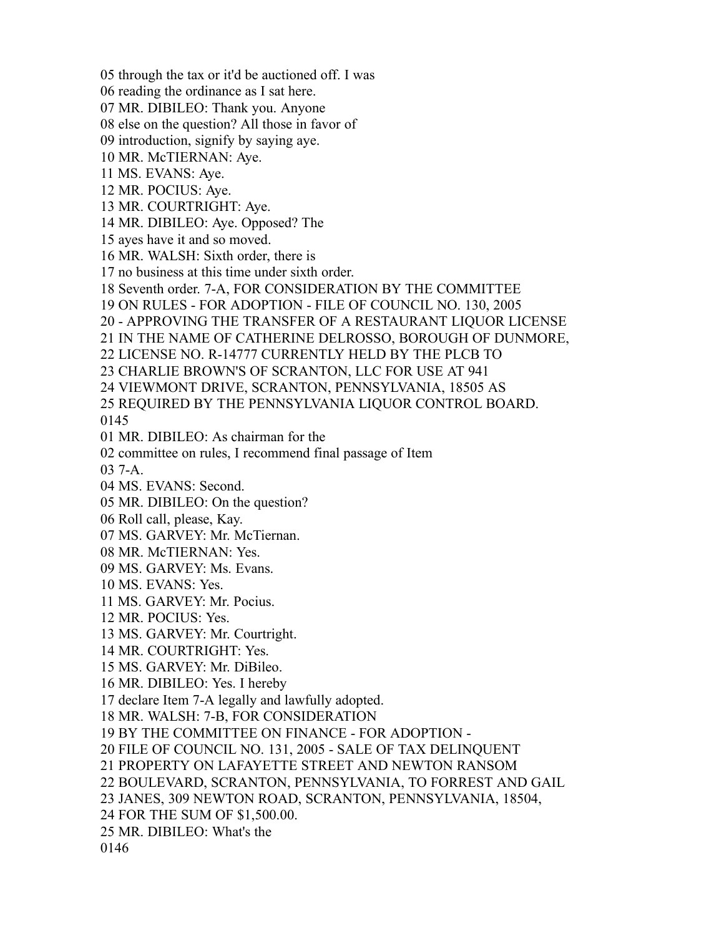through the tax or it'd be auctioned off. I was

- reading the ordinance as I sat here.
- MR. DIBILEO: Thank you. Anyone
- else on the question? All those in favor of
- introduction, signify by saying aye.
- MR. McTIERNAN: Aye.
- MS. EVANS: Aye.
- MR. POCIUS: Aye.
- MR. COURTRIGHT: Aye.
- MR. DIBILEO: Aye. Opposed? The
- ayes have it and so moved.
- MR. WALSH: Sixth order, there is
- no business at this time under sixth order.
- Seventh order. 7-A, FOR CONSIDERATION BY THE COMMITTEE
- ON RULES FOR ADOPTION FILE OF COUNCIL NO. 130, 2005
- APPROVING THE TRANSFER OF A RESTAURANT LIQUOR LICENSE
- IN THE NAME OF CATHERINE DELROSSO, BOROUGH OF DUNMORE,
- LICENSE NO. R-14777 CURRENTLY HELD BY THE PLCB TO
- CHARLIE BROWN'S OF SCRANTON, LLC FOR USE AT 941
- VIEWMONT DRIVE, SCRANTON, PENNSYLVANIA, 18505 AS
- REQUIRED BY THE PENNSYLVANIA LIQUOR CONTROL BOARD.

- MR. DIBILEO: As chairman for the
- committee on rules, I recommend final passage of Item
- 7-A.
- MS. EVANS: Second.
- MR. DIBILEO: On the question?
- Roll call, please, Kay.
- MS. GARVEY: Mr. McTiernan.
- MR. McTIERNAN: Yes.
- MS. GARVEY: Ms. Evans.
- MS. EVANS: Yes.
- MS. GARVEY: Mr. Pocius.
- MR. POCIUS: Yes.
- MS. GARVEY: Mr. Courtright.
- MR. COURTRIGHT: Yes.
- MS. GARVEY: Mr. DiBileo.
- MR. DIBILEO: Yes. I hereby
- declare Item 7-A legally and lawfully adopted.
- MR. WALSH: 7-B, FOR CONSIDERATION
- BY THE COMMITTEE ON FINANCE FOR ADOPTION -
- FILE OF COUNCIL NO. 131, 2005 SALE OF TAX DELINQUENT
- PROPERTY ON LAFAYETTE STREET AND NEWTON RANSOM
- BOULEVARD, SCRANTON, PENNSYLVANIA, TO FORREST AND GAIL
- JANES, 309 NEWTON ROAD, SCRANTON, PENNSYLVANIA, 18504,
- FOR THE SUM OF \$1,500.00.
- MR. DIBILEO: What's the
-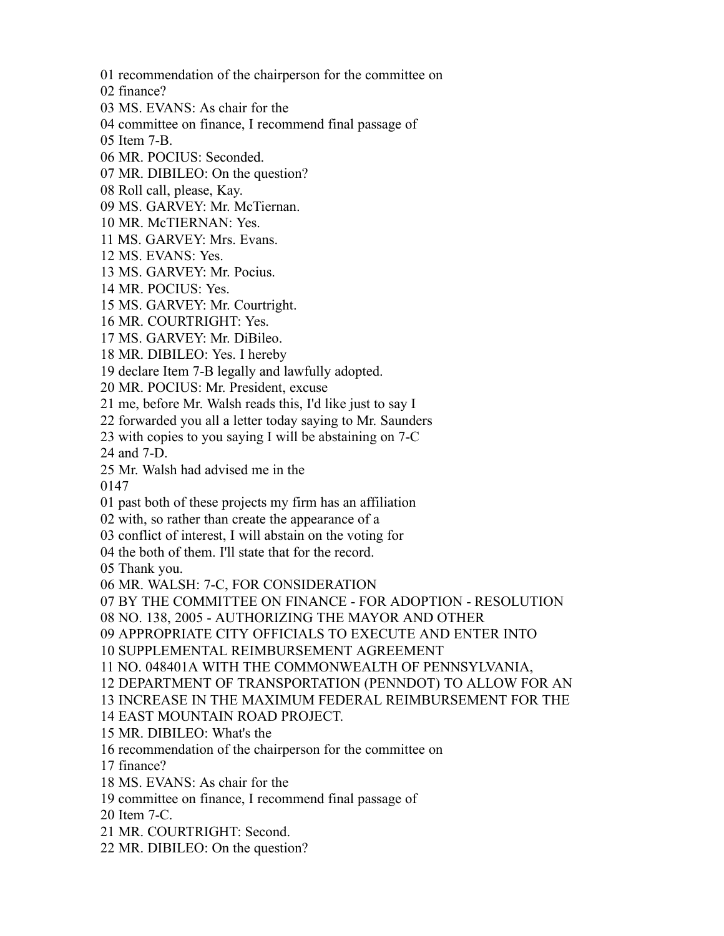recommendation of the chairperson for the committee on

finance?

MS. EVANS: As chair for the

committee on finance, I recommend final passage of

Item 7-B.

- MR. POCIUS: Seconded.
- MR. DIBILEO: On the question?
- Roll call, please, Kay.
- MS. GARVEY: Mr. McTiernan.
- MR. McTIERNAN: Yes.
- MS. GARVEY: Mrs. Evans.
- MS. EVANS: Yes.
- MS. GARVEY: Mr. Pocius.
- MR. POCIUS: Yes.
- MS. GARVEY: Mr. Courtright.
- MR. COURTRIGHT: Yes.
- MS. GARVEY: Mr. DiBileo.
- MR. DIBILEO: Yes. I hereby
- declare Item 7-B legally and lawfully adopted.
- MR. POCIUS: Mr. President, excuse
- me, before Mr. Walsh reads this, I'd like just to say I
- forwarded you all a letter today saying to Mr. Saunders
- with copies to you saying I will be abstaining on 7-C
- and 7-D.
- Mr. Walsh had advised me in the

- past both of these projects my firm has an affiliation
- with, so rather than create the appearance of a
- conflict of interest, I will abstain on the voting for
- the both of them. I'll state that for the record.

Thank you.

- MR. WALSH: 7-C, FOR CONSIDERATION
- BY THE COMMITTEE ON FINANCE FOR ADOPTION RESOLUTION
- NO. 138, 2005 AUTHORIZING THE MAYOR AND OTHER
- APPROPRIATE CITY OFFICIALS TO EXECUTE AND ENTER INTO

SUPPLEMENTAL REIMBURSEMENT AGREEMENT

NO. 048401A WITH THE COMMONWEALTH OF PENNSYLVANIA,

- DEPARTMENT OF TRANSPORTATION (PENNDOT) TO ALLOW FOR AN
- INCREASE IN THE MAXIMUM FEDERAL REIMBURSEMENT FOR THE

EAST MOUNTAIN ROAD PROJECT.

- MR. DIBILEO: What's the
- recommendation of the chairperson for the committee on
- finance?
- MS. EVANS: As chair for the
- committee on finance, I recommend final passage of
- Item 7-C.
- MR. COURTRIGHT: Second.
- MR. DIBILEO: On the question?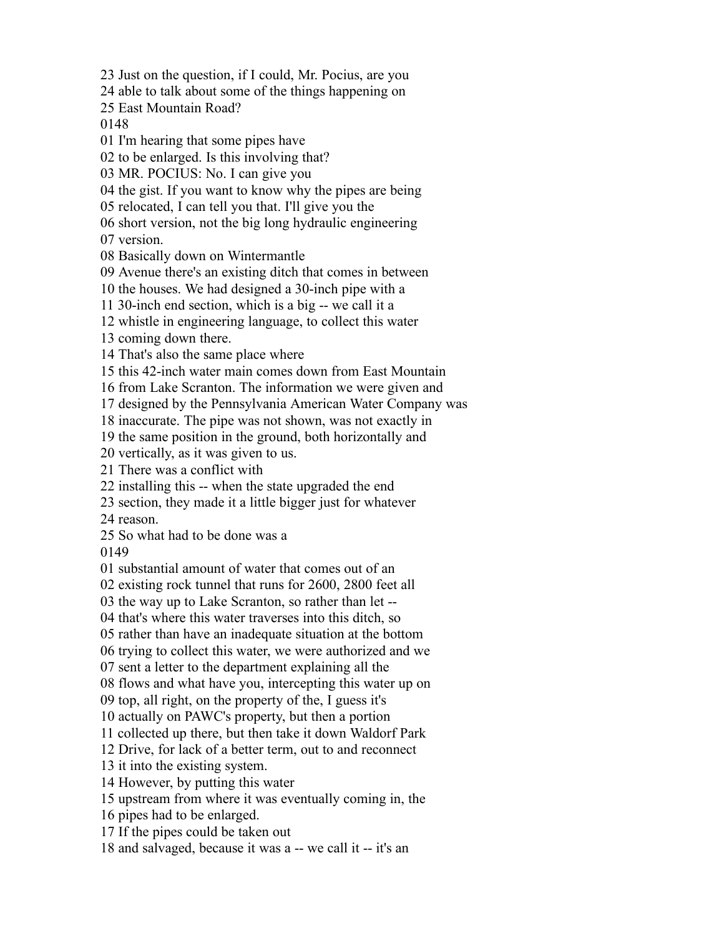Just on the question, if I could, Mr. Pocius, are you

able to talk about some of the things happening on

East Mountain Road?

I'm hearing that some pipes have

to be enlarged. Is this involving that?

MR. POCIUS: No. I can give you

the gist. If you want to know why the pipes are being

relocated, I can tell you that. I'll give you the

short version, not the big long hydraulic engineering

version.

Basically down on Wintermantle

Avenue there's an existing ditch that comes in between

the houses. We had designed a 30-inch pipe with a

30-inch end section, which is a big -- we call it a

whistle in engineering language, to collect this water

coming down there.

That's also the same place where

this 42-inch water main comes down from East Mountain

from Lake Scranton. The information we were given and

designed by the Pennsylvania American Water Company was

inaccurate. The pipe was not shown, was not exactly in

the same position in the ground, both horizontally and

vertically, as it was given to us.

There was a conflict with

installing this -- when the state upgraded the end

section, they made it a little bigger just for whatever

reason.

So what had to be done was a

substantial amount of water that comes out of an

existing rock tunnel that runs for 2600, 2800 feet all

the way up to Lake Scranton, so rather than let --

that's where this water traverses into this ditch, so

rather than have an inadequate situation at the bottom

trying to collect this water, we were authorized and we

sent a letter to the department explaining all the

flows and what have you, intercepting this water up on

top, all right, on the property of the, I guess it's

actually on PAWC's property, but then a portion

collected up there, but then take it down Waldorf Park

Drive, for lack of a better term, out to and reconnect

it into the existing system.

However, by putting this water

upstream from where it was eventually coming in, the

pipes had to be enlarged.

If the pipes could be taken out

and salvaged, because it was a -- we call it -- it's an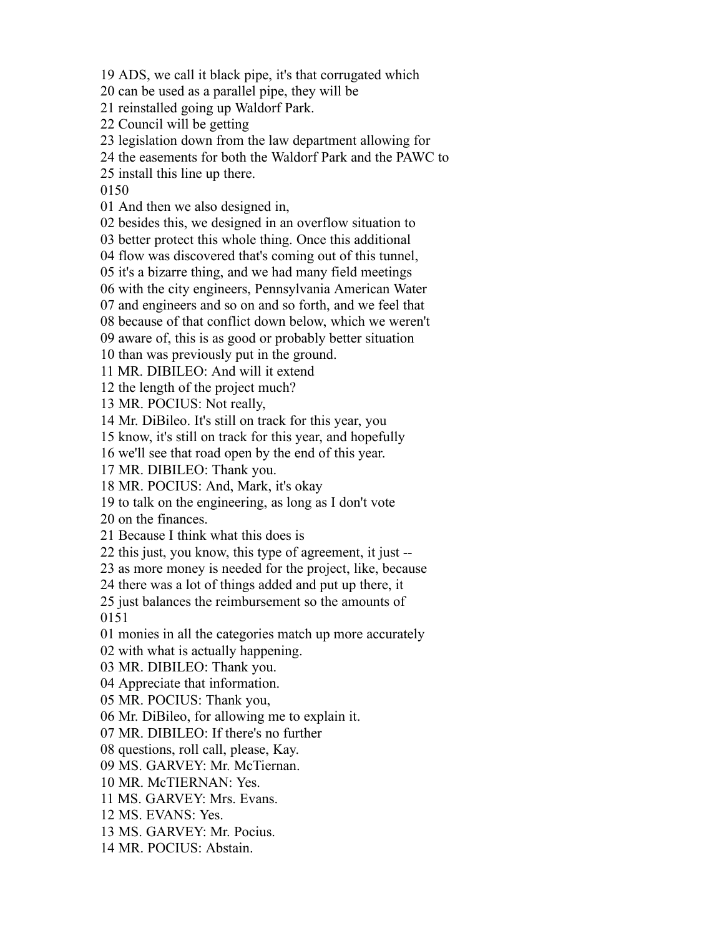ADS, we call it black pipe, it's that corrugated which

can be used as a parallel pipe, they will be

reinstalled going up Waldorf Park.

Council will be getting

legislation down from the law department allowing for

the easements for both the Waldorf Park and the PAWC to

install this line up there.

And then we also designed in,

besides this, we designed in an overflow situation to

better protect this whole thing. Once this additional

flow was discovered that's coming out of this tunnel,

it's a bizarre thing, and we had many field meetings

with the city engineers, Pennsylvania American Water

and engineers and so on and so forth, and we feel that

because of that conflict down below, which we weren't

aware of, this is as good or probably better situation

than was previously put in the ground.

MR. DIBILEO: And will it extend

the length of the project much?

MR. POCIUS: Not really,

Mr. DiBileo. It's still on track for this year, you

know, it's still on track for this year, and hopefully

we'll see that road open by the end of this year.

MR. DIBILEO: Thank you.

MR. POCIUS: And, Mark, it's okay

to talk on the engineering, as long as I don't vote

on the finances.

Because I think what this does is

this just, you know, this type of agreement, it just --

as more money is needed for the project, like, because

there was a lot of things added and put up there, it

 just balances the reimbursement so the amounts of 

monies in all the categories match up more accurately

with what is actually happening.

MR. DIBILEO: Thank you.

Appreciate that information.

MR. POCIUS: Thank you,

Mr. DiBileo, for allowing me to explain it.

MR. DIBILEO: If there's no further

questions, roll call, please, Kay.

MS. GARVEY: Mr. McTiernan.

MR. McTIERNAN: Yes.

MS. GARVEY: Mrs. Evans.

MS. EVANS: Yes.

MS. GARVEY: Mr. Pocius.

MR. POCIUS: Abstain.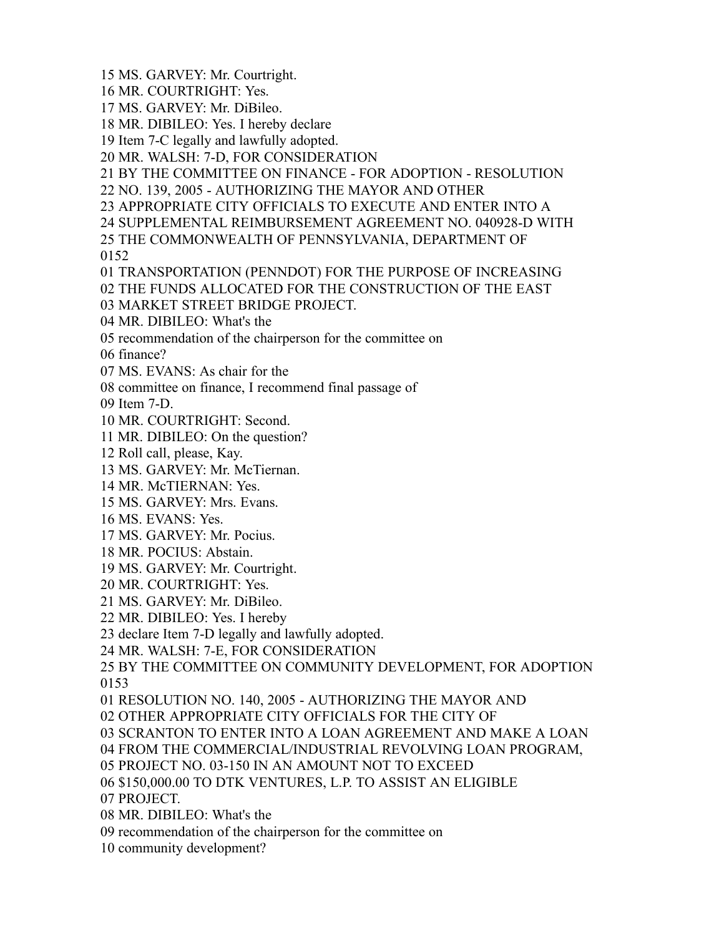MS. GARVEY: Mr. Courtright.

MR. COURTRIGHT: Yes.

MS. GARVEY: Mr. DiBileo.

MR. DIBILEO: Yes. I hereby declare

Item 7-C legally and lawfully adopted.

MR. WALSH: 7-D, FOR CONSIDERATION

BY THE COMMITTEE ON FINANCE - FOR ADOPTION - RESOLUTION

NO. 139, 2005 - AUTHORIZING THE MAYOR AND OTHER

APPROPRIATE CITY OFFICIALS TO EXECUTE AND ENTER INTO A

SUPPLEMENTAL REIMBURSEMENT AGREEMENT NO. 040928-D WITH

THE COMMONWEALTH OF PENNSYLVANIA, DEPARTMENT OF

TRANSPORTATION (PENNDOT) FOR THE PURPOSE OF INCREASING

THE FUNDS ALLOCATED FOR THE CONSTRUCTION OF THE EAST

MARKET STREET BRIDGE PROJECT.

MR. DIBILEO: What's the

recommendation of the chairperson for the committee on

finance?

MS. EVANS: As chair for the

committee on finance, I recommend final passage of

Item 7-D.

MR. COURTRIGHT: Second.

MR. DIBILEO: On the question?

Roll call, please, Kay.

MS. GARVEY: Mr. McTiernan.

MR. McTIERNAN: Yes.

MS. GARVEY: Mrs. Evans.

MS. EVANS: Yes.

MS. GARVEY: Mr. Pocius.

MR. POCIUS: Abstain.

MS. GARVEY: Mr. Courtright.

MR. COURTRIGHT: Yes.

MS. GARVEY: Mr. DiBileo.

MR. DIBILEO: Yes. I hereby

declare Item 7-D legally and lawfully adopted.

MR. WALSH: 7-E, FOR CONSIDERATION

 BY THE COMMITTEE ON COMMUNITY DEVELOPMENT, FOR ADOPTION 

RESOLUTION NO. 140, 2005 - AUTHORIZING THE MAYOR AND

OTHER APPROPRIATE CITY OFFICIALS FOR THE CITY OF

SCRANTON TO ENTER INTO A LOAN AGREEMENT AND MAKE A LOAN

FROM THE COMMERCIAL/INDUSTRIAL REVOLVING LOAN PROGRAM,

PROJECT NO. 03-150 IN AN AMOUNT NOT TO EXCEED

\$150,000.00 TO DTK VENTURES, L.P. TO ASSIST AN ELIGIBLE

PROJECT.

MR. DIBILEO: What's the

recommendation of the chairperson for the committee on

community development?